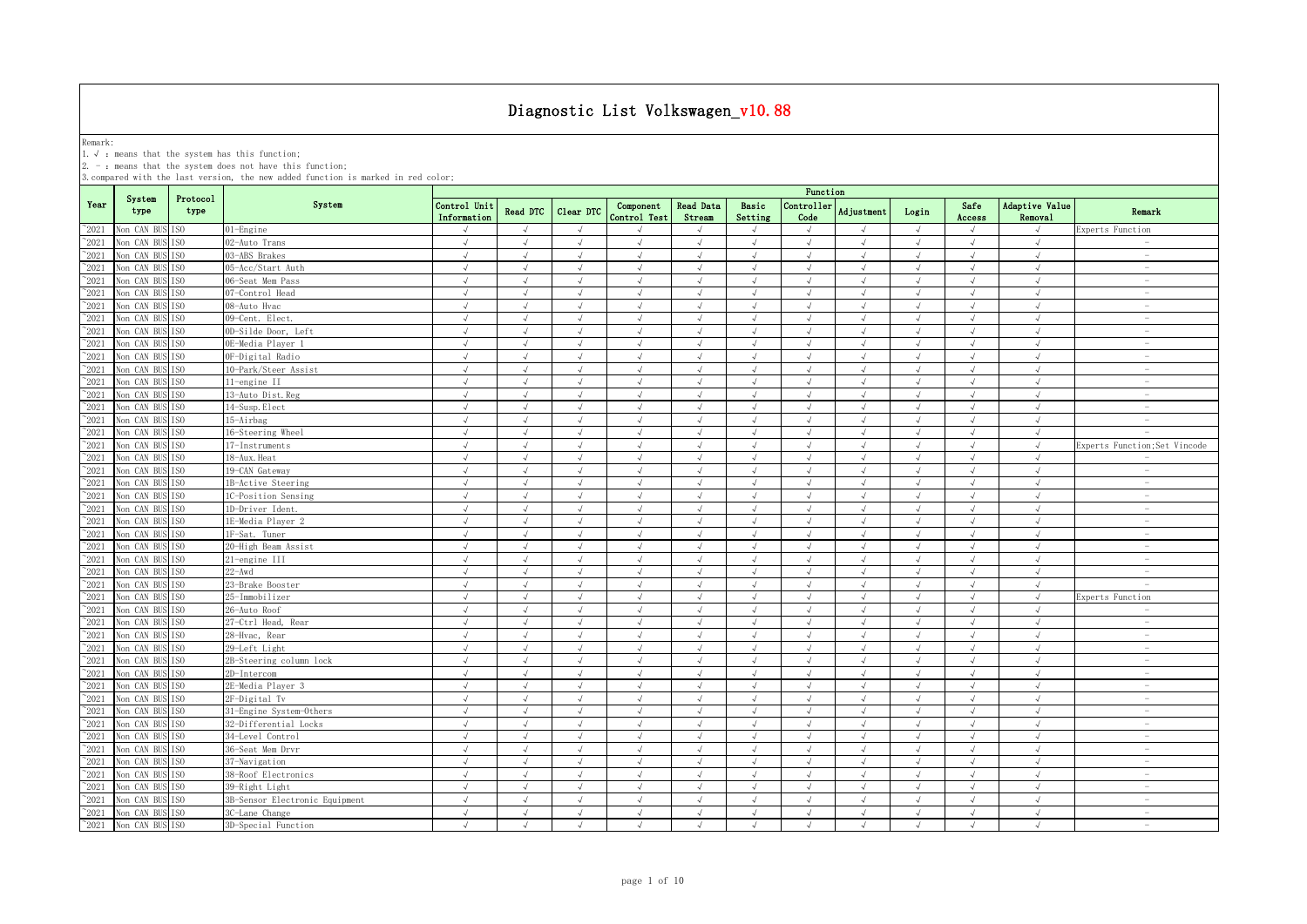Remark:<br>1.√ : means that the system has this function;<br>2. - : means that the system does not have this function;

|                                |                               |                        |                                        | Function                    |                             |                          |                             |                            |                          |                             |                         |                          |                          |                                  |                                                      |
|--------------------------------|-------------------------------|------------------------|----------------------------------------|-----------------------------|-----------------------------|--------------------------|-----------------------------|----------------------------|--------------------------|-----------------------------|-------------------------|--------------------------|--------------------------|----------------------------------|------------------------------------------------------|
| Year                           | System<br>type                | Protocol<br>type       | System                                 | Control Unit<br>Information | Read DTC                    | Clear DTC                | Component<br>Control Test   | <b>Read Data</b><br>Stream | Basic<br>Setting         | Controller<br>Code          | Adjustment              | Login                    | Safe<br>Access           | <b>Adaptive Value</b><br>Removal | Remark                                               |
| $^{\sim}$ 2021                 | Non CAN BUS                   | IS <sub>0</sub>        | 01-Engine                              |                             | $\sqrt{ }$                  | $\mathcal{L}$            |                             |                            | $\sqrt{ }$               |                             |                         | $\sqrt{ }$               | $\lambda$                |                                  | Experts Function                                     |
| $^{\sim}$ 2021                 | Non CAN BUS                   | TS <sub>0</sub>        | 02-Auto Trans                          | $\sqrt{ }$                  | $\sqrt{ }$                  | $\sqrt{ }$               | $\sqrt{ }$                  | $\sqrt{ }$                 | $\sqrt{ }$               | $\sqrt{ }$                  | $\sqrt{ }$              | $\sqrt{ }$               | $\sqrt{ }$               | $\sqrt{ }$                       |                                                      |
| $^{\sim}$ 2021                 | Non CAN BUS                   | IS <sub>0</sub>        | 03-ABS Brakes                          | $\sqrt{ }$                  | $\sqrt{ }$                  | $\sqrt{ }$               | $\sqrt{ }$                  | $\sqrt{ }$                 | $\sqrt{ }$               | $\sqrt{ }$                  | $\sqrt{ }$              | $\sqrt{ }$               | $\sqrt{ }$               | $\sqrt{ }$                       | $\sim$                                               |
| $^{\sim}$ 2021                 | Non CAN BUS                   | IS <sub>0</sub>        | 05-Acc/Start Auth                      | $\sqrt{ }$                  | $\sqrt{ }$                  | $\sqrt{ }$               | $\sqrt{ }$                  | $\sqrt{ }$                 | $\sqrt{ }$               | $\sqrt{ }$                  | $\sqrt{ }$              | $\sqrt{ }$               | $\sqrt{ }$               | $\sqrt{2}$                       | $\sim$                                               |
| $\degree$ 2021                 | Non CAN BUS                   | TS <sub>0</sub>        | 06-Seat Mem Pass                       | $\sqrt{ }$                  | $\sqrt{ }$                  | $\sqrt{ }$               | $\sqrt{ }$                  | $\sqrt{ }$                 | $\sqrt{ }$               | $\sqrt{ }$                  | $\sqrt{ }$              | $\sqrt{ }$               | $\sqrt{ }$               | $\sqrt{ }$                       | $\overline{\phantom{a}}$                             |
| $^{\sim}2021$                  | Non CAN BUS                   | ISO                    | 07-Control Head                        | $\sqrt{ }$                  | $\sqrt{ }$                  | $\sqrt{ }$               | $\sqrt{ }$                  | $\sqrt{ }$                 | $\sqrt{ }$               | $\sqrt{ }$                  | $\sqrt{ }$              | $\sqrt{ }$               | $\sqrt{ }$               | $\sqrt{ }$                       | $\overline{\phantom{a}}$                             |
| $^{\sim}2021$                  | Non CAN BUS                   | TS <sub>0</sub>        | 08-Auto Hvac                           | $\sqrt{ }$                  | $\sqrt{ }$                  | $\sqrt{ }$               | $\sqrt{ }$                  | $\sqrt{ }$                 | $\sqrt{ }$               | $\sqrt{ }$                  | $\sqrt{ }$              | $\sqrt{ }$               | $\sqrt{ }$               | $\sqrt{ }$                       | $\sim$                                               |
| $^{\sim}2021$                  | Non CAN BUS                   | TSO.                   | 09-Cent. Elect.                        | $\sqrt{ }$                  | $\sqrt{ }$                  | $\sqrt{ }$               | $\sqrt{ }$                  | $\sqrt{ }$                 | $\sqrt{ }$               | $\sqrt{ }$                  | $\sqrt{ }$              | $\sqrt{ }$               | $\sqrt{ }$               | $\sqrt{2}$                       | $\overline{\phantom{a}}$                             |
| $^{\sim}2021$                  | Non CAN BUS ISO               |                        | 0D-Silde Door, Left                    | $\sqrt{ }$                  | $\sqrt{ }$                  | $\sqrt{ }$               | $\sqrt{ }$                  | $\sqrt{ }$                 | $\sqrt{ }$               | $\sqrt{ }$                  | $\sqrt{ }$              | $\sqrt{ }$               | $\sqrt{ }$               | $\sqrt{ }$                       | $\hspace{0.1mm}-\hspace{0.1mm}$                      |
| $^{\sim}2021$                  | Non CAN BUS                   | IS <sub>0</sub>        | OE-Media Player 1                      | $\sqrt{ }$                  | $\sqrt{ }$                  | $\sqrt{}$                | $\sqrt{}$                   | $\sqrt{ }$                 | $\sqrt{ }$               | $\sqrt{ }$                  | $\sqrt{ }$              | $\sqrt{ }$               | $\sqrt{ }$               | $\sqrt{ }$                       | $\sim$                                               |
| 2021                           | Non CAN BUS                   | IS <sub>0</sub>        | OF-Digital Radio                       | √                           | $\sqrt{ }$                  | $\sqrt{}$                | √                           |                            | $\sqrt{}$                | √                           | $\sqrt{ }$              | $\sqrt{ }$               | $\sqrt{ }$               | √                                | $\overline{\phantom{a}}$                             |
| 2021                           | Non CAN BUS                   | IS <sub>0</sub>        | 10-Park/Steer Assist                   |                             | J                           | J                        | $\sqrt{ }$                  |                            | $\sqrt{ }$               | J                           | $\mathcal{L}$           | $\sqrt{ }$               | J                        | J                                | $\sim$                                               |
| 2021                           | Non CAN BUS                   | TS <sub>0</sub>        | 11-engine II                           | $\sqrt{ }$                  | $\sqrt{ }$                  | $\mathcal{L}$            | $\sqrt{ }$                  |                            | $\sqrt{ }$               | $\mathcal{N}_{\mathcal{N}}$ | $\mathcal{L}$           | $\sqrt{ }$               | $\sqrt{ }$               | $\mathcal{A}$                    | $\overline{\phantom{a}}$                             |
| $^{\sim}$ 2021                 | Non CAN BUS                   | ISO                    | 13-Auto Dist. Reg                      |                             | $\sqrt{ }$                  | J                        | $\sqrt{ }$                  |                            | $\sqrt{2}$               | J                           |                         | $\sqrt{ }$               |                          | J                                | $\overline{a}$                                       |
| $^{\sim}$ 2021                 | Non CAN BUS                   | IS <sub>0</sub>        | 14-Susp. Elect                         | $\sqrt{ }$                  | $\sqrt{ }$                  | $\sqrt{ }$               | $\sqrt{ }$                  | $\sqrt{ }$                 | $\sqrt{ }$               | $\sqrt{ }$                  | $\sqrt{ }$              | $\sqrt{ }$               | $\sqrt{ }$               | $\sqrt{ }$                       | $\sim$                                               |
| $^{\sim}$ 2021                 | Non CAN BUS                   | TS <sub>0</sub>        | 15-Airbag                              | $\sqrt{ }$                  | $\sqrt{ }$                  | $\sqrt{ }$               | $\sqrt{2}$                  |                            | $\sqrt{ }$               | $\sqrt{ }$                  | $\sqrt{ }$              | $\sqrt{ }$               | $\sqrt{ }$               | $\sqrt{ }$                       | $\sim$                                               |
| $^{\sim}$ 2021                 | Non CAN BUS                   | IS <sub>0</sub>        | 16-Steering Wheel                      | $\sqrt{ }$                  | $\sqrt{ }$                  | $\sqrt{}$                | $\sqrt{ }$                  | $\sqrt{ }$                 | $\sqrt{ }$               | $\sqrt{ }$                  | $\sqrt{ }$              | $\sqrt{ }$               | $\sqrt{ }$               | $\sqrt{ }$                       | $\sim$                                               |
| $\degree$ 2021                 | Non CAN BUS                   | IS <sub>0</sub>        | 17-Instruments                         | $\sqrt{ }$                  | $\sqrt{ }$                  | $\sqrt{ }$               | $\sqrt{}$                   | $\sqrt{ }$                 | $\sqrt{ }$               | $\sqrt{ }$                  | $\sqrt{ }$              | $\sqrt{ }$               | $\sqrt{ }$               | $\sqrt{ }$                       | Experts Function; Set Vincode                        |
| $^{\sim}2021$                  | Non CAN BUS                   | ISO.                   | 18-Aux. Heat                           | $\sqrt{ }$                  | $\sqrt{ }$                  | $\sqrt{ }$               | $\sqrt{ }$                  | $\sqrt{ }$                 | $\sqrt{ }$               | $\sqrt{ }$                  | $\sqrt{ }$              | $\sqrt{ }$               | $\sqrt{ }$               | $\sqrt{ }$                       | $\overline{\phantom{a}}$                             |
| $^{\sim}2021$                  | Non CAN BUS                   | T <sub>SO</sub>        | 19-CAN Gateway                         | $\sqrt{ }$                  | $\sqrt{ }$                  | $\sqrt{ }$               | $\sqrt{ }$                  | $\sqrt{ }$                 | $\sqrt{ }$               | $\sqrt{ }$                  | $\sqrt{ }$              | $\sqrt{ }$               | $\sqrt{ }$               | $\sqrt{2}$                       | $\sim$                                               |
| $^{\sim}2021$                  | Non CAN BUS                   | ISO                    | 1B-Active Steering                     | $\sqrt{ }$                  | $\sqrt{ }$                  | $\sqrt{ }$               | $\sqrt{ }$                  | $\sqrt{ }$                 | $\sqrt{ }$               | $\sqrt{ }$                  | $\sqrt{ }$              | $\sqrt{ }$               | $\sqrt{ }$               | $\sqrt{2}$                       | $\overline{\phantom{a}}$                             |
| $^{\sim}2021$                  | Non CAN BUS                   | TS <sub>0</sub>        | 1C-Position Sensing                    | $\sqrt{ }$                  | $\sqrt{ }$                  | $\sqrt{ }$               | $\sqrt{ }$                  | $\sqrt{ }$                 | $\sqrt{ }$               | $\sqrt{ }$                  | $\sqrt{ }$              | $\sqrt{ }$               | $\sqrt{ }$               | $\sqrt{ }$                       | $\overline{\phantom{a}}$                             |
| $^{\sim}2021$                  | Non CAN BUS                   | IS <sub>0</sub>        | 1D-Driver Ident.                       | $\sqrt{ }$                  | $\sqrt{ }$                  | $\sqrt{ }$               | $\sqrt{2}$                  | $\sqrt{ }$                 | $\sqrt{ }$               | $\sqrt{ }$                  | $\sqrt{ }$              | $\sqrt{ }$               | $\sqrt{ }$               | $\sqrt{ }$                       | $\sim$                                               |
| 2021                           | Non CAN BUS                   | TS <sub>0</sub>        | 1E-Media Player 2                      | J                           | $\sqrt{ }$                  | $\sqrt{ }$               | $\sqrt{ }$                  |                            | $\sqrt{ }$               | J                           | $\mathcal{L}$           | $\sqrt{ }$               | J                        | $\mathcal{N}_{\mathcal{N}}$      | $\sim$                                               |
| 2021                           | Non CAN BUS                   | IS <sub>0</sub>        | 1F-Sat. Tuner                          | $\sqrt{}$                   | $\sqrt{ }$                  | $\sqrt{ }$               | $\sqrt{}$                   |                            | $\sqrt{ }$               | $\sqrt{ }$                  | $\sqrt{ }$              | $\sqrt{ }$               | $\sqrt{ }$               | $\sqrt{ }$                       | $\overline{\phantom{a}}$                             |
| 2021                           | Non CAN BUS                   | IS <sub>0</sub>        | 20-High Beam Assist                    | J                           | J                           | $\mathcal{L}$            | J                           |                            | J                        | $\cdot$                     | $\mathcal{L}$           | $\sqrt{ }$               | <sup>N</sup>             | $\cdot$                          | $\hspace{0.1mm}-\hspace{0.1mm}$                      |
| $^{\sim}2021$                  | Non CAN BUS                   | TS <sub>0</sub>        | 21-engine III                          | $\sqrt{ }$                  | $\sqrt{ }$                  | $\sqrt{ }$               | $\sqrt{}$                   |                            | $\sqrt{ }$               | $\sqrt{ }$                  | $\sqrt{ }$              | $\sqrt{ }$               | $\sqrt{ }$               | $\sqrt{ }$                       | $\overline{\phantom{a}}$                             |
| $^{\sim}$ 2021                 | Non CAN BUS                   | IS <sub>0</sub>        | $22 - Awd$                             | J                           | $\sqrt{ }$                  | $\sqrt{ }$               | $\sqrt{}$                   |                            | $\sqrt{ }$               | $\sqrt{ }$                  | $\sqrt{ }$              | $\sqrt{ }$               | $\sqrt{ }$               | $\sqrt{ }$                       | $\sim$                                               |
| $^{\sim}$ 2021                 | Non CAN BUS                   | TS <sub>0</sub>        | 23-Brake Booster                       | $\sqrt{ }$                  | $\sqrt{ }$                  | $\sqrt{ }$               | $\sqrt{ }$                  |                            | $\sqrt{ }$               | $\sqrt{ }$                  | $\sqrt{ }$              | $\sqrt{ }$               | J                        | $\sqrt{ }$                       | $\sim$                                               |
| $^{\sim}$ 2021                 | Non CAN BUS                   | TS <sub>0</sub>        | 25-Immobilizer                         | $\sqrt{ }$                  | $\sqrt{ }$                  | $\sqrt{ }$               | $\sqrt{ }$                  | $\sqrt{ }$                 | $\sqrt{ }$               | $\sqrt{ }$                  | $\sqrt{ }$              | $\sqrt{ }$               | $\sqrt{ }$               | $\sqrt{ }$                       | Experts Function                                     |
| $^{\sim}$ 2021                 | Non CAN BUS                   | IS <sub>0</sub>        | 26-Auto Roof                           | $\sqrt{ }$                  | $\sqrt{ }$                  | $\sqrt{ }$               | $\sqrt{ }$                  | $\sqrt{ }$                 | $\sqrt{ }$               | $\sqrt{ }$                  | $\sqrt{ }$              | $\sqrt{ }$               | $\sqrt{ }$               | $\sqrt{ }$                       | $\sim$                                               |
| $\degree$ 2021                 | Non CAN BUS                   | IS <sub>0</sub>        | 27-Ctrl Head, Rear                     | $\sqrt{ }$                  | $\sqrt{ }$                  | $\sqrt{ }$               | $\sqrt{ }$<br>$\sqrt{ }$    | $\sqrt{ }$                 | $\sqrt{ }$<br>$\sqrt{ }$ | $\sqrt{ }$                  | $\sqrt{ }$              | $\sqrt{ }$               | $\sqrt{ }$<br>$\sqrt{ }$ | $\sqrt{ }$<br>$\sqrt{ }$         | $\overline{\phantom{a}}$<br>$\overline{\phantom{a}}$ |
| $^{\sim}2021$                  | Non CAN BUS                   | TS <sub>0</sub>        | 28-Hvac, Rear                          | $\sqrt{ }$                  | $\sqrt{ }$                  | $\sqrt{ }$               |                             | $\sqrt{ }$                 |                          | $\sqrt{ }$                  | $\sqrt{ }$              | $\sqrt{ }$               |                          |                                  |                                                      |
| $^{\sim}2021$                  | Non CAN BUS                   | TSO.                   | 29-Left Light                          | $\sqrt{ }$                  | $\sqrt{ }$<br>$\mathcal{A}$ | $\sqrt{ }$               | $\sqrt{ }$<br>$\mathcal{L}$ | $\sqrt{ }$                 | $\sqrt{ }$               | $\sqrt{ }$                  | $\sqrt{ }$<br>$\lambda$ | $\sqrt{ }$               | $\sqrt{ }$               | $\sqrt{ }$<br>$\sqrt{ }$         | $\sim$<br>$\sim$                                     |
| $^{\sim}2021$<br>$^{\sim}2021$ | Non CAN BUS<br>Non CAN BUS    | TS <sub>0</sub><br>ISO | 2B-Steering column lock<br>2D-Intercom | $\sqrt{ }$                  | $\sqrt{ }$                  | $\sqrt{ }$<br>$\sqrt{ }$ | $\sqrt{ }$                  | $\sqrt{ }$                 | $\sqrt{ }$<br>$\sqrt{ }$ | $\sqrt{ }$<br>$\sqrt{ }$    | $\sqrt{ }$              | $\sqrt{ }$<br>$\sqrt{ }$ | $\sqrt{ }$<br>$\sqrt{ }$ | $\sqrt{ }$                       | $\sim$                                               |
| $^{\sim}2021$                  | Non CAN BUS ISO               |                        | 2E-Media Player 3                      | $\sqrt{ }$<br>$\sqrt{ }$    | $\sqrt{ }$                  | $\sqrt{}$                | $\sqrt{}$                   | $\sqrt{ }$                 | $\sqrt{ }$               | $\sqrt{ }$                  | $\sqrt{ }$              | $\sqrt{ }$               | $\sqrt{ }$               | $\sqrt{ }$                       | $\hspace{0.1mm}-\hspace{0.1mm}$                      |
| 2021                           | Non CAN BUS                   | ISO                    | 2F-Digital Tv                          | $\sqrt{ }$                  | $\sqrt{ }$                  | $\sqrt{ }$               | $\sqrt{}$                   |                            | $\sqrt{ }$               | $\sqrt{ }$                  | $\sqrt{ }$              | $\sqrt{ }$               | J                        | $\sqrt{ }$                       | $\sim$                                               |
| $^{\circ}2021$                 | Non CAN BUS                   | ISO                    | 31-Engine System-Others                |                             | $\sqrt{ }$                  | $\mathcal{L}$            | $\sqrt{ }$                  |                            | J                        | $\cdot$                     | $\lambda$               | $\sqrt{ }$               |                          | $\mathcal{N}_{\mathcal{N}}$      | $\overline{\phantom{a}}$                             |
| $^{\sim}2021$                  | Non CAN BUS                   | TS <sub>0</sub>        | 32-Differential Locks                  | J                           | $\sqrt{ }$                  | J                        | J                           |                            | $\sqrt{ }$               | J                           |                         | $\sqrt{ }$               |                          | J                                | $\overline{\phantom{0}}$                             |
| $\degree$ 2021                 | Non CAN BUS                   | TS <sub>0</sub>        | 34-Level Control                       | $\sqrt{ }$                  | $\sqrt{ }$                  | $\sqrt{ }$               | $\sqrt{ }$                  |                            | $\sqrt{ }$               | $\sqrt{ }$                  | $\sqrt{ }$              | $\sqrt{ }$               | $\sqrt{ }$               | $\sqrt{ }$                       | $\overline{\phantom{0}}$                             |
| $^{\sim}$ 2021                 | Non CAN BUS                   | IS <sub>0</sub>        | 36-Seat Mem Drvr                       | J                           | J                           | J                        | $\sqrt{ }$                  |                            | $\sqrt{ }$               | J                           | $\mathcal{L}$           | $\sqrt{ }$               |                          | J                                | $\overline{\phantom{a}}$                             |
| $^{\sim}$ 2021                 | Non CAN BUS                   | IS <sub>0</sub>        | 37-Navigation                          | $\sqrt{ }$                  | $\sqrt{ }$                  | $\sqrt{ }$               | $\sqrt{ }$                  | $\sqrt{ }$                 | $\sqrt{ }$               | $\sqrt{ }$                  | $\sqrt{ }$              | $\sqrt{ }$               | $\sqrt{ }$               | $\sqrt{ }$                       | $\sim$                                               |
| $^{\sim}$ 2021                 | Non CAN BUS                   | IS <sub>0</sub>        | 38-Roof Electronics                    | $\sqrt{ }$                  | $\sqrt{ }$                  | $\sqrt{ }$               | $\sqrt{}$                   |                            | $\sqrt{ }$               | $\sqrt{ }$                  | $\sqrt{ }$              | $\sqrt{ }$               | $\sqrt{ }$               | $\sqrt{ }$                       | $\sim$                                               |
| $^{\sim}$ 2021                 | Non CAN BUS                   | IS <sub>0</sub>        | 39-Right Light                         | $\sqrt{ }$                  | $\sqrt{ }$                  | $\sqrt{}$                | $\sqrt{ }$                  | $\sqrt{ }$                 | $\sqrt{ }$               | $\sqrt{ }$                  | $\sqrt{ }$              | $\sqrt{ }$               | $\sqrt{ }$               | $\sqrt{2}$                       | $\overline{\phantom{a}}$                             |
| $^{\sim}2021$                  | Non CAN BUS                   | TS <sub>0</sub>        | 3B-Sensor Electronic Equipment         | $\sqrt{ }$                  | $\sqrt{ }$                  | $\sqrt{ }$               | $\sqrt{}$                   | $\sqrt{ }$                 | $\sqrt{ }$               | $\sqrt{ }$                  | $\sqrt{ }$              | $\sqrt{ }$               | $\sqrt{ }$               | $\sqrt{ }$                       | $\sim$                                               |
| $^{\sim}$ 2021                 | Non CAN BUS                   | TS <sub>0</sub>        | 3C-Lane Change                         | $\sqrt{ }$                  | $\sqrt{ }$                  | $\sqrt{ }$               | $\sqrt{ }$                  | $\sqrt{ }$                 | $\sqrt{ }$               | $\sqrt{ }$                  | $\sqrt{ }$              | $\sqrt{ }$               | $\sqrt{ }$               | $\sqrt{ }$                       | $\overline{\phantom{a}}$                             |
|                                | $^{\sim}2021$ Non CAN BUS ISO |                        | 3D-Special Function                    | $\sqrt{ }$                  | $\sqrt{ }$                  | $\sqrt{ }$               | $\sqrt{ }$                  | $\sqrt{ }$                 | $\sqrt{ }$               | $\sqrt{ }$                  | $\lambda$               | $\sqrt{ }$               | $\sqrt{ }$               | $\sqrt{ }$                       | $\sim$                                               |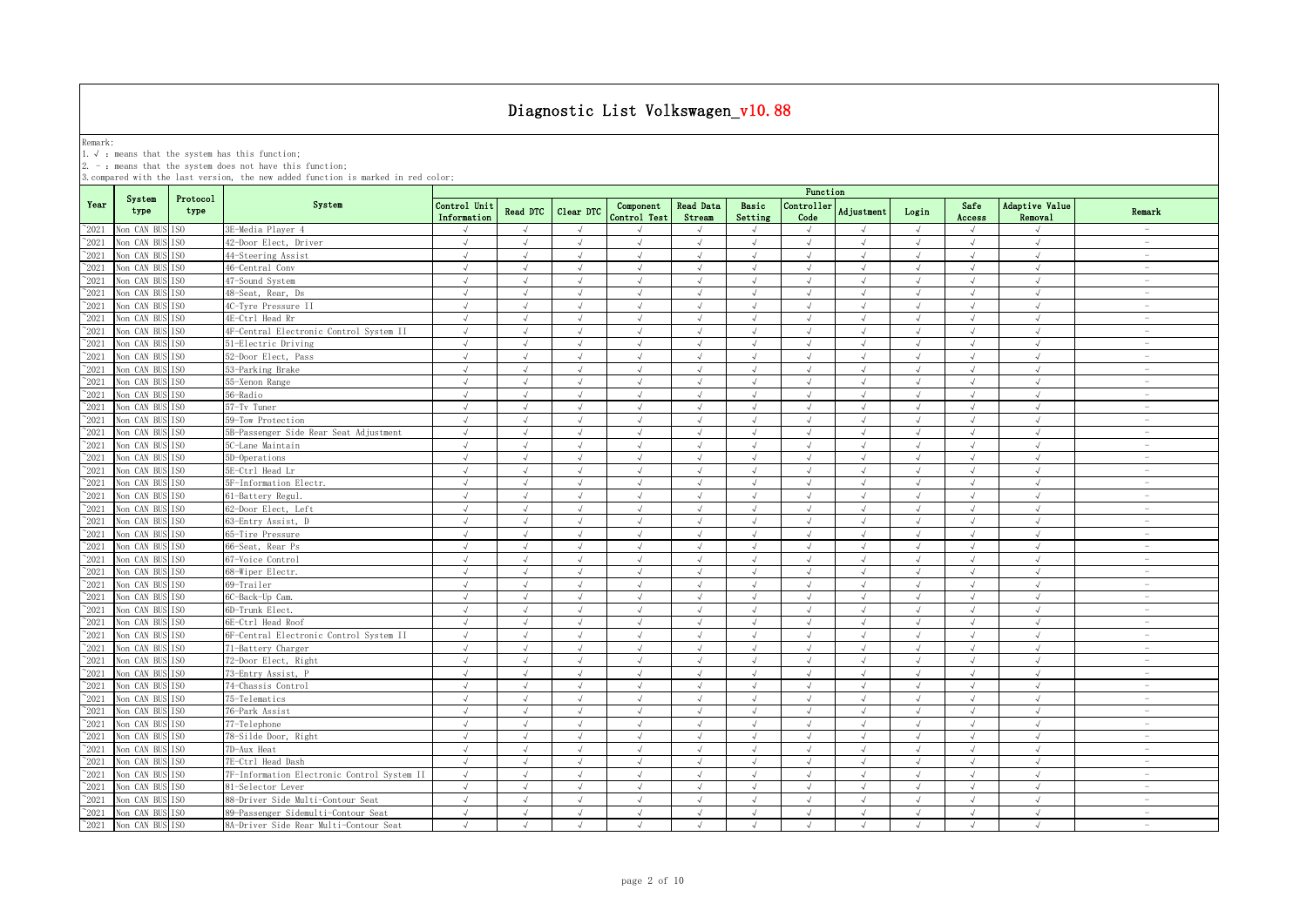Remark:<br>1.√ : means that the system has this function;<br>2. - : means that the system does not have this function;

|                |                 |                  |                                             | Function                    |               |            |                           |                            |                  |                    |                   |            |                |                                         |                                 |
|----------------|-----------------|------------------|---------------------------------------------|-----------------------------|---------------|------------|---------------------------|----------------------------|------------------|--------------------|-------------------|------------|----------------|-----------------------------------------|---------------------------------|
| Year           | System<br>type  | Protocol<br>type | System                                      | Control Unit<br>Information | Read DTC      | Clear DTC  | Component<br>Control Test | <b>Read Data</b><br>Stream | Basic<br>Setting | Controller<br>Code | <b>Adjustment</b> | Login      | Safe<br>Access | <b>Adaptive Value</b><br><b>Removal</b> | Remark                          |
| $^{\sim}2021$  | Non CAN BUS ISO |                  | 3E-Media Player 4                           |                             |               | $\sqrt{ }$ |                           |                            | $\mathcal{A}$    | $\sqrt{ }$         |                   | $\sqrt{ }$ |                |                                         |                                 |
| $^{\sim}2021$  | Non CAN BUS     | TS <sub>0</sub>  | 42-Door Elect, Driver                       | $\sqrt{ }$                  | $\sqrt{ }$    | $\sqrt{ }$ | $\sqrt{ }$                | $\sqrt{ }$                 | $\sqrt{ }$       | $\sqrt{ }$         | $\sqrt{ }$        | $\sqrt{ }$ | $\sqrt{ }$     | $\sqrt{ }$                              | $\overline{\phantom{a}}$        |
| $^{\sim}2021$  | Non CAN BUS ISO |                  | 44-Steering Assist                          | $\sqrt{ }$                  | $\sqrt{ }$    | $\sqrt{ }$ | $\sqrt{ }$                | $\sqrt{ }$                 | $\sqrt{ }$       | $\sqrt{ }$         | $\sqrt{ }$        | $\sqrt{ }$ | $\sqrt{ }$     | $\sqrt{ }$                              | $\sim$                          |
| $^{\sim}2021$  | Non CAN BUS     | IS <sub>0</sub>  | 46-Central Conv                             | $\sqrt{ }$                  | $\sqrt{ }$    | $\sqrt{ }$ | $\sqrt{ }$                | $\sqrt{ }$                 | $\sqrt{ }$       | $\checkmark$       | $\sqrt{ }$        | $\sqrt{ }$ | $\sqrt{ }$     | $\sqrt{ }$                              | $\sim$                          |
| $^{\sim}2021$  | Non CAN BUS ISO |                  | 47-Sound System                             | $\sqrt{ }$                  | $\sqrt{ }$    | $\sqrt{ }$ | $\sqrt{ }$                | $\sqrt{ }$                 | $\sqrt{ }$       | $\sqrt{ }$         | $\sqrt{ }$        | $\sqrt{ }$ | $\sqrt{ }$     | $\sqrt{ }$                              | $\overline{\phantom{a}}$        |
| $^{\circ}2021$ | Non CAN BUS     | IS <sub>0</sub>  | 48-Seat, Rear, Ds                           | $\sqrt{ }$                  | $\sqrt{ }$    | $\sqrt{ }$ | $\sqrt{ }$                | $\sqrt{ }$                 | $\sqrt{ }$       | $\sqrt{ }$         | $\sqrt{ }$        | $\sqrt{ }$ | $\sqrt{ }$     | $\sqrt{ }$                              | $\overline{\phantom{a}}$        |
| $^{\sim}2021$  | Non CAN BUS ISO |                  | 4C-Tyre Pressure II                         | $\sqrt{ }$                  | $\sqrt{ }$    | $\sqrt{ }$ | $\sqrt{ }$                | $\sqrt{ }$                 | $\sqrt{ }$       | $\sqrt{ }$         | $\lambda$         | $\sqrt{ }$ | $\sqrt{ }$     | $\sqrt{ }$                              | $\sim$                          |
| 2021           | Non CAN BUS ISO |                  | 4E-Ctrl Head Rr                             | $\sqrt{ }$                  | $\sqrt{ }$    | $\sqrt{ }$ | $\sqrt{ }$                | $\sqrt{ }$                 | $\sqrt{ }$       | $\sqrt{ }$         | $\sqrt{ }$        | $\sqrt{ }$ | $\sqrt{ }$     | $\sqrt{ }$                              | $\sim$                          |
| 2021           | Non CAN BUS ISO |                  | 4F-Central Electronic Control System II     | $\sqrt{}$                   | $\sqrt{ }$    | $\sqrt{ }$ | $\sqrt{ }$                | $\sqrt{ }$                 | $\sqrt{ }$       | $\sqrt{ }$         | $\sqrt{ }$        | $\sqrt{}$  | $\sqrt{ }$     | $\sqrt{ }$                              | $\hspace{0.1mm}-\hspace{0.1mm}$ |
| 2021           | Non CAN BUS     | IS <sub>0</sub>  | 51-Electric Driving                         | $\sqrt{ }$                  | $\sqrt{ }$    | $\sqrt{ }$ | $\sqrt{ }$                | $\sqrt{ }$                 | $\sqrt{ }$       | $\sqrt{ }$         | $\sqrt{ }$        | $\sqrt{ }$ | $\sqrt{ }$     | $\sqrt{ }$                              | $\overline{\phantom{a}}$        |
| 2021           | Non CAN BUS ISO |                  | 52-Door Elect, Pass                         | $\sqrt{ }$                  | $\sqrt{ }$    | $\sqrt{ }$ | J                         | J                          | $\sqrt{ }$       | $\sqrt{ }$         | $\sqrt{ }$        | $\sqrt{}$  | √              | $\sqrt{ }$                              | $\overline{\phantom{a}}$        |
| 2021           | Non CAN BUS     | TS <sub>0</sub>  | 53-Parking Brake                            | $\sqrt{ }$                  | $\sqrt{ }$    | $\sqrt{ }$ | J                         | $\sqrt{ }$                 | J                |                    |                   | $\sqrt{ }$ |                |                                         | $\overline{\phantom{a}}$        |
| 2021           | Non CAN BUS ISO |                  | 55-Xenon Range                              | $\sqrt{ }$                  | $\mathcal{A}$ | $\sqrt{ }$ | $\sqrt{ }$                |                            | $\sqrt{ }$       | $\sqrt{ }$         |                   | $\sqrt{ }$ | J              | $\sqrt{ }$                              | $\overline{\phantom{a}}$        |
| $^{\sim}2021$  | Non CAN BUS ISO |                  | 56-Radio                                    | $\sqrt{ }$                  |               | $\sqrt{ }$ |                           |                            | J                | $\sqrt{ }$         |                   | $\sqrt{ }$ | J              |                                         | $\overline{\phantom{a}}$        |
| 2021           | Non CAN BUS ISO |                  | 57-Tv Tuner                                 | $\sqrt{ }$                  | $\sqrt{ }$    | $\sqrt{ }$ | $\sqrt{ }$                | $\sqrt{ }$                 | $\sqrt{ }$       | $\sqrt{ }$         | $\sqrt{ }$        | $\sqrt{ }$ | $\sqrt{ }$     | $\sqrt{ }$                              | $\sim$                          |
| $^{\sim}2021$  | Non CAN BUS ISO |                  | 59-Tow Protection                           | $\sqrt{ }$                  | $\sqrt{ }$    | $\sqrt{ }$ | $\sqrt{ }$                | $\sqrt{ }$                 | $\sqrt{2}$       | $\sqrt{ }$         | $\sqrt{ }$        | $\sqrt{ }$ | $\sqrt{ }$     | $\sqrt{ }$                              | $\sim$                          |
| $^{\sim}2021$  | Non CAN BUS     | IS <sub>0</sub>  | 5B-Passenger Side Rear Seat Adjustment      | $\sqrt{ }$                  | $\sqrt{ }$    | $\sqrt{ }$ | $\sqrt{ }$                | $\sqrt{ }$                 | $\sqrt{ }$       | $\sqrt{ }$         | $\sqrt{ }$        | $\sqrt{ }$ | $\sqrt{ }$     | $\sqrt{ }$                              | $\sim$                          |
| $^{\sim}2021$  | Non CAN BUS ISO |                  | 5C-Lane Maintain                            | $\sqrt{ }$                  | $\sqrt{ }$    | $\sqrt{ }$ | $\sqrt{ }$                | $\sqrt{ }$                 | $\sqrt{ }$       | $\sqrt{ }$         | $\lambda$         | $\sqrt{ }$ | $\sqrt{ }$     | $\sqrt{ }$                              | $\sim$                          |
| $^{\sim}2021$  | Non CAN BUS ISO |                  | 5D-Operations                               | $\sqrt{ }$                  | $\sqrt{ }$    | $\sqrt{ }$ | $\sqrt{ }$                | $\sqrt{ }$                 | $\sqrt{ }$       | $\sqrt{ }$         | $\sqrt{ }$        | $\sqrt{ }$ | $\sqrt{ }$     | $\sqrt{ }$                              | $\overline{\phantom{a}}$        |
| $^{\circ}2021$ | Non CAN BUS ISO |                  | 5E-Ctrl Head Lr                             | $\sqrt{ }$                  | $\sqrt{ }$    | $\sqrt{ }$ | $\sqrt{ }$                | $\sqrt{ }$                 | $\sqrt{ }$       | $\sqrt{ }$         | $\lambda$         | $\sqrt{ }$ | $\sqrt{ }$     | $\sqrt{ }$                              | $\sim$                          |
| $^{\sim}2021$  | Non CAN BUS     | TS <sub>0</sub>  | 5F-Information Electr.                      | $\sqrt{ }$                  | $\sqrt{ }$    | $\sqrt{ }$ | $\sqrt{ }$                | $\sqrt{ }$                 | $\sqrt{ }$       | $\sqrt{ }$         | $\sqrt{ }$        | $\sqrt{ }$ | $\sqrt{ }$     | $\sqrt{ }$                              | $\sim$                          |
| $^{\sim}2021$  | Non CAN BUS ISO |                  | 61-Battery Regul.                           | $\sqrt{ }$                  | $\sqrt{ }$    | $\sqrt{ }$ | $\sqrt{ }$                | $\sqrt{ }$                 | $\sqrt{ }$       | $\sqrt{ }$         | $\sqrt{ }$        | $\sqrt{ }$ | $\sqrt{ }$     | $\sqrt{ }$                              | $\sim$                          |
| 2021           | Non CAN BUS ISO |                  | 62-Door Elect, Left                         | $\sqrt{ }$                  | $\sqrt{ }$    | $\sqrt{ }$ | $\sqrt{ }$                | $\sqrt{ }$                 | $\sqrt{ }$       | $\sqrt{ }$         | $\sqrt{ }$        | $\sqrt{ }$ | $\sqrt{ }$     | $\sqrt{}$                               | $\sim$                          |
| 2021           | Non CAN BUS ISO |                  | 63-Entry Assist, D                          | $\sqrt{ }$                  |               | $\sqrt{ }$ |                           | $\sqrt{ }$                 | $\sqrt{ }$       | $\sqrt{ }$         |                   | $\sqrt{ }$ | J              | $\sqrt{ }$                              | $\sim$                          |
| 2021           | Non CAN BUS ISO |                  | 65-Tire Pressure                            | $\sqrt{ }$                  | $\sqrt{ }$    | $\sqrt{ }$ | $\sqrt{ }$                | $\sqrt{ }$                 | $\sqrt{ }$       | $\sqrt{ }$         | $\lambda$         | $\sqrt{ }$ | $\sqrt{}$      | $\sqrt{ }$                              | $\overline{\phantom{a}}$        |
| 2021           | Non CAN BUS ISO |                  | 66-Seat, Rear Ps                            | $\sqrt{ }$                  |               | $\sqrt{ }$ | $\sqrt{ }$                |                            | $\sqrt{ }$       | $\sqrt{ }$         |                   | $\sqrt{ }$ | J              | $\sqrt{ }$                              | $\overline{\phantom{a}}$        |
| $^{\circ}2021$ | Non CAN BUS ISO |                  | 67-Voice Control                            | $\sqrt{ }$                  | $\sqrt{ }$    | $\sqrt{ }$ | $\sqrt{ }$                | $\sqrt{ }$                 | $\sqrt{ }$       | $\sqrt{ }$         |                   | $\sqrt{ }$ | $\sqrt{ }$     | $\sqrt{ }$                              | $\overline{\phantom{0}}$        |
| 2021           | Non CAN BUS ISO |                  | 68-Wiper Electr.                            | $\sqrt{ }$                  | J             | $\sqrt{ }$ | $\sqrt{ }$                | $\sqrt{ }$                 | $\sqrt{ }$       | $\sqrt{ }$         | $\sqrt{ }$        | $\sqrt{ }$ | $\sqrt{ }$     | $\sqrt{ }$                              | $\sim$                          |
| $^{\sim}2021$  | Non CAN BUS ISO |                  | 69-Trailer                                  | $\sqrt{ }$                  | $\sqrt{ }$    | $\sqrt{ }$ | $\sqrt{ }$                | $\sqrt{ }$                 | $\sqrt{ }$       | $\sqrt{ }$         | $\sqrt{ }$        | $\sqrt{ }$ | $\sqrt{ }$     | $\sqrt{ }$                              | $\sim$                          |
| $^{\sim}2021$  | Non CAN BUS     | TS <sub>0</sub>  | 6C-Back-Up Cam.                             | $\sqrt{ }$                  | $\sqrt{ }$    | $\sqrt{ }$ | $\sqrt{ }$                | $\sqrt{ }$                 | $\sqrt{ }$       | $\sqrt{ }$         | $\sqrt{ }$        | $\sqrt{ }$ | $\sqrt{ }$     | $\sqrt{ }$                              | $\sim$                          |
| $^{\circ}2021$ | Non CAN BUS ISO |                  | 6D-Trunk Elect.                             | $\sqrt{ }$                  | $\sqrt{ }$    | $\sqrt{ }$ | $\sqrt{ }$                | $\sqrt{ }$                 | $\sqrt{ }$       | $\sqrt{ }$         | $\sqrt{ }$        | $\sqrt{ }$ | $\sqrt{ }$     | $\sqrt{ }$                              | $\sim$                          |
| $^{\sim}2021$  | Non CAN BUS ISO |                  | 6E-Ctrl Head Roof                           | $\sqrt{ }$                  | $\sqrt{ }$    | $\sqrt{ }$ | $\sqrt{ }$                | $\sqrt{ }$                 | $\sqrt{ }$       | $\sqrt{ }$         | $\sqrt{ }$        | $\sqrt{ }$ | $\sqrt{ }$     | $\sqrt{ }$                              | $\overline{\phantom{a}}$        |
| $^{\sim}2021$  | Non CAN BUS ISO |                  | 6F-Central Electronic Control System II     | $\sqrt{ }$                  | $\sqrt{ }$    | $\sqrt{ }$ | $\sqrt{ }$                | $\sqrt{ }$                 | $\sqrt{ }$       | $\sqrt{ }$         | $\sqrt{ }$        | $\sqrt{ }$ | $\sqrt{ }$     | $\sqrt{ }$                              | $\sim$                          |
| $^{\sim}2021$  | Non CAN BUS     | TS <sub>0</sub>  | 71-Battery Charger                          | $\sqrt{ }$                  | $\sqrt{ }$    | $\sqrt{ }$ | $\sqrt{ }$                | $\sqrt{ }$                 | $\sqrt{ }$       | $\sqrt{ }$         | $\sqrt{ }$        | $\sqrt{ }$ | $\sqrt{ }$     | $\sqrt{ }$                              | $\sim$                          |
| $^{\sim}2021$  | Non CAN BUS ISO |                  | 72-Door Elect, Right                        | $\sqrt{ }$                  | $\sqrt{ }$    | $\sqrt{ }$ | $\sqrt{ }$                | $\sqrt{ }$                 | $\sqrt{ }$       | $\sqrt{ }$         | $\lambda$         | $\sqrt{ }$ | $\sqrt{ }$     | $\sqrt{ }$                              | $\sim$                          |
| 2021           | Non CAN BUS ISO |                  | 73-Entry Assist, P                          | $\sqrt{ }$                  | $\sqrt{ }$    | $\sqrt{ }$ | $\sqrt{ }$                | $\sqrt{}$                  | $\sqrt{ }$       | $\sqrt{ }$         | $\sqrt{ }$        | $\sqrt{ }$ | $\sqrt{ }$     | $\sqrt{}$                               | $\sim$                          |
| 2021           | Non CAN BUS ISO |                  | 74-Chassis Control                          | $\sqrt{ }$                  | $\sqrt{ }$    | $\sqrt{ }$ | $\sqrt{ }$                | $\sqrt{ }$                 | $\sqrt{ }$       | $\sqrt{ }$         | $\sqrt{ }$        | $\sqrt{ }$ | $\sqrt{ }$     | $\sqrt{ }$                              | $\sim$                          |
| 2021           | Non CAN BUS     | TSO <sub>1</sub> | 75-Telematics                               | $\sqrt{ }$                  | $\sqrt{ }$    | $\sqrt{ }$ | J                         | $\sqrt{ }$                 | $\sqrt{ }$       | $\sqrt{ }$         | $\lambda$         | $\sqrt{ }$ | J              | $\sqrt{ }$                              | $\sim$                          |
| 2021           | Non CAN BUS ISO |                  | 76-Park Assist                              | $\sqrt{ }$                  |               | $\sqrt{ }$ |                           |                            | $\mathcal{A}$    | $\sqrt{ }$         |                   | $\sqrt{ }$ | J              |                                         | $\overline{\phantom{a}}$        |
| $^{\sim}2021$  | Non CAN BUS     | TS <sub>0</sub>  | 77-Telephone                                | $\sqrt{ }$                  |               | $\sqrt{ }$ |                           |                            | $\sqrt{ }$       | $\sqrt{ }$         |                   | $\sqrt{ }$ | J              | $\sqrt{ }$                              | $\overline{\phantom{0}}$        |
| 2021           | Non CAN BUS     | TS <sub>0</sub>  | 78-Silde Door, Right                        | $\sqrt{ }$                  | J             | $\sqrt{ }$ | $\sqrt{ }$                | $\sqrt{ }$                 | $\sqrt{ }$       | $\sqrt{ }$         | $\sqrt{ }$        | $\sqrt{ }$ | $\sqrt{ }$     | $\sqrt{ }$                              | $\overline{\phantom{0}}$        |
| $^{\sim}2021$  | Non CAN BUS ISO |                  | 7D-Aux Heat                                 | $\sqrt{ }$                  | $\mathcal{A}$ | $\sqrt{ }$ |                           | $\sqrt{ }$                 | J                | $\sqrt{ }$         |                   | $\sqrt{ }$ | J              | $\sqrt{ }$                              | $\overline{\phantom{a}}$        |
| $^{\sim}2021$  | Non CAN BUS     | TS <sub>0</sub>  | 7E-Ctrl Head Dash                           | $\sqrt{ }$                  | $\sqrt{ }$    | $\sqrt{ }$ | $\sqrt{ }$                | $\sqrt{ }$                 | $\sqrt{ }$       | $\sqrt{ }$         | $\sqrt{ }$        | $\sqrt{ }$ | $\sqrt{ }$     | $\sqrt{ }$                              | $\sim$                          |
| $^{\sim}2021$  | Non CAN BUS ISO |                  | 7F-Information Electronic Control System II | $\sqrt{ }$                  | $\sqrt{2}$    | $\sqrt{ }$ | $\sqrt{ }$                | $\sqrt{ }$                 | $\sqrt{ }$       | $\sqrt{ }$         | $\sqrt{ }$        | $\sqrt{ }$ | $\sqrt{ }$     | $\sqrt{ }$                              | $\sim$                          |
| $^{\sim}2021$  | Non CAN BUS ISO |                  | 81-Selector Lever                           | $\sqrt{ }$                  | $\sqrt{ }$    | $\sqrt{ }$ | $\sqrt{ }$                | $\sqrt{ }$                 | $\sqrt{ }$       | $\sqrt{ }$         | $\sqrt{ }$        | $\sqrt{ }$ | $\sqrt{ }$     | $\sqrt{ }$                              | $\overline{\phantom{a}}$        |
| $^{\sim}2021$  | Non CAN BUS ISO |                  | 88-Driver Side Multi-Contour Seat           | $\sqrt{ }$                  | $\sqrt{ }$    | $\sqrt{ }$ | $\sqrt{ }$                | $\sqrt{ }$                 | $\sqrt{ }$       | $\sqrt{ }$         | $\lambda$         | $\sqrt{ }$ | $\sqrt{ }$     | $\sqrt{ }$                              | $\sim$                          |
| $^{\circ}2021$ | Non CAN BUS ISO |                  | 89-Passenger Sidemulti-Contour Seat         | $\sqrt{ }$                  | $\sqrt{ }$    | $\sqrt{ }$ | $\sqrt{ }$                | $\sqrt{ }$                 | $\sqrt{ }$       | $\sqrt{ }$         | $\sqrt{ }$        | $\sqrt{ }$ | $\sqrt{ }$     | $\sqrt{ }$                              | $\overline{\phantom{a}}$        |
| $^{\sim}$ 2021 | Non CAN BUS ISO |                  | 8A-Driver Side Rear Multi-Contour Seat      | $\sqrt{ }$                  | $\sqrt{ }$    | $\sqrt{ }$ | $\sqrt{ }$                | $\sqrt{ }$                 | $\sqrt{ }$       | $\sqrt{ }$         | $\lambda$         | $\sqrt{ }$ | $\sqrt{ }$     | $\sqrt{ }$                              | $\sim$                          |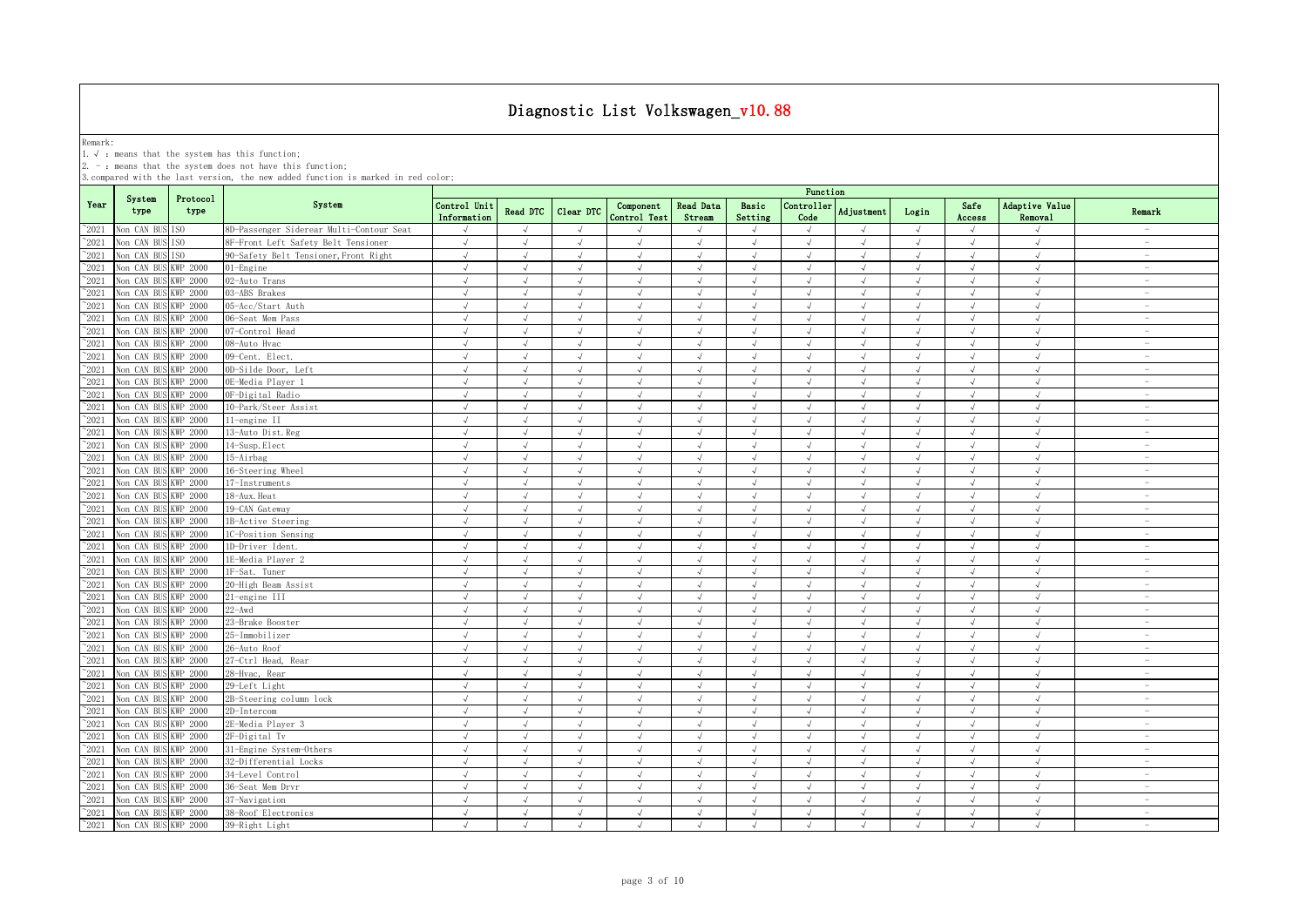Remark:<br>1.√ : means that the system has this function;<br>2. - : means that the system does not have this function;

|                |                      |                  |                                          | Function                    |               |            |                           |                            |                  |                    |                         |            |                |                           |                                    |
|----------------|----------------------|------------------|------------------------------------------|-----------------------------|---------------|------------|---------------------------|----------------------------|------------------|--------------------|-------------------------|------------|----------------|---------------------------|------------------------------------|
| Year           | System<br>type       | Protocol<br>type | System                                   | Control Unit<br>Information | Read DTC      | Clear DTC  | Component<br>Control Test | <b>Read Data</b><br>Stream | Basic<br>Setting | Controller<br>Code | Adjustment              | Login      | Safe<br>Access | Adaptive Value<br>Removal | Remark                             |
| $^{\sim}$ 2021 | Non CAN BUS ISO      |                  | 8D-Passenger Siderear Multi-Contour Seat |                             | $\mathcal{A}$ | $\sqrt{ }$ |                           |                            | $\sqrt{ }$       | $\sqrt{ }$         |                         | $\sqrt{ }$ |                |                           | $\overline{\phantom{a}}$           |
| $^{\sim}2021$  | Non CAN BUS          | TS <sub>0</sub>  | 8F-Front Left Safety Belt Tensioner      | $\sqrt{ }$                  | $\sqrt{ }$    | $\sqrt{ }$ | $\sqrt{ }$                | $\sqrt{ }$                 | $\sqrt{ }$       | $\sqrt{ }$         | $\sqrt{ }$              | $\sqrt{ }$ | $\sqrt{ }$     | $\sqrt{ }$                | $\sim$                             |
| $^{\sim}2021$  | Non CAN BUS          | TS <sub>0</sub>  | 90-Safety Belt Tensioner, Front Right    | $\sqrt{ }$                  | $\sqrt{ }$    | $\sqrt{ }$ | $\sqrt{ }$                | $\sqrt{ }$                 | $\sqrt{ }$       | $\sqrt{ }$         | $\sqrt{ }$              | $\sqrt{ }$ | $\sqrt{ }$     | $\sqrt{ }$                | $\overline{\phantom{a}}$           |
| $^{\sim}2021$  | Non CAN BUS          | KWP 2000         | $01$ -Engine                             | $\sqrt{ }$                  | $\sqrt{ }$    | $\sqrt{ }$ | $\sqrt{ }$                | $\sqrt{ }$                 | $\sqrt{ }$       | $\sqrt{ }$         | $\sqrt{ }$              | $\sqrt{ }$ | $\sqrt{ }$     | $\sqrt{ }$                | $\overline{\phantom{a}}$           |
| $^{\sim}2021$  | Non CAN BUS          | KWP 2000         | 02-Auto Trans                            | $\sqrt{ }$                  | $\sqrt{ }$    | $\sqrt{ }$ | $\sqrt{ }$                | $\sqrt{ }$                 | $\sqrt{ }$       | $\sqrt{ }$         | $\sqrt{ }$              | $\sqrt{ }$ | $\sqrt{ }$     | $\sqrt{ }$                | $\hspace{0.1mm}-\hspace{0.1mm}$    |
| $^{\sim}2021$  | Non CAN BUS          | KWP 2000         | 03-ABS Brakes                            | $\sqrt{ }$                  | $\sqrt{ }$    | $\sqrt{ }$ | $\sqrt{ }$                | $\sqrt{ }$                 | $\sqrt{ }$       | $\sqrt{ }$         | $\sqrt{ }$              | $\sqrt{ }$ | $\sqrt{ }$     | $\sqrt{ }$                | $\overline{\phantom{a}}$           |
| $^{\sim}2021$  | Non CAN BUS          | WP 2000          | 05-Acc/Start Auth                        | $\sqrt{ }$                  | $\sqrt{ }$    | $\sqrt{ }$ | $\sqrt{ }$                | J                          | $\sqrt{ }$       | $\sqrt{ }$         | $\sqrt{ }$              | $\sqrt{ }$ | $\sqrt{ }$     | $\sqrt{ }$                | $\sim$                             |
| 2021           | Non CAN BUS          | KWP 2000         | 06-Seat Mem Pass                         | $\sqrt{ }$                  | $\sqrt{ }$    | $\sqrt{ }$ | J                         | $\sqrt{ }$                 | $\sqrt{ }$       | $\sqrt{ }$         | $\sqrt{ }$              | $\sqrt{ }$ | $\sqrt{ }$     | $\sqrt{ }$                | $\sim$                             |
| 2021           | Non CAN BUS          | KWP 2000         | 07-Control Head                          | $\sqrt{ }$                  | $\mathcal{L}$ | $\sqrt{ }$ |                           |                            | $\mathcal{A}$    | $\sqrt{ }$         | $\mathcal{L}$           | $\sqrt{ }$ | $\sqrt{ }$     | $\mathcal{N}$             | $\overline{\phantom{a}}$           |
| 2021           | Non CAN BUS          | KWP 2000         | 08-Auto Hvac                             | $\sqrt{ }$                  | $\sqrt{ }$    | $\sqrt{ }$ | $\sqrt{ }$                | $\sqrt{ }$                 | $\sqrt{ }$       | $\sqrt{ }$         | $\sqrt{ }$              | $\sqrt{ }$ | $\sqrt{ }$     | $\sqrt{ }$                | $\overline{\phantom{a}}$           |
| 2021           | Non CAN BUS          | KWP 2000         | 09-Cent. Elect.                          | $\sqrt{ }$                  | $\sqrt{ }$    | $\sqrt{ }$ | $\sqrt{ }$                | $\sqrt{ }$                 | $\sqrt{ }$       | $\sqrt{ }$         | $\sqrt{ }$              | $\sqrt{ }$ | $\sqrt{ }$     | $\sqrt{ }$                | $\overline{\phantom{m}}$           |
| $^{\sim}$ 2021 | Non CAN BUS          | KWP 2000         | 0D-Silde Door, Left                      | $\sqrt{ }$                  | $\sqrt{ }$    | $\sqrt{ }$ | $\sqrt{ }$                | $\sqrt{ }$                 | $\sqrt{ }$       | $\sqrt{ }$         | $\lambda$               | $\sqrt{ }$ | $\sqrt{ }$     | $\sqrt{ }$                | $\overline{\phantom{0}}$           |
| $^{\sim}2021$  | Non CAN BUS          | KWP 2000         | OE-Media Plaver 1                        | $\sqrt{ }$                  | $\sqrt{ }$    | $\sqrt{ }$ | $\sqrt{ }$                | $\sqrt{ }$                 | $\sqrt{ }$       | $\sqrt{ }$         | $\sqrt{ }$              | $\sqrt{ }$ | $\sqrt{ }$     | $\sqrt{ }$                | $\overline{\phantom{a}}$           |
| $^{\sim}$ 2021 | Non CAN BUS          | KWP 2000         | OF-Digital Radio                         | $\sqrt{ }$                  | $\sqrt{ }$    | $\sqrt{ }$ | $\sqrt{ }$                | $\sqrt{ }$                 | $\sqrt{ }$       | $\sqrt{ }$         | $\sqrt{ }$              | $\sqrt{ }$ | $\sqrt{ }$     | $\sqrt{ }$                | $\sim$                             |
| $\degree$ 2021 | Non CAN BUS          | <b>KWP 2000</b>  | 10-Park/Steer Assist                     | $\sqrt{ }$                  | $\sqrt{ }$    | $\sqrt{ }$ | $\sqrt{ }$                | $\sqrt{ }$                 | $\sqrt{ }$       | $\sqrt{ }$         | $\sqrt{ }$              | $\sqrt{ }$ | $\sqrt{ }$     | $\sqrt{ }$                | $\sim$                             |
| $\degree$ 2021 | Non CAN BUS          | KWP 2000         | 11-engine II                             | $\sqrt{ }$                  | $\sqrt{ }$    | $\sqrt{ }$ | $\sqrt{ }$                | $\sqrt{ }$                 | $\sqrt{ }$       | $\sqrt{ }$         | $\lambda$               | $\sqrt{ }$ | $\sqrt{ }$     | $\sqrt{ }$                | $\overline{\phantom{a}}$           |
| $^{\sim}2021$  | Non CAN BUS          | KWP 2000         | 13-Auto Dist. Reg                        | $\sqrt{ }$                  | $\sqrt{ }$    | $\sqrt{ }$ | $\sqrt{ }$                | $\sqrt{ }$                 | $\sqrt{ }$       | $\sqrt{ }$         | $\sqrt{ }$              | $\sqrt{ }$ | $\sqrt{ }$     | $\sqrt{ }$                | $\sim$                             |
| $^{\sim}2021$  | Non CAN BU           | KWP 2000         | 14-Susp. Elect                           | $\sqrt{ }$                  | $\sqrt{ }$    | $\sqrt{ }$ | $\sqrt{ }$                | $\sqrt{ }$                 | $\sqrt{ }$       | $\sqrt{ }$         | $\sqrt{ }$              | $\sqrt{ }$ | $\sqrt{ }$     | $\sqrt{ }$                | $\overline{\phantom{a}}$           |
| $^{\sim}2021$  | Non CAN BUS          | KWP 2000         | 15-Airbag                                | $\sqrt{ }$                  | $\sqrt{ }$    | $\sqrt{ }$ | $\sqrt{ }$                | $\sqrt{ }$                 | $\sqrt{ }$       | $\sqrt{ }$         | $\sqrt{ }$              | $\sqrt{ }$ | $\sqrt{ }$     | $\sqrt{ }$                | $\overline{\phantom{a}}$           |
| $^{\sim}2021$  | Non CAN BUS          | KWP 2000         | 16-Steering Wheel                        | $\sqrt{ }$                  | $\sqrt{ }$    | $\sqrt{ }$ | $\sqrt{ }$                | $\sqrt{ }$                 | $\sqrt{ }$       | $\sqrt{ }$         | $\sqrt{ }$              | $\sqrt{ }$ | $\sqrt{ }$     | $\sqrt{ }$                | $\overline{\phantom{a}}$           |
| $^{\sim}2021$  | Non CAN BUS          | WP 2000          | 17-Instruments                           | $\sqrt{ }$                  | $\sqrt{ }$    | $\sqrt{ }$ | $\sqrt{ }$                | $\sqrt{ }$                 | $\sqrt{ }$       | $\sqrt{ }$         | $\sqrt{ }$              | $\sqrt{ }$ | $\sqrt{ }$     | $\sqrt{ }$                | $\sim$                             |
| $\degree$ 2021 | Non CAN BUS          | KWP 2000         | 18-Aux. Heat                             | $\sqrt{ }$                  | $\sqrt{ }$    | $\sqrt{ }$ | $\sqrt{ }$                | $\sqrt{ }$                 | $\sqrt{ }$       | $\sqrt{ }$         | $\sqrt{ }$              | $\sqrt{ }$ | $\sqrt{ }$     | $\sqrt{ }$                | $\sim$                             |
| 2021           | Non CAN BUS          | KWP 2000         | 19-CAN Gateway                           | $\sqrt{ }$                  | $\sqrt{ }$    | $\sqrt{ }$ | $\sqrt{ }$                | $\sqrt{ }$                 | $\sqrt{ }$       | $\sqrt{ }$         | $\sqrt{ }$              | $\sqrt{ }$ | $\sqrt{ }$     | $\sqrt{ }$                | $\sim$                             |
| $^{\circ}2021$ | Non CAN BUS          | KWP 2000         | 1B-Active Steering                       | $\sqrt{ }$                  |               |            |                           |                            |                  | $\sqrt{ }$         |                         |            |                | $\sqrt{ }$                | $\overline{\phantom{a}}$           |
| 2021           | Non CAN BUS          | KWP 2000         | 1C-Position Sensing                      | J                           | $\mathcal{L}$ |            |                           |                            | $\sqrt{ }$       | $\sqrt{ }$         |                         | J          |                | $\sqrt{ }$                | $\overline{\phantom{a}}$           |
| 2021           | Non CAN BUS          | KWP 2000         | 1D-Driver Ident.                         | $\sqrt{ }$                  |               | $\sqrt{ }$ | $\sqrt{ }$                |                            | $\mathcal{L}$    | $\mathcal{N}$      |                         | $\sqrt{ }$ | J              | $\mathcal{N}$             | $\overline{\phantom{a}}$           |
| $^{\sim}$ 2021 | Non CAN BUS          | KWP 2000         | 1E-Media Player 2                        | $\sqrt{ }$                  |               | $\sqrt{ }$ |                           |                            | J                | $\sqrt{ }$         |                         | $\sqrt{ }$ | $\sqrt{ }$     | $\sqrt{ }$                | $\overline{\phantom{a}}$           |
| $^{\sim}2021$  | Non CAN BUS          | <b>KWP 2000</b>  | 1F-Sat. Tuner                            | $\sqrt{ }$                  | $\sqrt{ }$    | $\sqrt{ }$ | $\sqrt{ }$                | $\sqrt{ }$                 | $\sqrt{ }$       | $\sqrt{ }$         | $\sqrt{ }$              | $\sqrt{ }$ | $\sqrt{ }$     | $\sqrt{ }$                | $\sim$                             |
| $^{\sim}$ 2021 | Non CAN BUS          | <b>KWP 2000</b>  | 20-High Beam Assist                      | $\sqrt{ }$                  | $\sqrt{ }$    | $\sqrt{ }$ | $\sqrt{ }$                | $\sqrt{ }$                 | $\sqrt{ }$       | $\sqrt{ }$         | $\lambda$               | $\sqrt{ }$ | $\sqrt{ }$     | $\sqrt{ }$                | $\sim$                             |
| $^{\sim}2021$  | Non CAN BUS          | <b>KWP 2000</b>  | 21-engine III                            | $\sqrt{ }$                  | $\sqrt{ }$    | $\sqrt{ }$ | $\sqrt{ }$                | $\sqrt{ }$                 | $\sqrt{ }$       | $\sqrt{ }$         | $\sqrt{ }$              | $\sqrt{ }$ | $\sqrt{ }$     | $\sqrt{ }$                | $\sim$                             |
| $^{\sim}$ 2021 | Non CAN BUS          | KWP 2000         | $22 - Awd$                               | $\sqrt{ }$                  | $\sqrt{ }$    | $\sqrt{ }$ | $\sqrt{ }$                | $\sqrt{ }$                 | $\sqrt{ }$       | $\sqrt{ }$         | $\mathcal{A}$           | $\sqrt{ }$ | $\sqrt{ }$     | $\sqrt{ }$                | $\overline{\phantom{a}}$           |
| $\degree$ 2021 | Non CAN BUS          | <b>KWP 2000</b>  | 23-Brake Booster                         | $\sqrt{ }$                  | $\sqrt{ }$    | $\sqrt{ }$ | $\sqrt{ }$                | $\sqrt{ }$                 | $\sqrt{ }$       | $\sqrt{ }$         | $\sqrt{ }$              | $\sqrt{ }$ | $\sqrt{ }$     | $\sqrt{ }$                | $\sim$                             |
| $^{\sim}2021$  | Non CAN BUS          | <b>KWP 2000</b>  | 25-Immobilizer                           | $\sqrt{ }$                  | $\sqrt{ }$    | $\sqrt{ }$ | $\sqrt{ }$                | $\sqrt{ }$                 | $\sqrt{ }$       | $\sqrt{ }$         | $\sqrt{ }$              | $\sqrt{ }$ | $\sqrt{ }$     | $\sqrt{ }$                | $\overline{\phantom{a}}$           |
| $^{\sim}2021$  | Non CAN BUS          | <b>KWP 2000</b>  | 26-Auto Roof                             | $\sqrt{ }$                  | $\sqrt{ }$    | $\sqrt{ }$ | $\sqrt{ }$                | $\sqrt{ }$                 | $\sqrt{ }$       | $\sqrt{ }$         | $\sqrt{ }$              | $\sqrt{ }$ | $\sqrt{ }$     | $\sqrt{ }$                | $\overline{\phantom{a}}$           |
| $^{\sim}2021$  | Non CAN BUS          | KWP 2000         | 27-Ctrl Head, Rear                       | $\sqrt{ }$                  | $\mathcal{A}$ | $\sqrt{ }$ | $\sqrt{ }$                | $\sqrt{ }$                 | $\sqrt{ }$       | $\sqrt{ }$         | $\mathcal{A}$           | $\sqrt{ }$ | $\sqrt{ }$     | $\sqrt{ }$                | $\overline{\phantom{a}}$           |
| $\degree$ 2021 | Non CAN BUS          | WP 2000          | 28-Hvac, Rear                            | $\sqrt{ }$                  | $\sqrt{ }$    | $\sqrt{ }$ | $\sqrt{ }$                | $\sqrt{ }$                 | $\sqrt{ }$       | $\sqrt{ }$         | $\sqrt{ }$              | $\sqrt{ }$ | $\sqrt{ }$     | $\sqrt{ }$                | $\overline{\phantom{a}}$           |
| $^{\sim}2021$  | Non CAN BUS          | WP 2000          | 29-Left Light                            | $\sqrt{ }$                  | $\sqrt{ }$    | $\sqrt{ }$ | $\sqrt{ }$                | $\sqrt{ }$                 | $\sqrt{ }$       | $\sqrt{ }$         | $\sqrt{ }$              | $\sqrt{ }$ | $\sqrt{ }$     | $\sqrt{ }$                | $\sim$                             |
| $^{\sim}2021$  | Non CAN BUS          | WP 2000          | 2B-Steering column lock                  | $\sqrt{ }$                  | $\sqrt{ }$    | $\sqrt{ }$ | $\sqrt{ }$                | $\sqrt{ }$                 | $\sqrt{ }$       | $\sqrt{ }$         | $\sqrt{ }$              | $\sqrt{ }$ | $\sqrt{}$      | $\sqrt{ }$                | $\hspace{0.1mm}-\hspace{0.1mm}$    |
| 2021           | Non CAN BUS          | WP 2000          | 2D-Intercom                              | $\sqrt{ }$                  | $\mathcal{L}$ | $\sqrt{ }$ |                           |                            | $\mathcal{A}$    | $\sqrt{ }$         | $\cdot$                 | $\sqrt{ }$ | $\sqrt{ }$     | $\mathcal{N}$             | $\overline{\phantom{a}}$           |
| 2021           | Non CAN BUS          | KWP 2000         | 2E-Media Player 3                        | $\sqrt{ }$                  | $\sqrt{ }$    | $\sqrt{ }$ | $\sqrt{ }$                | $\sqrt{ }$                 | $\sqrt{ }$       | $\sqrt{ }$         | $\sqrt{ }$              | $\sqrt{ }$ | $\sqrt{ }$     | $\sqrt{ }$                | $\overline{\phantom{a}}$           |
| 2021           | Non CAN BUS          | KWP 2000         | 2F-Digital Tv                            | $\sqrt{ }$                  | $\sqrt{ }$    | $\sqrt{ }$ | $\sqrt{ }$                | J                          | $\sqrt{ }$       | $\sqrt{ }$         | $\sqrt{ }$              | $\sqrt{ }$ | $\sqrt{ }$     | $\sqrt{ }$                | $\overline{\phantom{m}}$           |
| $^{\sim}2021$  | Non CAN BUS          | KWP 2000         | 31-Engine System-Others                  | $\sqrt{ }$                  | $\mathcal{A}$ | $\sqrt{ }$ | $\sqrt{ }$                | $\sqrt{ }$                 | $\sqrt{ }$       | $\sqrt{ }$         | $\mathcal{A}$           | $\sqrt{ }$ | $\sqrt{ }$     | $\sqrt{ }$                | $\overline{\phantom{m}}$           |
| $^{\sim}2021$  | Non CAN BUS          | KWP 2000         | 32-Differential Locks                    | $\sqrt{ }$                  | $\sqrt{ }$    | $\sqrt{ }$ | $\sqrt{ }$                | $\sqrt{ }$                 | $\sqrt{ }$       | $\sqrt{ }$         | $\lambda$               | $\sqrt{ }$ | $\sqrt{ }$     | $\sqrt{ }$                | $\overline{\phantom{0}}$           |
| $^{\sim}$ 2021 | Non CAN BUS          | KWP 2000         | 34-Level Control                         | $\sqrt{ }$                  | $\sqrt{ }$    | $\sqrt{ }$ | $\sqrt{ }$                | $\sqrt{ }$                 | $\sqrt{ }$       | $\sqrt{ }$         | $\sqrt{ }$              | $\sqrt{ }$ | $\sqrt{ }$     | $\sqrt{ }$                | $\overline{\phantom{a}}$           |
| $\degree$ 2021 | Non CAN BUS          | <b>KWP 2000</b>  | 36-Seat Mem Drvr                         | $\sqrt{ }$                  | $\sqrt{ }$    | $\sqrt{ }$ | $\sqrt{ }$                | $\sqrt{ }$<br>$\sqrt{ }$   | $\sqrt{ }$       | $\sqrt{ }$         | $\sqrt{ }$<br>$\lambda$ | $\sqrt{ }$ | $\sqrt{ }$     | $\sqrt{ }$                | $\sim$<br>$\overline{\phantom{a}}$ |
| $^{\sim}$ 2021 | Non CAN BU           | KWP 2000         | 37-Navigation                            | $\sqrt{ }$                  | $\sqrt{ }$    | $\sqrt{ }$ | $\sqrt{ }$                |                            | $\sqrt{ }$       | $\sqrt{ }$         |                         | $\sqrt{ }$ | $\sqrt{ }$     | $\sqrt{ }$                |                                    |
| $\degree$ 2021 | Non CAN BUS KWP 2000 |                  | 38-Roof Electronics                      | $\sqrt{ }$                  | $\sqrt{ }$    | $\sqrt{ }$ | $\sqrt{ }$                | $\sqrt{ }$                 | $\sqrt{ }$       | $\sqrt{ }$         | $\sqrt{ }$              | $\sqrt{ }$ | $\sqrt{ }$     | $\sqrt{ }$                | $\overline{\phantom{a}}$           |
| $^{\sim}$ 2021 | Non CAN BUS KWP 2000 |                  | 39-Right Light                           | $\sqrt{ }$                  | $\mathcal{A}$ | $\sqrt{ }$ | $\sqrt{ }$                | $\sqrt{ }$                 | $\sqrt{ }$       | $\mathcal{L}$      | $\sqrt{ }$              | $\sqrt{ }$ | $\sqrt{ }$     | $\sqrt{ }$                | $\sim$                             |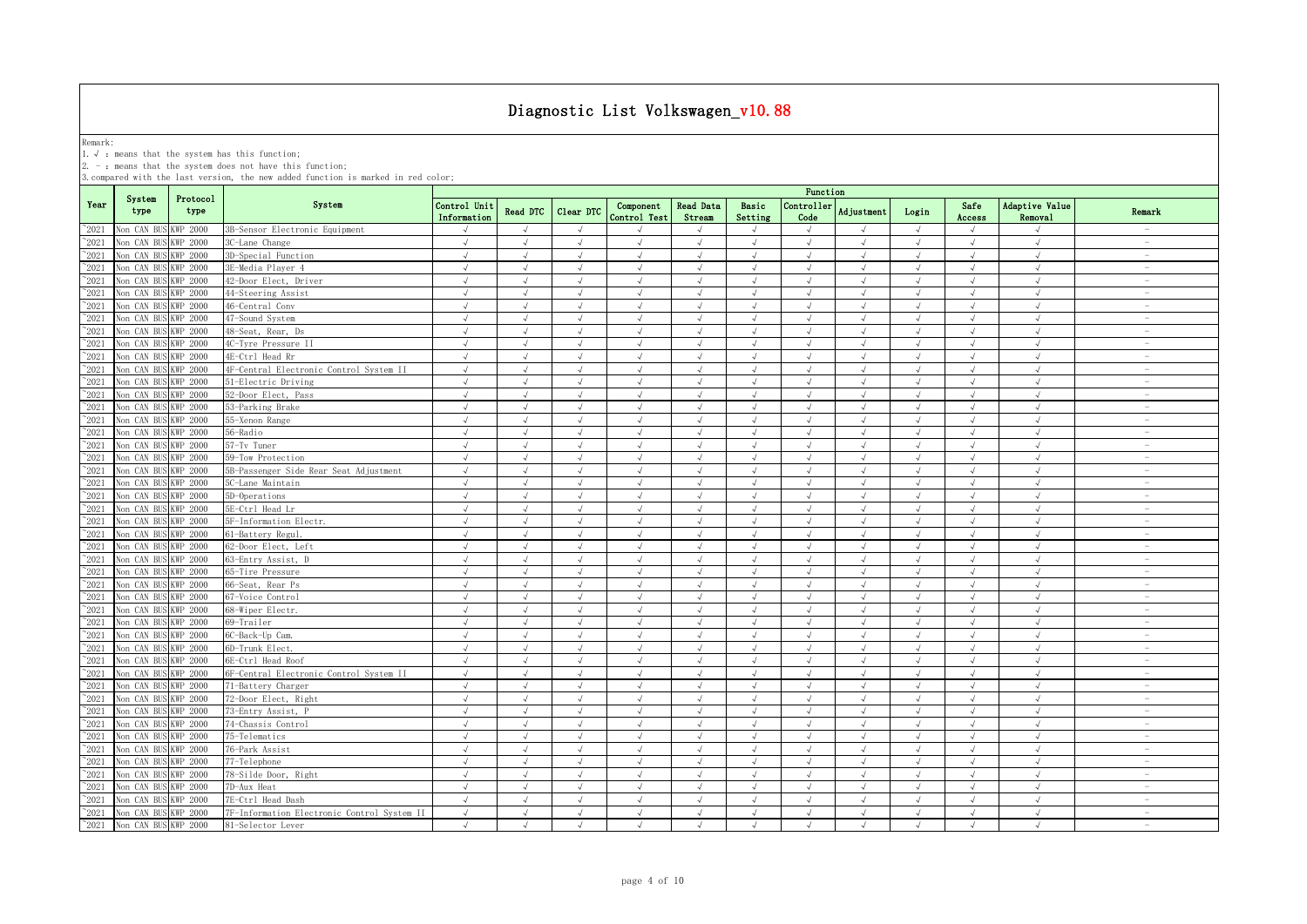Remark:<br>1.√ : means that the system has this function;<br>2. - : means that the system does not have this function;

|                |                      |                  |                                             | Function                    |               |               |                           |                            |                  |                    |               |            |                |                                  |                                 |
|----------------|----------------------|------------------|---------------------------------------------|-----------------------------|---------------|---------------|---------------------------|----------------------------|------------------|--------------------|---------------|------------|----------------|----------------------------------|---------------------------------|
| Year           | System<br>type       | Protocol<br>type | System                                      | Control Unit<br>Information | Read DTC      | Clear DTC     | Component<br>Control Test | <b>Read Data</b><br>Stream | Basic<br>Setting | Controller<br>Code | Adjustment    | Login      | Safe<br>Access | <b>Adaptive Value</b><br>Removal | Remark                          |
| $^{\sim}$ 2021 | Non CAN BUS KWP 2000 |                  | 3B-Sensor Electronic Equipment              |                             | $\mathcal{L}$ | $\sqrt{ }$    |                           |                            | $\sqrt{ }$       |                    |               | $\sqrt{ }$ |                |                                  |                                 |
| $^{\sim}$ 2021 | Non CAN BUS KWP 2000 |                  | 3C-Lane Change                              | $\sqrt{ }$                  | $\sqrt{ }$    | $\sqrt{ }$    | $\sqrt{ }$                | $\sqrt{ }$                 | $\sqrt{ }$       | $\sqrt{ }$         | $\sqrt{ }$    | $\sqrt{ }$ | $\sqrt{ }$     | $\sqrt{ }$                       | $\sim$                          |
| $^{\sim}$ 2021 | Non CAN BUS KWP 2000 |                  | 3D-Special Function                         | $\sqrt{ }$                  | $\sqrt{ }$    | $\sqrt{ }$    | $\sqrt{ }$                | $\sqrt{ }$                 | $\sqrt{ }$       | $\sqrt{ }$         | $\sqrt{ }$    | $\sqrt{ }$ | $\sqrt{ }$     | $\sqrt{ }$                       | $\overline{\phantom{0}}$        |
| $^{\sim}2021$  | Non CAN BUS KWP 2000 |                  | 3E-Media Player 4                           | $\sqrt{ }$                  | $\sqrt{ }$    | $\sqrt{ }$    | $\sqrt{ }$                | $\sqrt{ }$                 | $\sqrt{ }$       | $\sqrt{ }$         | $\sqrt{ }$    | $\sqrt{ }$ | $\sqrt{ }$     | $\sqrt{ }$                       | $\overline{\phantom{a}}$        |
| $\degree$ 2021 | Non CAN BUS KWP 2000 |                  | 42-Door Elect, Driver                       | $\sqrt{ }$                  | $\sqrt{ }$    | $\sqrt{ }$    | $\sqrt{ }$                | $\sqrt{ }$                 | $\sqrt{ }$       | $\sqrt{ }$         | $\sqrt{ }$    | $\sqrt{ }$ | $\sqrt{ }$     | $\sqrt{ }$                       | $\sim$                          |
| $^{\sim}$ 2021 | Non CAN BUS KWP 2000 |                  | 44-Steering Assist                          | $\sqrt{ }$                  | $\sqrt{ }$    | $\sqrt{ }$    | $\sqrt{ }$                | $\sqrt{ }$                 | $\sqrt{ }$       | $\sqrt{ }$         | $\sqrt{ }$    | $\sqrt{ }$ | $\sqrt{ }$     | $\sqrt{2}$                       | $\overline{\phantom{a}}$        |
| $^{\circ}2021$ | Non CAN BUS KWP 2000 |                  | 46-Central Conv                             | $\sqrt{ }$                  | $\sqrt{ }$    | $\sqrt{ }$    | $\sqrt{ }$                | $\sqrt{ }$                 | $\sqrt{}$        | $\sqrt{ }$         | $\sqrt{ }$    | $\sqrt{ }$ | $\sqrt{ }$     | $\sqrt{ }$                       | $\sim$                          |
| $^{\sim}$ 2021 | Non CAN BUS KWP 2000 |                  | 47-Sound System                             | J                           | $\sqrt{ }$    | $\sqrt{ }$    | $\sqrt{ }$                | $\sqrt{ }$                 | $\sqrt{ }$       | $\sqrt{ }$         | $\sqrt{ }$    | $\sqrt{ }$ | $\sqrt{ }$     | $\sqrt{ }$                       | $\sim$                          |
| $^{\circ}2021$ | Non CAN BUS KWP 2000 |                  | 48-Seat, Rear, Ds                           | J                           | $\mathcal{L}$ | J             | $\sqrt{ }$                |                            | $\sqrt{ }$       | $\sqrt{ }$         | $\mathcal{L}$ | $\sqrt{ }$ | $\sqrt{ }$     | $\sqrt{ }$                       | $\equiv$                        |
| $^{\circ}2021$ | Non CAN BUS KWP 2000 |                  | 4C-Tyre Pressure II                         | $\sqrt{ }$                  | $\sqrt{ }$    | $\sqrt{ }$    | $\sqrt{ }$                | $\sqrt{ }$                 | $\sqrt{ }$       | $\sqrt{ }$         | $\sqrt{ }$    | $\sqrt{ }$ | $\sqrt{ }$     | $\sqrt{ }$                       | $\overline{\phantom{a}}$        |
| $^{\sim}$ 2021 | Non CAN BUS KWP 2000 |                  | 4E-Ctrl Head Rr                             | $\sqrt{ }$                  | $\sqrt{ }$    | $\sqrt{ }$    | $\sqrt{ }$                |                            | $\sqrt{ }$       | $\sqrt{ }$         | $\sqrt{ }$    | $\sqrt{ }$ | $\sqrt{ }$     | $\sqrt{ }$                       | $\overline{\phantom{m}}$        |
| $^{\sim}$ 2021 | Non CAN BUS KWP 2000 |                  | 4F-Central Electronic Control System II     | $\sqrt{ }$                  | $\sqrt{ }$    | $\sqrt{ }$    | $\sqrt{ }$                | $\sqrt{ }$                 | $\sqrt{ }$       | $\sqrt{ }$         | $\lambda$     | $\sqrt{ }$ | $\sqrt{ }$     | $\sqrt{ }$                       | $\overline{\phantom{0}}$        |
| $^{\sim}$ 2021 | Non CAN BUS KWP 2000 |                  | 51-Electric Driving                         | $\sqrt{ }$                  | $\sqrt{ }$    | $\sqrt{ }$    | $\sqrt{ }$                | $\sqrt{ }$                 | $\sqrt{ }$       | $\sqrt{ }$         | $\sqrt{ }$    | $\sqrt{ }$ | $\sqrt{ }$     | $\sqrt{ }$                       | $\overline{\phantom{a}}$        |
| $^{\sim}2021$  | Non CAN BUS KWP 2000 |                  | 52-Door Elect, Pass                         | $\sqrt{ }$                  | $\sqrt{ }$    | $\sqrt{ }$    | $\sqrt{ }$                | $\sqrt{ }$                 | $\sqrt{ }$       | $\sqrt{ }$         | $\sqrt{ }$    | $\sqrt{ }$ | $\sqrt{ }$     | $\sqrt{ }$                       | $\sim$                          |
| $^{\sim}$ 2021 | Non CAN BUS KWP 2000 |                  | 53-Parking Brake                            | $\sqrt{ }$                  | $\sqrt{ }$    | $\sqrt{ }$    | $\sqrt{ }$                | $\sqrt{ }$                 | $\sqrt{ }$       | $\sqrt{ }$         | $\sqrt{ }$    | $\sqrt{ }$ | $\sqrt{ }$     | $\sqrt{ }$                       | $\sim$                          |
| $^{\sim}$ 2021 | Non CAN BUS KWP 2000 |                  | 55-Xenon Range                              | $\sqrt{ }$                  | $\sqrt{ }$    | $\sqrt{ }$    | $\sqrt{ }$                | $\sqrt{ }$                 | $\sqrt{ }$       | $\sqrt{ }$         | $\lambda$     | $\sqrt{ }$ | $\sqrt{ }$     | $\sqrt{ }$                       | $\sim$                          |
| $^{\sim}$ 2021 | Non CAN BUS KWP 2000 |                  | 56-Radio                                    | $\sqrt{ }$                  | $\sqrt{ }$    | $\sqrt{ }$    | $\sqrt{ }$                | $\sqrt{ }$                 | $\sqrt{ }$       | $\sqrt{ }$         | $\sqrt{ }$    | $\sqrt{ }$ | $\sqrt{ }$     | $\sqrt{ }$                       | $\sim$                          |
| $^{\sim}2021$  | Non CAN BUS KWP 2000 |                  | 57-Tv Tuner                                 | $\sqrt{ }$                  | $\sqrt{ }$    | $\sqrt{ }$    | $\sqrt{ }$                | $\sqrt{ }$                 | $\sqrt{ }$       | $\sqrt{ }$         | $\sqrt{ }$    | $\sqrt{ }$ | $\sqrt{ }$     | $\sqrt{ }$                       | $\overline{\phantom{a}}$        |
| $^{\sim}$ 2021 | Non CAN BUS KWP 2000 |                  | 59-Tow Protection                           | $\sqrt{ }$                  | $\sqrt{ }$    | $\sqrt{ }$    | $\sqrt{ }$                | $\sqrt{ }$                 | $\sqrt{ }$       | $\sqrt{ }$         | $\sqrt{ }$    | $\sqrt{ }$ | $\sqrt{ }$     | $\sqrt{ }$                       | $\overline{\phantom{a}}$        |
| $^{\sim}2021$  | Non CAN BUS KWP 2000 |                  | 5B-Passenger Side Rear Seat Adjustment      | $\sqrt{ }$                  | $\sqrt{ }$    | $\sqrt{ }$    | $\sqrt{ }$                | $\sqrt{ }$                 | $\sqrt{ }$       | $\sqrt{ }$         | $\sqrt{ }$    | $\sqrt{ }$ | $\sqrt{ }$     | $\sqrt{ }$                       | $\overline{\phantom{a}}$        |
| $^{\sim}$ 2021 | Non CAN BUS KWP 2000 |                  | 5C-Lane Maintain                            | $\sqrt{ }$                  | $\sqrt{ }$    | $\sqrt{ }$    | $\sqrt{ }$                | $\sqrt{ }$                 | $\sqrt{ }$       | $\sqrt{ }$         | $\sqrt{ }$    | $\sqrt{ }$ | $\sqrt{ }$     | $\sqrt{ }$                       | $\sim$                          |
| $^{\sim}$ 2021 | Non CAN BUS KWP 2000 |                  | 5D-Operations                               | $\sqrt{ }$                  | $\sqrt{ }$    | $\sqrt{ }$    | $\sqrt{ }$                | $\sqrt{ }$                 | $\sqrt{ }$       | $\sqrt{ }$         | $\sqrt{ }$    | $\sqrt{ }$ | $\sqrt{ }$     | $\sqrt{ }$                       | $\sim$                          |
| $^{\sim}$ 2021 | Non CAN BUS KWP 2000 |                  | 5E-Ctrl Head Lr                             | $\sqrt{ }$                  | $\sqrt{ }$    | $\sqrt{ }$    | $\sqrt{ }$                | $\sqrt{ }$                 | $\sqrt{ }$       | $\sqrt{ }$         | $\sqrt{ }$    | $\sqrt{ }$ | $\sqrt{ }$     | $\sqrt{ }$                       | $\overline{\phantom{a}}$        |
| $^{\circ}2021$ | Non CAN BUS KWP 2000 |                  | 5F-Information Electr.                      |                             |               |               |                           |                            | J                |                    |               |            |                |                                  | $\overline{\phantom{a}}$        |
| $^{\sim}$ 2021 | Non CAN BUS KWP 2000 |                  | 61-Battery Regul.                           |                             | $\cdot$       |               | J                         |                            | J                |                    |               | J          |                |                                  | $\overline{\phantom{a}}$        |
| $^{\sim}2021$  | Non CAN BUS KWP 2000 |                  | 62-Door Elect, Left                         |                             | $\sqrt{ }$    | $\mathcal{L}$ | $\mathcal{L}$             |                            | J                | $\sqrt{ }$         |               | $\sqrt{ }$ |                | $\sqrt{ }$                       | $\overline{\phantom{a}}$        |
| $^{\sim}2021$  | Non CAN BUS KWP 2000 |                  | 63-Entry Assist, D                          |                             | $\sqrt{ }$    | $\sqrt{ }$    |                           |                            | J                | $\sqrt{ }$         |               | $\sqrt{ }$ | $\sqrt{ }$     | $\sqrt{ }$                       | $\overline{\phantom{a}}$        |
| $^{\sim}$ 2021 | Non CAN BUS KWP 2000 |                  | 65-Tire Pressure                            | $\sqrt{ }$                  | $\sqrt{ }$    | $\sqrt{ }$    | $\sqrt{ }$                | $\sqrt{ }$                 | $\sqrt{ }$       | $\sqrt{ }$         | $\sqrt{ }$    | $\sqrt{ }$ | $\sqrt{ }$     | $\sqrt{ }$                       | $\sim$                          |
| $^{\sim}2021$  | Non CAN BUS KWP 2000 |                  | 66-Seat, Rear Ps                            | $\sqrt{ }$                  | $\sqrt{ }$    | $\sqrt{ }$    | $\sqrt{ }$                | $\sqrt{ }$                 | $\sqrt{ }$       | $\sqrt{ }$         | $\sqrt{ }$    | $\sqrt{ }$ | $\sqrt{ }$     | $\sqrt{ }$                       | $\sim$                          |
| $^{\sim}$ 2021 | Non CAN BUS KWP 2000 |                  | 67-Voice Control                            | $\sqrt{ }$                  | $\sqrt{ }$    | $\sqrt{ }$    | $\sqrt{ }$                | $\sqrt{ }$                 | $\sqrt{ }$       | $\sqrt{ }$         | $\sqrt{ }$    | $\sqrt{ }$ | $\sqrt{ }$     | $\sqrt{ }$                       | $\sim$                          |
| $^{\sim}2021$  | Non CAN BUS KWP 2000 |                  | 68-Wiper Electr.                            | $\sqrt{ }$                  | $\sqrt{ }$    | $\sqrt{ }$    | $\sqrt{ }$                | $\sqrt{ }$                 | $\sqrt{ }$       | $\sqrt{ }$         | $\sqrt{ }$    | $\sqrt{ }$ | $\sqrt{ }$     | $\sqrt{ }$                       | $\overline{\phantom{a}}$        |
| $^{\sim}$ 2021 | Non CAN BUS KWP 2000 |                  | 69-Trailer                                  | $\sqrt{ }$                  | $\sqrt{ }$    | $\sqrt{ }$    | $\sqrt{ }$                | $\sqrt{ }$                 | $\sqrt{ }$       | $\sqrt{ }$         | $\sqrt{ }$    | $\sqrt{ }$ | $\sqrt{ }$     | $\sqrt{ }$                       | $\sim$                          |
| $^{\sim}$ 2021 | Non CAN BUS KWP 2000 |                  | 6C-Back-Up Cam.                             | $\sqrt{ }$                  | $\sqrt{ }$    | $\sqrt{ }$    | $\sqrt{ }$                | $\sqrt{ }$                 | $\sqrt{ }$       | $\sqrt{ }$         | $\sqrt{ }$    | $\sqrt{ }$ | $\sqrt{ }$     | $\sqrt{ }$                       | $\overline{\phantom{a}}$        |
| $^{\sim}$ 2021 | Non CAN BUS KWP 2000 |                  | 6D-Trunk Elect.                             | $\sqrt{ }$                  | $\sqrt{ }$    | $\sqrt{ }$    | $\sqrt{ }$                | $\sqrt{ }$                 | $\sqrt{ }$       | $\sqrt{ }$         | $\sqrt{ }$    | $\sqrt{ }$ | $\sqrt{ }$     | $\sqrt{ }$                       | $\overline{\phantom{a}}$        |
| $^{\sim}$ 2021 | Non CAN BUS KWP 2000 |                  | 6E-Ctrl Head Roof                           | $\sqrt{ }$                  | $\sqrt{ }$    | $\sqrt{ }$    | $\sqrt{ }$                | $\sqrt{ }$                 | $\sqrt{ }$       | $\sqrt{ }$         | $\mathcal{A}$ | $\sqrt{ }$ | $\sqrt{ }$     | $\sqrt{ }$                       | $\overline{\phantom{a}}$        |
| $^{\sim}$ 2021 | Non CAN BUS KWP 2000 |                  | 6F-Central Electronic Control System II     | $\sqrt{ }$                  | $\sqrt{ }$    | $\sqrt{ }$    | $\sqrt{ }$                | $\sqrt{ }$                 | $\sqrt{ }$       | $\sqrt{ }$         | $\sqrt{ }$    | $\sqrt{ }$ | $\sqrt{ }$     | $\sqrt{ }$                       | $\overline{\phantom{a}}$        |
| $^{\sim}$ 2021 | Non CAN BUS KWP 2000 |                  | 71-Battery Charger                          | $\sqrt{ }$                  | $\sqrt{ }$    | $\sqrt{ }$    | $\sqrt{ }$                | $\sqrt{ }$                 | $\sqrt{ }$       | $\sqrt{ }$         | $\sqrt{ }$    | $\sqrt{ }$ | $\sqrt{ }$     | $\sqrt{ }$                       | $\sim$                          |
| $^{\sim}2021$  | Non CAN BUS KWP 2000 |                  | 72-Door Elect, Right                        | $\sqrt{ }$                  | $\sqrt{ }$    | $\sqrt{ }$    | $\sqrt{ }$                | $\sqrt{ }$                 | $\sqrt{ }$       | $\sqrt{ }$         | $\sqrt{ }$    | $\sqrt{ }$ | $\sqrt{ }$     | $\sqrt{2}$                       | $\hspace{0.1mm}-\hspace{0.1mm}$ |
| $^{\circ}2021$ | Non CAN BUS KWP 2000 |                  | 73-Entry Assist, P                          | J                           | $\sqrt{ }$    | $\sqrt{ }$    | $\mathcal{L}$             |                            | $\sqrt{ }$       | $\sqrt{ }$         |               | $\sqrt{ }$ | J              | $\sqrt{ }$                       | $\overline{\phantom{a}}$        |
| $^{\circ}2021$ | Non CAN BUS KWP 2000 |                  | 74-Chassis Control                          | $\sqrt{ }$                  | $\sqrt{ }$    | $\sqrt{ }$    | $\sqrt{ }$                | $\sqrt{ }$                 | $\sqrt{ }$       | $\sqrt{ }$         | $\sqrt{ }$    | $\sqrt{ }$ | $\sqrt{ }$     | $\sqrt{ }$                       | $\overline{\phantom{a}}$        |
| $^{\sim}$ 2021 | Non CAN BUS KWP 2000 |                  | 75-Telematics                               | J                           | $\sqrt{ }$    | J             | J                         |                            | $\sqrt{ }$       | $\sqrt{ }$         | $\sqrt{ }$    | $\sqrt{ }$ | $\sqrt{ }$     | $\sqrt{ }$                       | $\overline{\phantom{m}}$        |
| $^{\sim}$ 2021 | Non CAN BUS KWP 2000 |                  | 76-Park Assist                              | $\sqrt{ }$                  | $\sqrt{ }$    | $\sqrt{ }$    | $\sqrt{ }$                | $\sqrt{ }$                 | $\sqrt{ }$       | $\sqrt{ }$         |               | $\sqrt{ }$ | $\sqrt{ }$     | $\sqrt{ }$                       | $\overline{\phantom{m}}$        |
| $^{\sim}$ 2021 | Non CAN BUS KWP 2000 |                  | 77-Telephone                                | $\sqrt{ }$                  | $\sqrt{ }$    | $\sqrt{ }$    | $\sqrt{ }$                | $\sqrt{ }$                 | $\sqrt{ }$       | $\sqrt{ }$         | $\sqrt{ }$    | $\sqrt{ }$ | $\sqrt{ }$     | $\sqrt{ }$                       | $\overline{\phantom{0}}$        |
| $^{\sim}2021$  | Non CAN BUS KWP 2000 |                  | 78-Silde Door, Right                        | $\sqrt{ }$                  | $\sqrt{ }$    | $\sqrt{ }$    | $\sqrt{ }$                | $\sqrt{ }$                 | $\sqrt{ }$       | $\sqrt{ }$         | $\sqrt{ }$    | $\sqrt{ }$ | $\sqrt{ }$     | $\sqrt{ }$                       | $\overline{\phantom{0}}$        |
| $^{\sim}$ 2021 | Non CAN BUS KWP 2000 |                  | 7D-Aux Heat                                 | $\sqrt{ }$                  | $\sqrt{ }$    | $\sqrt{ }$    | $\sqrt{ }$                | $\sqrt{ }$                 | $\sqrt{ }$       | $\sqrt{ }$         | $\sqrt{ }$    | $\sqrt{ }$ | $\sqrt{ }$     | $\sqrt{ }$                       | $\sim$                          |
| $^{\sim}2021$  | Non CAN BUS          | <b>KWP 2000</b>  | 7E-Ctrl Head Dash                           | $\sqrt{ }$                  | $\sqrt{ }$    | $\sqrt{ }$    | $\sqrt{ }$                | $\sqrt{ }$                 | $\sqrt{ }$       | $\sqrt{ }$         | $\lambda$     | $\sqrt{ }$ | $\sqrt{ }$     | $\sqrt{ }$                       | $\overline{\phantom{a}}$        |
| $^{\sim}$ 2021 | Non CAN BUS KWP 2000 |                  | 7F-Information Electronic Control System II | $\sqrt{ }$                  | $\sqrt{ }$    | $\sqrt{ }$    | $\sqrt{ }$                | $\sqrt{ }$                 | $\sqrt{ }$       | $\sqrt{ }$         | $\sqrt{ }$    | $\sqrt{ }$ | $\sqrt{ }$     | $\sqrt{ }$                       | $\sim$                          |
| $^{\sim}2021$  | Non CAN BUS KWP 2000 |                  | 81-Selector Lever                           | $\sqrt{ }$                  | $\mathcal{L}$ | $\sqrt{ }$    | $\sqrt{ }$                | $\sqrt{ }$                 | $\mathcal{L}$    | $\sqrt{ }$         | $\mathcal{N}$ | $\sqrt{ }$ | $\sqrt{ }$     | $\sqrt{ }$                       | $\sim$                          |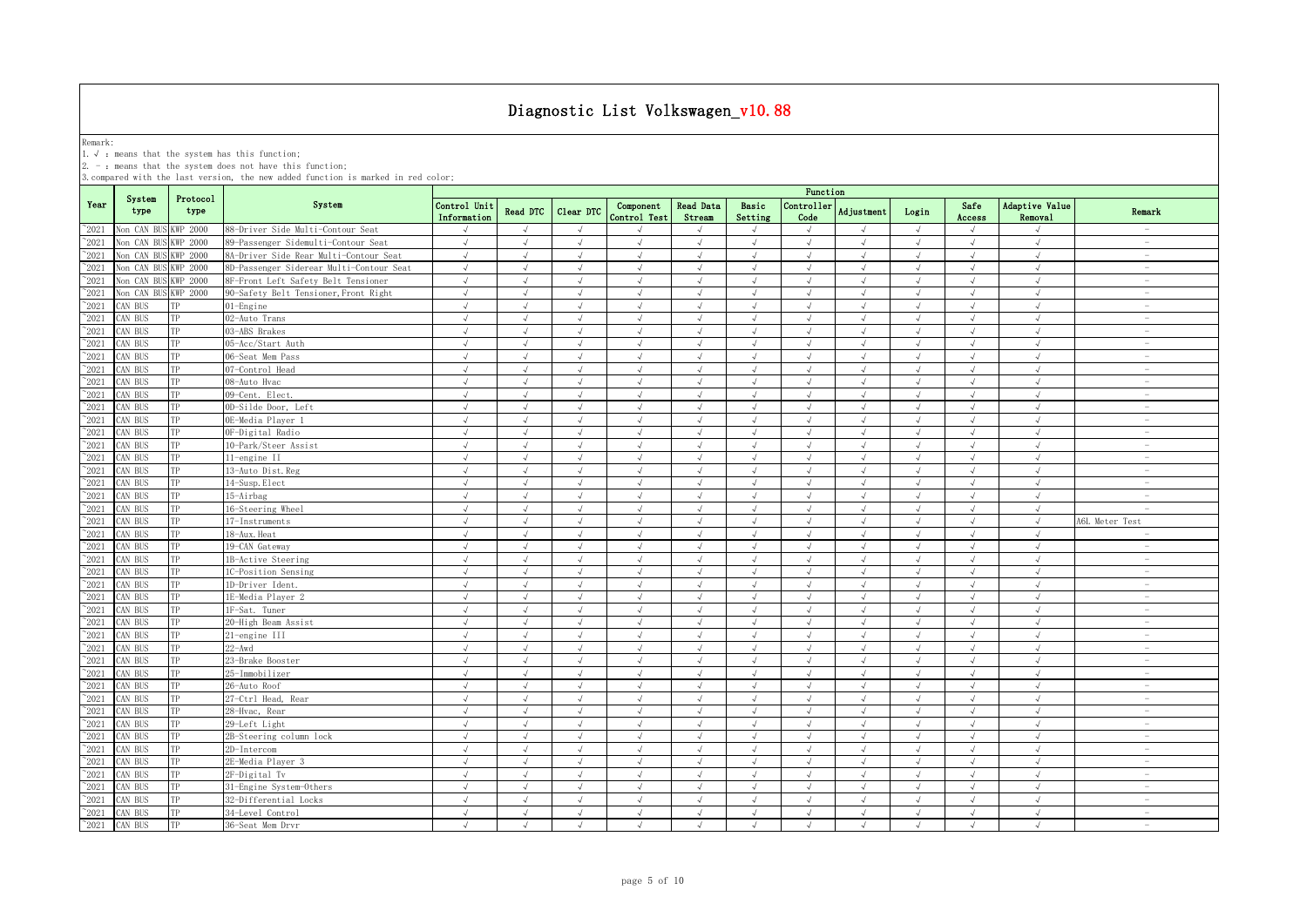Remark:<br>1.√ : means that the system has this function;<br>2. - : means that the system does not have this function;

|                 |                      |                  |                                          | Function                    |            |               |                           |                            |                  |                    |                   |            |                |                                  |                                 |
|-----------------|----------------------|------------------|------------------------------------------|-----------------------------|------------|---------------|---------------------------|----------------------------|------------------|--------------------|-------------------|------------|----------------|----------------------------------|---------------------------------|
| Year            | System<br>type       | Protocol<br>type | System                                   | Control Unit<br>Information | Read DTC   | Clear DTC     | Component<br>Control Test | <b>Read Data</b><br>Stream | Basic<br>Setting | Controller<br>Code | <b>Adjustment</b> | Login      | Safe<br>Access | <b>Adaptive Value</b><br>Removal | Remark                          |
| $^{\sim}$ 2021  | Non CAN BUS KWP 2000 |                  | 88-Driver Side Multi-Contour Seat        |                             | $\sqrt{ }$ |               |                           |                            | J                | $\sqrt{ }$         |                   | $\sqrt{ }$ | $\sqrt{ }$     | $\sqrt{ }$                       | $\overline{\phantom{a}}$        |
| $^{\sim}2021$   | Non CAN BUS KWP 2000 |                  | 89-Passenger Sidemulti-Contour Seat      | $\sqrt{ }$                  | $\sqrt{ }$ | $\sqrt{ }$    | $\sqrt{ }$                | $\sqrt{ }$                 | $\sqrt{ }$       | $\sqrt{ }$         | $\sqrt{ }$        | $\sqrt{ }$ | $\sqrt{ }$     | $\sqrt{ }$                       | $\sim$                          |
| $^{\sim}2021$   | Non CAN BUS          | <b>KWP 2000</b>  | 8A-Driver Side Rear Multi-Contour Seat   | $\sqrt{ }$                  | $\sqrt{ }$ | $\sqrt{ }$    | $\sqrt{ }$                | $\sqrt{ }$                 | $\sqrt{ }$       | $\sqrt{ }$         | $\sqrt{ }$        | $\sqrt{ }$ | $\sqrt{ }$     | $\sqrt{ }$                       | $\sim$                          |
| $^{\sim}$ 2021  | Non CAN BUS KWP 2000 |                  | 8D-Passenger Siderear Multi-Contour Seat | $\sqrt{ }$                  | $\sqrt{ }$ | $\sqrt{ }$    | $\sqrt{ }$                | $\sqrt{ }$                 | $\sqrt{ }$       | $\sqrt{ }$         | $\sqrt{ }$        | $\sqrt{ }$ | $\sqrt{ }$     | $\sqrt{ }$                       | $\sim$                          |
| $^{\sim}$ 2021  | Non CAN BUS KWP 2000 |                  | 8F-Front Left Safety Belt Tensioner      | $\sqrt{ }$                  | $\sqrt{ }$ | $\sqrt{ }$    | $\sqrt{ }$                | $\sqrt{ }$                 | $\sqrt{ }$       | $\sqrt{ }$         | $\sqrt{ }$        | $\sqrt{ }$ | $\sqrt{ }$     | $\sqrt{ }$                       | $\overline{\phantom{a}}$        |
| $^{\sim}$ 2021  | Non CAN BUS KWP 2000 |                  | 90-Safety Belt Tensioner, Front Right    | $\sqrt{ }$                  | $\sqrt{ }$ | $\sqrt{ }$    | $\sqrt{ }$                | $\sqrt{ }$                 | $\sqrt{ }$       | $\sqrt{ }$         | $\sqrt{ }$        | $\sqrt{ }$ | $\sqrt{ }$     | $\sqrt{ }$                       | $\sim$                          |
| $^{\sim}$ 2021  | CAN BUS              | TP               | 01-Engine                                | $\sqrt{ }$                  | $\sqrt{ }$ | $\sqrt{ }$    | $\sqrt{ }$                | $\sqrt{ }$                 | $\sqrt{ }$       | $\sqrt{ }$         | $\mathcal{N}$     | $\sqrt{ }$ | $\sqrt{ }$     | $\sqrt{ }$                       | $\overline{\phantom{0}}$        |
| $^{\sim}$ 2021  | CAN BUS              | TP               | 02-Auto Trans                            | $\sqrt{ }$                  | $\sqrt{ }$ | $\sqrt{ }$    | $\sqrt{ }$                | $\sqrt{ }$                 | $\sqrt{ }$       | $\sqrt{ }$         | $\sqrt{ }$        | $\sqrt{ }$ | $\sqrt{ }$     | $\sqrt{ }$                       | $\sim$                          |
| $^\sim\!\!2021$ | CAN BUS              | TP               | 03-ABS Brakes                            | $\sqrt{ }$                  | $\sqrt{ }$ | $\sqrt{ }$    | $\sqrt{ }$                | $\sqrt{ }$                 | $\sqrt{ }$       | $\sqrt{ }$         | $\sqrt{ }$        | $\sqrt{ }$ | $\sqrt{ }$     | $\sqrt{ }$                       | $\overline{\phantom{a}}$        |
| $^{\sim}$ 2021  | AN BUS               | TP               | 05-Acc/Start Auth                        | $\sqrt{ }$                  | $\sqrt{ }$ | $\sqrt{ }$    | $\sqrt{ }$                | $\sqrt{ }$                 | $\sqrt{ }$       | $\sqrt{ }$         | $\sqrt{ }$        | $\sqrt{ }$ | $\sqrt{ }$     | $\sqrt{ }$                       | $\sim$                          |
| $^{\sim}$ 2021  | CAN BUS              | TP               | 06-Seat Mem Pass                         | $\sqrt{ }$                  | $\sqrt{ }$ | $\sqrt{ }$    | $\sqrt{ }$                | $\sqrt{ }$                 | $\sqrt{}$        | $\sqrt{ }$         | $\sqrt{ }$        | $\sqrt{ }$ | $\sqrt{ }$     | $\sqrt{ }$                       | $\sim$                          |
| $^{\sim}$ 2021  | AN BUS               | TP               | 07-Control Head                          | $\sqrt{ }$                  | $\sqrt{ }$ | $\sqrt{ }$    | $\sqrt{ }$                | $\sqrt{ }$                 | $\sqrt{ }$       | $\sqrt{ }$         | $\mathcal{A}$     | $\sqrt{ }$ | $\sqrt{ }$     | $\sqrt{ }$                       | $\sim$                          |
| $^{\sim}$ 2021  | AN BUS               | TP               | 08-Auto Hvac                             | J                           | $\sqrt{ }$ | $\mathcal{L}$ | $\mathcal{L}$             |                            | $\sqrt{ }$       | $\sqrt{ }$         |                   | $\sqrt{ }$ | $\sqrt{ }$     | $\sqrt{ }$                       | $\overline{\phantom{a}}$        |
| $\gamma_{2021}$ | CAN BUS              | TP               | 09-Cent. Elect.                          | J                           | $\sqrt{ }$ | J             | J                         |                            | J                | $\sqrt{ }$         |                   | $\sqrt{ }$ | J              | $\sqrt{ }$                       | $\overline{\phantom{0}}$        |
| $^{\sim}$ 2021  | AN BUS               | TP               | 0D-Silde Door, Left                      | $\sqrt{ }$                  | $\sqrt{ }$ | $\sqrt{ }$    | $\sqrt{ }$                | $\sqrt{ }$                 | $\mathcal{L}$    | $\sqrt{ }$         | $\mathcal{A}$     | $\sqrt{ }$ | $\sqrt{ }$     | $\sqrt{ }$                       | $\overline{\phantom{a}}$        |
| $^{\sim}2021$   | CAN BUS              | TP               | 0E-Media Plaver 1                        | $\sqrt{ }$                  | $\sqrt{ }$ | $\sqrt{ }$    | $\sqrt{ }$                | $\sqrt{ }$                 | $\sqrt{ }$       | $\sqrt{ }$         | $\sqrt{ }$        | $\sqrt{ }$ | $\sqrt{ }$     | $\sqrt{ }$                       | $\overline{\phantom{a}}$        |
| $^{\sim}$ 2021  | AN BUS               | TP               | OF-Digital Radio                         | $\sqrt{ }$                  | $\sqrt{ }$ | $\sqrt{ }$    | $\sqrt{ }$                | $\sqrt{ }$                 | $\sqrt{ }$       | $\sqrt{ }$         | $\sqrt{ }$        | $\sqrt{ }$ | $\sqrt{ }$     | $\sqrt{ }$                       | $\sim$                          |
| $\gamma_{2021}$ | CAN BUS              | TP               | 10-Park/Steer Assist                     | $\sqrt{ }$                  | $\sqrt{ }$ | $\sqrt{ }$    | $\sqrt{ }$                | $\sqrt{ }$                 | $\sqrt{ }$       | $\sqrt{ }$         | $\sqrt{ }$        | $\sqrt{ }$ | $\sqrt{ }$     | $\sqrt{ }$                       | $\sim$                          |
| $\gamma$ 2021   | AN BUS               | TP               | 11-engine II                             | $\sqrt{ }$                  | $\sqrt{ }$ | $\sqrt{ }$    | $\sqrt{ }$                | $\sqrt{ }$                 | $\sqrt{ }$       | $\sqrt{ }$         | $\sqrt{ }$        | $\sqrt{ }$ | $\sqrt{ }$     | $\sqrt{ }$                       | $\sim$                          |
| $^\sim\!\!2021$ | CAN BUS              | TP               | 13-Auto Dist. Reg                        | $\sqrt{ }$                  | $\sqrt{ }$ | $\sqrt{ }$    | $\sqrt{ }$                | $\sqrt{ }$                 | $\sqrt{ }$       | $\sqrt{ }$         | $\mathcal{A}$     | $\sqrt{ }$ | J              | $\sqrt{ }$                       | $\sim$                          |
| $^{\sim}$ 2021  | CAN BUS              | TP               | 14-Susp. Elect                           | $\sqrt{ }$                  | $\sqrt{ }$ | $\sqrt{ }$    | $\sqrt{ }$                | $\sqrt{ }$                 | $\sqrt{ }$       | $\sqrt{ }$         | $\lambda$         | $\sqrt{ }$ | $\sqrt{ }$     | $\sqrt{ }$                       | $\sim$                          |
| $^{\sim}$ 2021  | CAN BUS              | TP               | 15-Airbag                                | $\sqrt{ }$                  | $\sqrt{ }$ | $\sqrt{ }$    | $\sqrt{ }$                | $\sqrt{ }$                 | $\sqrt{ }$       | $\sqrt{ }$         | $\sqrt{ }$        | $\sqrt{ }$ | $\sqrt{ }$     | $\sqrt{ }$                       | $\overline{\phantom{0}}$        |
| $^{\sim}2021$   | CAN BUS              | TP               | 16-Steering Wheel                        | $\sqrt{ }$                  | $\sqrt{ }$ | $\sqrt{ }$    | $\sqrt{ }$                | $\sqrt{ }$                 | $\sqrt{ }$       | $\sqrt{ }$         | $\sqrt{ }$        | $\sqrt{ }$ | $\sqrt{ }$     | $\sqrt{ }$                       | $\sim$                          |
| $^{\sim}$ 2021  | CAN BUS              | TP               | 17-Instruments                           | $\sqrt{ }$                  | $\sqrt{ }$ | $\sqrt{ }$    | $\sqrt{ }$                |                            | $\sqrt{ }$       | $\sqrt{ }$         | $\sqrt{ }$        | $\sqrt{ }$ | $\sqrt{ }$     | $\sqrt{ }$                       | A6L Meter Test                  |
| $^{\sim}$ 2021  | CAN BUS              | TP               | 18-Aux. Heat                             | $\sqrt{ }$                  | $\sqrt{ }$ | $\sqrt{ }$    | $\sqrt{ }$                | $\sqrt{ }$                 | $\sqrt{ }$       | $\sqrt{ }$         | $\sqrt{ }$        | $\sqrt{ }$ | $\sqrt{ }$     | $\sqrt{ }$                       | $\sim$                          |
| $^{\sim}$ 2021  | CAN BUS              | TP               | 19-CAN Gateway                           |                             | $\cdot$    |               |                           |                            |                  | $\sqrt{ }$         |                   | J          |                | $\sqrt{ }$                       | $\overline{\phantom{a}}$        |
| $^{\sim}2021$   | CAN BUS              | TP               | 1B-Active Steering                       | √                           | $\sqrt{ }$ | $\sqrt{ }$    | J                         |                            | $\sqrt{}$        | $\sqrt{ }$         |                   | $\sqrt{ }$ | $\sqrt{ }$     | $\sqrt{2}$                       | $\overline{\phantom{0}}$        |
| $\gamma_{2021}$ | CAN BUS              | TP               | 1C-Position Sensing                      | $\sqrt{ }$                  | $\sqrt{ }$ | J             | $\sqrt{ }$                |                            | J                | $\sqrt{ }$         |                   | $\sqrt{ }$ | J              | $\sqrt{ }$                       | $\overline{\phantom{a}}$        |
| $^{\sim}$ 2021  | CAN BUS              | TP               | 1D-Driver Ident.                         | J                           | $\sqrt{ }$ | $\sqrt{ }$    | $\sqrt{ }$                |                            | $\sqrt{ }$       | $\sqrt{ }$         |                   | $\sqrt{ }$ | J              | $\sqrt{ }$                       | $\overline{\phantom{m}}$        |
| $^{\sim}$ 2021  | AN BUS               | TP               | 1E-Media Player 2                        | $\sqrt{ }$                  | $\sqrt{ }$ | $\sqrt{ }$    | $\sqrt{ }$                | $\sqrt{ }$                 | $\sqrt{ }$       | $\sqrt{ }$         | $\lambda$         | $\sqrt{ }$ | $\sqrt{ }$     | $\sqrt{ }$                       | $\overline{\phantom{0}}$        |
| $^{\sim}$ 2021  | CAN BUS              | TP               | 1F-Sat. Tuner                            | $\sqrt{ }$                  | $\sqrt{ }$ | $\sqrt{ }$    | $\sqrt{ }$                | $\sqrt{ }$                 | $\sqrt{ }$       | $\sqrt{ }$         | $\sqrt{ }$        | $\sqrt{ }$ | $\sqrt{ }$     | $\sqrt{ }$                       | $\overline{\phantom{0}}$        |
| $^{\sim}$ 2021  | AN BUS               | TP               | 20-High Beam Assist                      | $\sqrt{ }$                  | $\sqrt{ }$ | $\sqrt{ }$    | $\sqrt{ }$                | $\sqrt{ }$                 | $\sqrt{ }$       | $\sqrt{ }$         | $\sqrt{ }$        | $\sqrt{ }$ | $\sqrt{ }$     | $\sqrt{ }$                       | $\sim$                          |
| $\degree$ 2021  | AN BUS               | TP               | 21-engine III                            | $\sqrt{ }$                  | $\sqrt{ }$ | $\sqrt{ }$    | $\sqrt{ }$                | $\sqrt{ }$                 | $\sqrt{ }$       | $\sqrt{ }$         | $\sqrt{ }$        | $\sqrt{ }$ | $\sqrt{ }$     | $\sqrt{ }$                       | $\overline{\phantom{a}}$        |
| $^{\sim}$ 2021  | CAN BUS              | TP               | $22 - Awd$                               | $\sqrt{ }$                  | $\sqrt{ }$ | $\sqrt{ }$    | $\sqrt{ }$                | $\sqrt{ }$                 | $\sqrt{ }$       | $\sqrt{ }$         | $\lambda$         | $\sqrt{ }$ | $\sqrt{ }$     | $\sqrt{ }$                       | $\sim$                          |
| $^{\sim}2021$   | CAN BUS              | TP               | 23-Brake Booster                         | $\sqrt{ }$                  | $\sqrt{ }$ | $\sqrt{ }$    | $\sqrt{ }$                | $\sqrt{ }$                 | $\sqrt{ }$       | $\sqrt{ }$         | $\sqrt{ }$        | $\sqrt{ }$ | $\sqrt{ }$     | $\sqrt{ }$                       | $\overline{\phantom{a}}$        |
| $^{\sim}$ 2021  | CAN BUS              | TP               | 25-Immobilizer                           | $\sqrt{ }$                  | $\sqrt{ }$ | $\sqrt{ }$    | $\sqrt{ }$                | $\sqrt{ }$                 | $\sqrt{ }$       | $\sqrt{ }$         | $\sqrt{ }$        | $\sqrt{ }$ | $\sqrt{ }$     | $\sqrt{ }$                       | $\sim$                          |
| $\gamma_{2021}$ | CAN BUS              | TP               | 26-Auto Roof                             | $\sqrt{ }$                  | $\sqrt{ }$ | $\sqrt{ }$    | $\sqrt{ }$                | $\sqrt{ }$                 | $\sqrt{ }$       | $\sqrt{ }$         | $\sqrt{ }$        | $\sqrt{ }$ | $\sqrt{ }$     | $\sqrt{ }$                       | $\overline{\phantom{a}}$        |
| $^{\sim}$ 2021  | AN BUS               | TP               | 27-Ctrl Head, Rear                       | $\sqrt{ }$                  | $\sqrt{ }$ | $\sqrt{ }$    | $\sqrt{ }$                | $\sqrt{ }$                 | $\sqrt{ }$       | $\sqrt{ }$         | $\sqrt{ }$        | $\sqrt{ }$ | $\sqrt{ }$     | $\sqrt{ }$                       | $\overline{\phantom{a}}$        |
| $^{\sim}$ 2021  | AN BUS               | TP               | 28-Hvac, Rear                            | $\sqrt{ }$                  | $\sqrt{ }$ | $\sqrt{ }$    | $\sqrt{ }$                | $\sqrt{ }$                 | $\sqrt{ }$       | $\sqrt{ }$         | $\sqrt{ }$        | $\sqrt{ }$ | $\sqrt{ }$     | $\sqrt{ }$                       | $\hspace{0.1mm}-\hspace{0.1mm}$ |
| $^{\sim}$ 2021  | CAN BUS              | TP               | 29-Left Light                            | $\sqrt{ }$                  | $\sqrt{ }$ | $\sqrt{ }$    | $\sqrt{ }$                | $\sqrt{ }$                 | $\sqrt{ }$       | $\sqrt{ }$         | $\sqrt{ }$        | $\sqrt{ }$ | $\sqrt{ }$     | $\sqrt{ }$                       | $\sim$                          |
| $^{\sim}$ 2021  | AN BUS               | TP               | 2B-Steering column lock                  | $\sqrt{ }$                  | $\sqrt{ }$ | $\sqrt{ }$    | $\sqrt{ }$                | $\sqrt{ }$                 | $\sqrt{ }$       | $\sqrt{2}$         | $\sqrt{ }$        | J          | $\sqrt{ }$     | $\sqrt{ }$                       | $\overline{\phantom{a}}$        |
| $^{\sim}$ 2021  | CAN BUS              | TP               | 2D-Intercom                              |                             |            |               |                           |                            | J                |                    |                   |            |                |                                  | $\overline{\phantom{a}}$        |
| $^{\sim}$ 2021  | CAN BUS              | TP               | 2E-Media Player 3                        | $\sqrt{2}$                  | $\cdot$    |               |                           |                            | J                |                    |                   | $\sqrt{ }$ |                | $\mathcal{L}$                    | $\overline{\phantom{a}}$        |
| $^\sim\!\!2021$ | CAN BUS              | TP               | 2F-Digital Tv                            | J                           | $\sqrt{ }$ | J             | $\sqrt{ }$                |                            | J                | $\sqrt{2}$         |                   | $\sqrt{ }$ |                | $\sqrt{ }$                       | $\overline{\phantom{a}}$        |
| $\gamma_{2021}$ | CAN BUS              | TP               | 31-Engine System-Others                  | $\sqrt{ }$                  | $\sqrt{ }$ | $\sqrt{ }$    | $\sqrt{ }$                |                            | $\sqrt{ }$       | $\sqrt{ }$         | $\sqrt{ }$        | $\sqrt{ }$ | $\sqrt{ }$     | $\sqrt{ }$                       | ۰                               |
| $^{\sim}2021$   | CAN BUS              | TP               | 32-Differential Locks                    | $\sqrt{ }$                  | $\sqrt{ }$ | $\sqrt{ }$    | $\mathcal{L}$             |                            | $\sqrt{ }$       | $\sqrt{ }$         |                   | $\sqrt{ }$ | J              | $\sqrt{ }$                       | $\overline{\phantom{a}}$        |
| $^{\sim}2021$   | CAN BUS              | TP               | 34-Level Control                         | $\sqrt{ }$                  | $\sqrt{ }$ | $\sqrt{ }$    | $\sqrt{ }$                | $\sqrt{ }$                 | $\sqrt{ }$       | $\sqrt{ }$         | $\sqrt{ }$        | $\sqrt{ }$ | $\sqrt{ }$     | $\sqrt{ }$                       | $\sim$                          |
| $^{\sim}$ 2021  | CAN BUS              | TP               | 36-Seat Mem Drvr                         | $\sqrt{ }$                  | $\sqrt{ }$ | $\sqrt{ }$    | $\sqrt{ }$                | $\sqrt{ }$                 | $\sqrt{ }$       | $\sqrt{ }$         | $\lambda$         | $\sqrt{ }$ | $\sqrt{ }$     | $\sqrt{ }$                       | $\sim$                          |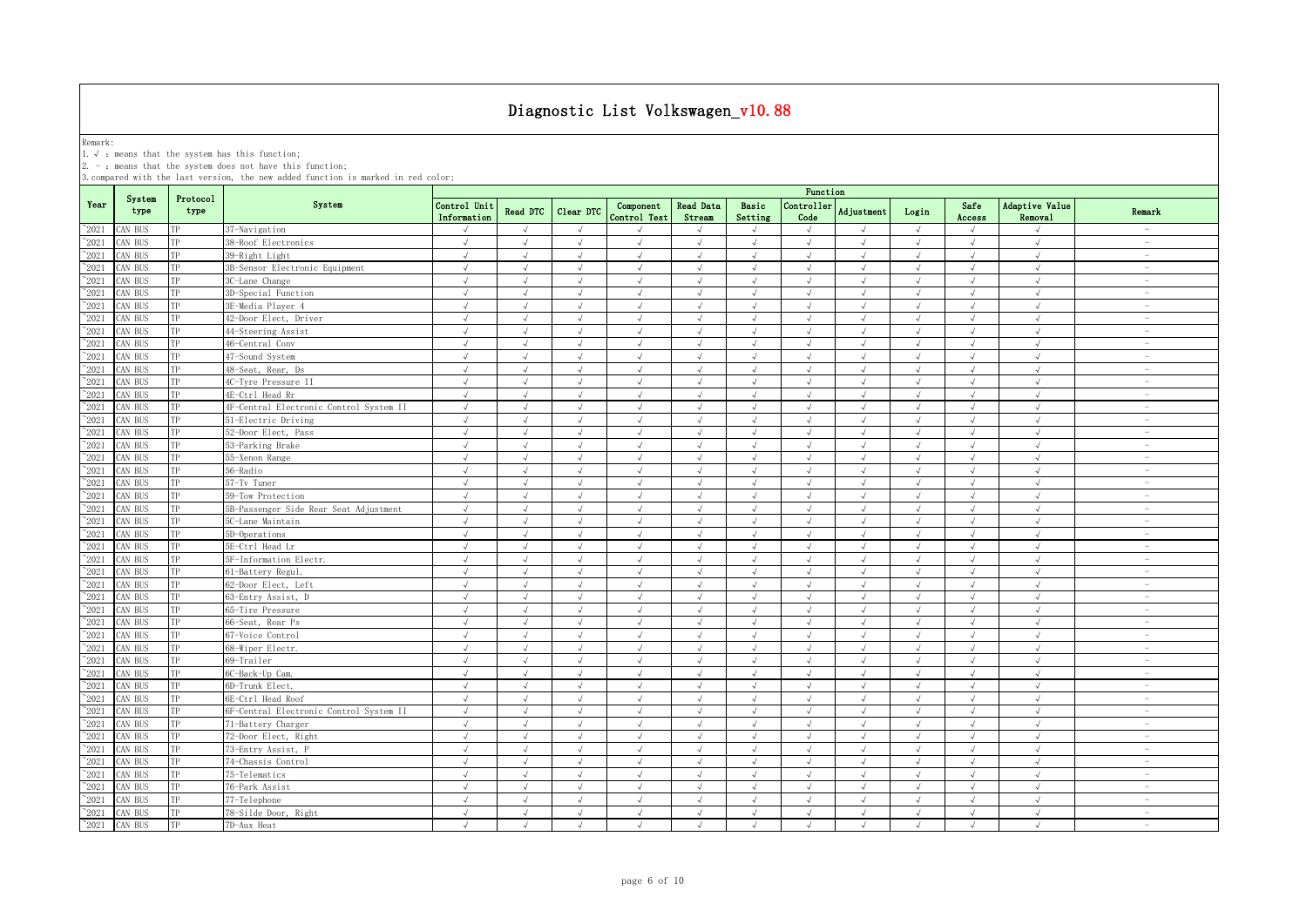Remark:<br>1.√ : means that the system has this function;<br>2. - : means that the system does not have this function;

|                |                |                  |                                         | Function                    |            |            |                           |                     |                             |                    |               |            |                |                                         |                                 |
|----------------|----------------|------------------|-----------------------------------------|-----------------------------|------------|------------|---------------------------|---------------------|-----------------------------|--------------------|---------------|------------|----------------|-----------------------------------------|---------------------------------|
| Year           | System<br>type | Protocol<br>type | System                                  | Control Unit<br>Information | Read DTC   | Clear DTC  | Component<br>Control Test | Read Data<br>Stream | Basic<br>Setting            | Controller<br>Code | Adjustment    | Login      | Safe<br>Access | <b>Adaptive Value</b><br><b>Removal</b> | Remark                          |
| $^{\sim}$ 2021 | CAN BUS        | TP               | 37-Navigation                           |                             | $\sqrt{ }$ | J          |                           |                     | $\sqrt{ }$                  |                    |               | $\sqrt{ }$ | $\sqrt{2}$     |                                         | $\overline{\phantom{a}}$        |
| $^{\sim}$ 2021 | CAN BUS        | TP               | 38-Roof Electronics                     | $\sqrt{ }$                  | $\sqrt{ }$ | $\sqrt{ }$ | $\sqrt{ }$                | $\sqrt{ }$          | $\sqrt{ }$                  | $\sqrt{ }$         | $\sqrt{ }$    | $\sqrt{ }$ | $\sqrt{ }$     | $\sqrt{ }$                              | $\overline{\phantom{a}}$        |
| $^{\sim}$ 2021 | CAN BUS        | TP               | 39-Right Light                          | $\sqrt{ }$                  | $\sqrt{ }$ | $\sqrt{ }$ | $\sqrt{ }$                | $\sqrt{ }$          | $\sqrt{ }$                  | $\sqrt{ }$         | $\sqrt{ }$    | $\sqrt{ }$ | $\sqrt{ }$     | $\sqrt{ }$                              | $\sim$                          |
| $^{\sim}$ 2021 | CAN BUS        | TP               | 3B-Sensor Electronic Equipment          | $\sqrt{ }$                  | $\sqrt{ }$ | $\sqrt{ }$ | $\sqrt{ }$                | $\sqrt{ }$          | $\sqrt{ }$                  | $\sqrt{ }$         | $\mathcal{A}$ | $\sqrt{ }$ | $\sqrt{ }$     | $\sqrt{ }$                              | $\sim$                          |
| $\degree$ 2021 | CAN BUS        | TP               | 3C-Lane Change                          | $\sqrt{ }$                  | $\sqrt{ }$ | $\sqrt{ }$ | $\sqrt{ }$                | $\sqrt{ }$          | $\sqrt{ }$                  | $\sqrt{ }$         | $\sqrt{ }$    | $\sqrt{ }$ | $\sqrt{ }$     | $\sqrt{ }$                              | $\sim$                          |
| $^{\sim}2021$  | CAN BUS        | TP               | 3D-Special Function                     | $\sqrt{ }$                  | $\sqrt{ }$ | $\sqrt{ }$ | $\sqrt{ }$                | $\sqrt{ }$          | $\sqrt{ }$                  | $\sqrt{ }$         | $\sqrt{ }$    | $\sqrt{ }$ | $\sqrt{ }$     | $\sqrt{ }$                              | $\overline{\phantom{a}}$        |
| $\degree$ 2021 | CAN BUS        | TP               | 3E-Media Player 4                       | $\sqrt{ }$                  | $\sqrt{ }$ | $\sqrt{ }$ | $\sqrt{ }$                | $\sqrt{ }$          | $\sqrt{ }$                  | $\sqrt{ }$         | $\mathcal{L}$ | $\sqrt{ }$ | $\sqrt{ }$     | $\sqrt{ }$                              | $\overline{\phantom{a}}$        |
| $^{\sim}2021$  | CAN BUS        | TP               | 42-Door Elect, Driver                   | $\sqrt{ }$                  | $\sqrt{ }$ | $\sqrt{ }$ | $\sqrt{ }$                | $\sqrt{ }$          | $\sqrt{ }$                  | $\sqrt{ }$         | $\sqrt{ }$    | $\sqrt{ }$ | $\sqrt{ }$     | $\sqrt{ }$                              | $\sim$                          |
| $\degree$ 2021 | CAN BUS        | TP               | 44-Steering Assist                      | $\sqrt{ }$                  | $\sqrt{ }$ | $\sqrt{ }$ | $\sqrt{ }$                | $\sqrt{ }$          | $\sqrt{ }$                  | $\sqrt{ }$         | $\sqrt{ }$    | $\sqrt{}$  | $\sqrt{ }$     | $\sqrt{ }$                              | $\hspace{0.1mm}-\hspace{0.1mm}$ |
| $\degree$ 2021 | CAN BUS        | TP               | 46-Central Conv                         | $\sqrt{ }$                  | $\sqrt{ }$ | $\sqrt{2}$ | $\sqrt{ }$                | $\sqrt{ }$          | $\sqrt{ }$                  | $\sqrt{ }$         | $\sqrt{ }$    | $\sqrt{ }$ | $\sqrt{ }$     | $\sqrt{ }$                              | $\overline{\phantom{a}}$        |
| 2021           | CAN BUS        | TP               | 47-Sound System                         |                             |            |            |                           |                     |                             |                    |               | J          | J              |                                         | $\overline{\phantom{a}}$        |
| $^{\sim}2021$  | CAN BUS        | TP               | 48-Seat, Rear, Ds                       |                             |            |            |                           |                     | $\mathcal{N}_{\mathcal{N}}$ |                    |               | J          | $\sqrt{ }$     | $\sqrt{ }$                              | $\overline{\phantom{a}}$        |
| $\degree$ 2021 | CAN BUS        | TP               | 4C-Tyre Pressure II                     | $\sqrt{ }$                  | $\sqrt{ }$ | $\sqrt{ }$ | $\sqrt{ }$                |                     | $\sqrt{ }$                  | J                  | $\sqrt{ }$    | $\sqrt{ }$ | $\sqrt{ }$     | $\sqrt{ }$                              | $\overline{\phantom{0}}$        |
| $^{\sim}$ 2021 | CAN BUS        | TP               | 4E-Ctrl Head Rr                         | J                           | J          | $\sqrt{ }$ | $\sqrt{ }$                |                     | $\sqrt{ }$                  | J                  |               | $\sqrt{ }$ | J              | $\sqrt{ }$                              | $\overline{\phantom{a}}$        |
| $^{\sim}$ 2021 | CAN BUS        | TP               | 4F-Central Electronic Control System II | $\sqrt{ }$                  | $\sqrt{ }$ | $\sqrt{ }$ | $\sqrt{ }$                | $\sqrt{ }$          | $\sqrt{ }$                  | $\sqrt{ }$         | $\sqrt{ }$    | $\sqrt{ }$ | $\sqrt{ }$     | $\sqrt{ }$                              | $\sim$                          |
| $^{\sim}$ 2021 | CAN BUS        | TP               | 51-Electric Driving                     | $\sqrt{ }$                  | $\sqrt{ }$ | $\sqrt{ }$ | $\sqrt{ }$                | $\sqrt{ }$          | $\sqrt{ }$                  | $\sqrt{ }$         | $\sqrt{ }$    | $\sqrt{ }$ | $\sqrt{ }$     | $\sqrt{ }$                              | $\sim$                          |
| $^{\sim}$ 2021 | CAN BUS        | TP               | 52-Door Elect, Pass                     | $\sqrt{ }$                  | $\sqrt{ }$ | $\sqrt{ }$ | $\sqrt{ }$                | $\sqrt{ }$          | $\sqrt{ }$                  | $\sqrt{ }$         | $\sqrt{ }$    | $\sqrt{ }$ | $\sqrt{ }$     | $\sqrt{ }$                              | $\sim$                          |
| $\degree$ 2021 | CAN BUS        | TP               | 53-Parking Brake                        | $\sqrt{ }$                  | $\sqrt{ }$ | $\sqrt{ }$ | $\sqrt{ }$                | $\sqrt{ }$          | $\sqrt{ }$                  | $\sqrt{ }$         | $\sqrt{ }$    | $\sqrt{ }$ | $\sqrt{ }$     | $\sqrt{ }$                              | $\overline{\phantom{a}}$        |
| $^{\sim}2021$  | CAN BUS        | TP               | 55-Xenon Range                          | $\sqrt{ }$                  | $\sqrt{ }$ | $\sqrt{ }$ | $\sqrt{ }$                | $\sqrt{ }$          | $\sqrt{ }$                  | $\sqrt{ }$         | $\sqrt{ }$    | $\sqrt{ }$ | $\sqrt{ }$     | $\sqrt{ }$                              | $\sim$                          |
| $\degree$ 2021 | CAN BUS        | TP               | 56-Radio                                | $\sqrt{ }$                  | $\sqrt{ }$ | $\sqrt{ }$ | $\sqrt{ }$                | $\sqrt{ }$          | $\sqrt{ }$                  | $\sqrt{ }$         | $\mathcal{L}$ | $\sqrt{ }$ | $\sqrt{ }$     | $\sqrt{ }$                              | $\sim$                          |
| $^{\sim}2021$  | CAN BUS        | TP               | 57-Tv Tuner                             | $\sqrt{ }$                  | $\sqrt{ }$ | $\sqrt{ }$ | $\sqrt{2}$                | $\sqrt{ }$          | $\sqrt{ }$                  | $\sqrt{ }$         | $\sqrt{ }$    | $\sqrt{ }$ | $\sqrt{ }$     | $\sqrt{ }$                              | $\sim$                          |
| $^{\sim}$ 2021 | CAN BUS        | TP               | 59-Tow Protection                       | $\sqrt{ }$                  | $\sqrt{ }$ | $\sqrt{ }$ | $\sqrt{ }$                | $\sqrt{ }$          | $\sqrt{ }$                  | $\sqrt{ }$         | $\sqrt{ }$    | $\sqrt{ }$ | $\sqrt{ }$     | $\sqrt{ }$                              | $\sim$                          |
| $\degree$ 2021 | CAN BUS        | TP               | 5B-Passenger Side Rear Seat Adjustment  | $\sqrt{ }$                  | $\sqrt{ }$ | $\sqrt{ }$ | $\sqrt{ }$                | $\sqrt{ }$          | $\sqrt{ }$                  | $\sqrt{ }$         | $\sqrt{ }$    | $\sqrt{ }$ | $\sqrt{ }$     | $\sqrt{ }$                              | $\sim$                          |
| 2021           | CAN BUS        |                  | 5C-Lane Maintain                        |                             |            |            |                           |                     |                             |                    |               |            | J              |                                         | $\overline{\phantom{a}}$        |
| $^{\sim}2021$  | CAN BUS        | TP               | 5D-Operations                           |                             | J          |            | J                         |                     | J                           |                    |               | J          | J              |                                         | $\overline{\phantom{a}}$        |
| $\degree$ 2021 | CAN BUS        | TP               | 5E-Ctrl Head Lr                         | $\sqrt{ }$                  | $\sqrt{ }$ | $\sqrt{ }$ | $\sqrt{ }$                |                     | $\sqrt{ }$                  | $\sqrt{ }$         |               | $\sqrt{ }$ | $\sqrt{ }$     | $\sqrt{ }$                              | $\overline{\phantom{0}}$        |
| $^{\sim}$ 2021 | CAN BUS        | TP               | 5F-Information Electr.                  | J                           | J          | $\sqrt{ }$ | $\sqrt{ }$                |                     | $\sqrt{ }$                  | $\sqrt{ }$         |               | $\sqrt{ }$ | $\sqrt{ }$     | $\sqrt{ }$                              | $\overline{\phantom{0}}$        |
| $^{\sim}$ 2021 | CAN BUS        | TP               | 61-Battery Regul.                       | $\sqrt{ }$                  | $\sqrt{ }$ | $\sqrt{ }$ | $\sqrt{ }$                | $\sqrt{ }$          | $\sqrt{ }$                  | $\sqrt{ }$         | $\sqrt{ }$    | $\sqrt{ }$ | $\sqrt{ }$     | $\sqrt{ }$                              | $\sim$                          |
| $^{\sim}$ 2021 | CAN BUS        | TP               | 62-Door Elect, Left                     | $\sqrt{ }$                  | $\sqrt{ }$ | $\sqrt{ }$ | $\sqrt{ }$                |                     | $\sqrt{ }$                  | $\sqrt{ }$         | $\sqrt{ }$    | $\sqrt{ }$ | $\sqrt{ }$     | $\sqrt{ }$                              | $\sim$                          |
| $^{\sim}$ 2021 | CAN BUS        | TP               | 63-Entry Assist, D                      | $\sqrt{ }$                  | $\sqrt{ }$ | $\sqrt{ }$ | $\sqrt{ }$                | $\sqrt{ }$          | $\sqrt{ }$                  | $\sqrt{ }$         | $\sqrt{ }$    | $\sqrt{ }$ | $\sqrt{ }$     | $\sqrt{ }$                              | $\sim$                          |
| $\degree$ 2021 | CAN BUS        | TP               | 65-Tire Pressure                        | $\sqrt{ }$                  | $\sqrt{ }$ | $\sqrt{ }$ | $\sqrt{ }$                | $\sqrt{ }$          | $\sqrt{ }$                  | $\sqrt{ }$         | $\sqrt{ }$    | $\sqrt{ }$ | $\sqrt{ }$     | $\sqrt{ }$                              | $\sim$                          |
| $\degree$ 2021 | CAN BUS        | TP               | 66-Seat, Rear Ps                        | $\sqrt{ }$                  | $\sqrt{ }$ | $\sqrt{ }$ | $\sqrt{ }$                | $\sqrt{ }$          | $\sqrt{ }$                  | $\sqrt{ }$         | $\sqrt{ }$    | $\sqrt{ }$ | $\sqrt{}$      | $\sqrt{ }$                              | $\sim$                          |
| $^{\sim}$ 2021 | CAN BUS        | TP               | 67-Voice Control                        | $\sqrt{ }$                  | $\sqrt{ }$ | $\sqrt{ }$ | $\mathcal{L}$             | $\sqrt{ }$          | $\sqrt{ }$                  | $\sqrt{ }$         | $\mathcal{L}$ | $\sqrt{ }$ | $\sqrt{ }$     | $\sqrt{ }$                              | $\sim$                          |
| $^{\sim}2021$  | CAN BUS        | TP               | 68-Wiper Electr.                        | $\sqrt{ }$                  | $\sqrt{ }$ | $\sqrt{ }$ | $\sqrt{ }$                | $\sqrt{ }$          | $\sqrt{ }$                  | $\sqrt{ }$         | $\sqrt{ }$    | $\sqrt{ }$ | $\sqrt{ }$     | $\sqrt{ }$                              | $\sim$                          |
| $^{\sim}$ 2021 | CAN BUS        | TP               | 69-Trailer                              | $\sqrt{ }$                  | $\sqrt{ }$ | $\sqrt{ }$ | $\sqrt{ }$                |                     | $\sqrt{ }$                  | $\sqrt{ }$         |               | $\sqrt{ }$ | $\sqrt{ }$     | $\sqrt{ }$                              | $\sim$                          |
| $^{\sim}2021$  | CAN BUS        | TP               | 6C-Back-Up Cam.                         | $\sqrt{ }$                  | $\sqrt{ }$ | $\sqrt{ }$ | $\sqrt{ }$                | $\sqrt{ }$          | $\sqrt{ }$                  | $\sqrt{ }$         | $\sqrt{ }$    | $\sqrt{ }$ | $\sqrt{ }$     | $\sqrt{ }$                              | $\hspace{0.1mm}-\hspace{0.1mm}$ |
| $\degree$ 2021 | CAN BUS        |                  | 6D-Trunk Elect                          |                             |            |            | $\sqrt{ }$                |                     | $\cdot$                     |                    |               | J          | √              | $\sqrt{ }$                              | $\overline{\phantom{a}}$        |
| $^{\sim}2021$  | CAN BUS        | TP               | 6E-Ctrl Head Roof                       |                             | J          |            |                           |                     | $\sqrt{ }$                  |                    |               | $\sqrt{ }$ | J              |                                         | $\overline{\phantom{a}}$        |
| $^{\sim}$ 2021 | CAN BUS        | TP               | 6F-Central Electronic Control System II | $\sqrt{ }$                  |            |            | $\sqrt{ }$                |                     | J                           |                    |               | $\sqrt{ }$ | $\sqrt{ }$     | J                                       | $\overline{\phantom{0}}$        |
| $^{\sim}$ 2021 | CAN BUS        | TP               | 71-Battery Charger                      | $\sqrt{ }$                  | $\sqrt{ }$ | $\sqrt{ }$ | $\sqrt{ }$                |                     | $\sqrt{ }$                  | $\sqrt{ }$         | $\sqrt{ }$    | $\sqrt{ }$ | $\sqrt{ }$     | $\sqrt{ }$                              | $\overline{\phantom{0}}$        |
| $^{\sim}$ 2021 | CAN BUS        | TP               | 72-Door Elect, Right                    | $\sqrt{ }$                  | $\sqrt{ }$ | $\sqrt{ }$ | $\sqrt{ }$                | $\sqrt{ }$          | $\sqrt{ }$                  | $\sqrt{ }$         | $\sqrt{ }$    | $\sqrt{ }$ | $\sqrt{ }$     | $\sqrt{ }$                              | $\sim$                          |
| $^{\sim}$ 2021 | CAN BUS        | TP               | 73-Entry Assist, P                      | $\sqrt{ }$                  | $\sqrt{ }$ | $\sqrt{ }$ | $\sqrt{ }$                | $\sqrt{ }$          | $\sqrt{ }$                  | $\sqrt{ }$         | $\sqrt{ }$    | $\sqrt{ }$ | $\sqrt{ }$     | $\sqrt{ }$                              | $\sim$                          |
| $^{\sim}$ 2021 | CAN BUS        | TP               | 74-Chassis Control                      | $\sqrt{ }$                  | $\sqrt{ }$ | $\sqrt{ }$ | $\sqrt{ }$                | $\sqrt{ }$          | $\sqrt{ }$                  | $\sqrt{ }$         | $\sqrt{ }$    | $\sqrt{ }$ | $\sqrt{ }$     | $\sqrt{ }$                              | $\sim$                          |
| $^{\sim}$ 2021 | CAN BUS        | TP               | 75-Telematics                           | $\sqrt{ }$                  | $\sqrt{ }$ | $\sqrt{ }$ | $\sqrt{ }$                | $\sqrt{ }$          | $\sqrt{ }$                  | $\sqrt{ }$         | $\sqrt{ }$    | $\sqrt{ }$ | $\sqrt{ }$     | $\sqrt{ }$                              | $\sim$                          |
| $\degree$ 2021 | CAN BUS        | TP               | 76-Park Assist                          | $\sqrt{ }$                  | $\sqrt{ }$ | $\sqrt{ }$ | $\sqrt{ }$                | $\sqrt{ }$          | $\sqrt{ }$                  | $\sqrt{ }$         | $\sqrt{ }$    | $\sqrt{ }$ | $\sqrt{ }$     | $\sqrt{ }$                              | $\sim$                          |
| $^{\sim}$ 2021 | CAN BUS        | TP               | 77-Telephone                            | $\sqrt{ }$                  | $\sqrt{ }$ | $\sqrt{ }$ | $\sqrt{ }$                | $\sqrt{ }$          | $\sqrt{ }$                  | $\sqrt{ }$         | $\mathcal{L}$ | $\sqrt{ }$ | $\sqrt{ }$     | $\sqrt{ }$                              | $\overline{\phantom{a}}$        |
| $^{\sim}$ 2021 | CAN BUS        | TP               | 78-Silde Door, Right                    | $\sqrt{ }$                  | $\sqrt{ }$ | $\sqrt{ }$ | $\sqrt{ }$                | $\sqrt{ }$          | $\sqrt{ }$                  | $\sqrt{ }$         | $\sqrt{ }$    | $\sqrt{ }$ | $\sqrt{ }$     | $\sqrt{ }$                              | $\overline{\phantom{a}}$        |
| $^{\sim}$ 2021 | CAN BUS        | TP               | 7D-Aux Heat                             | $\sqrt{ }$                  | $\sqrt{ }$ | $\sqrt{ }$ | $\sqrt{ }$                | $\sqrt{ }$          | $\sqrt{ }$                  | $\sqrt{ }$         | $\sqrt{ }$    | $\sqrt{ }$ | $\sqrt{ }$     | $\sqrt{ }$                              | $\overline{\phantom{a}}$        |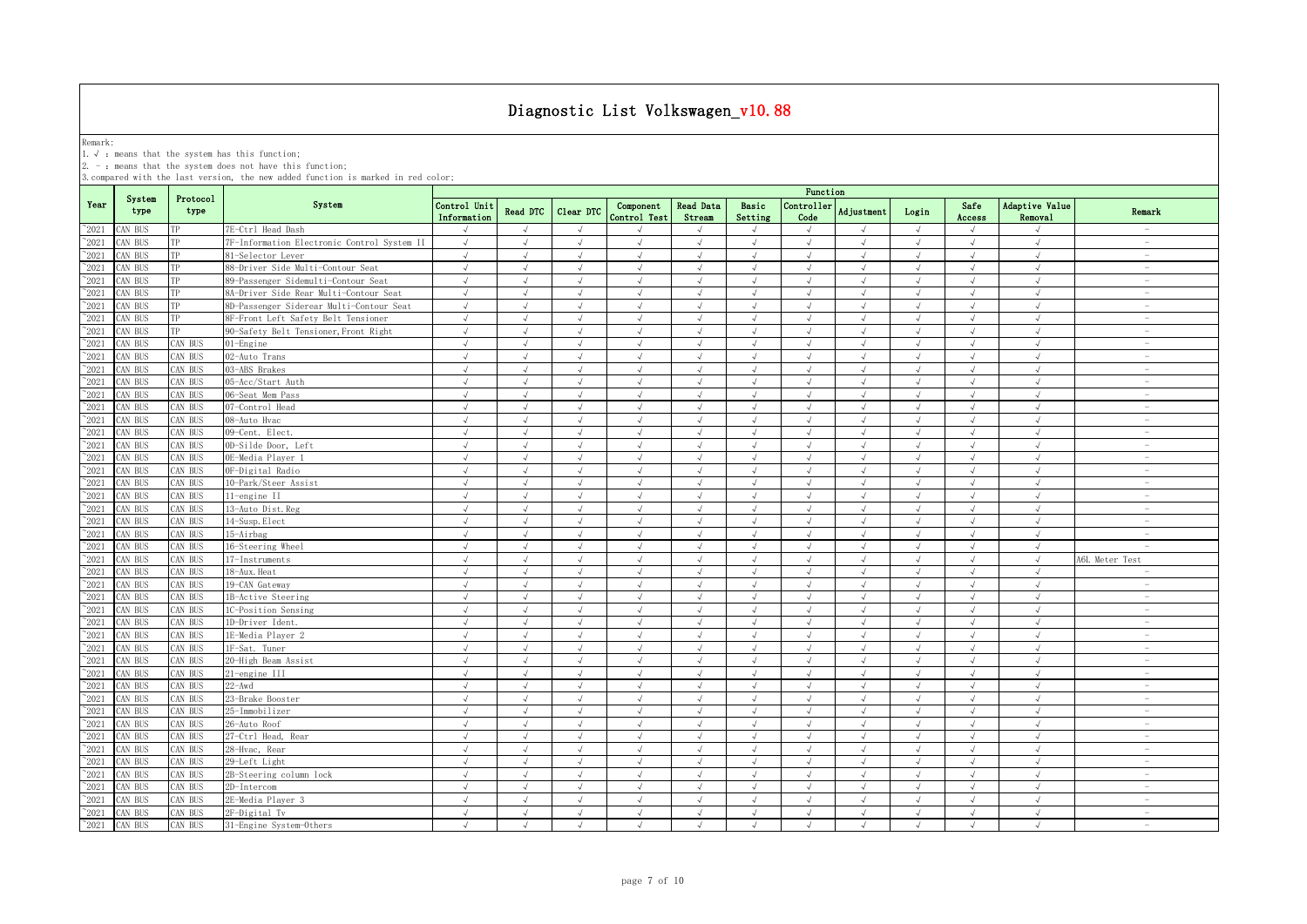Remark:<br>1.√ : means that the system has this function;<br>2. - : means that the system does not have this function;

|                |                |                  |                                             | Function                    |               |               |                           |                            |                             |                    |                |            |                |                                  |                                 |
|----------------|----------------|------------------|---------------------------------------------|-----------------------------|---------------|---------------|---------------------------|----------------------------|-----------------------------|--------------------|----------------|------------|----------------|----------------------------------|---------------------------------|
| Year           | System<br>type | Protocol<br>type | System                                      | Control Unit<br>Information | Read DTC      | Clear DTC     | Component<br>Control Test | <b>Read Data</b><br>Stream | Basic<br>Setting            | Controller<br>Code | Adjustment     | Login      | Safe<br>Access | <b>Adaptive Value</b><br>Removal | Remark                          |
| 2021           | CAN BUS        | TP               | 7E-Ctrl Head Dash                           | $\sqrt{ }$                  | $\sqrt{ }$    | $\sqrt{ }$    | $\sqrt{ }$                | $\sqrt{ }$                 | $\sqrt{ }$                  | $\sqrt{ }$         | $\sqrt{ }$     | $\sqrt{ }$ | $\sqrt{ }$     | $\sqrt{ }$                       | $\hspace{0.1mm}-\hspace{0.1mm}$ |
| 2021           | CAN BUS        | TP               | 7F-Information Electronic Control System II | $\sqrt{ }$                  | $\sqrt{ }$    | $\sqrt{ }$    | J                         | $\sqrt{ }$                 | $\sqrt{ }$                  | $\sqrt{ }$         | $\sqrt{ }$     | $\sqrt{ }$ | $\sqrt{ }$     | $\sqrt{ }$                       | $\overline{\phantom{a}}$        |
| 2021           | CAN BUS        | TP               | 81-Selector Lever                           | $\sqrt{ }$                  | $\sqrt{ }$    | $\sqrt{}$     | $\sqrt{}$                 |                            | $\sqrt{ }$                  | $\sqrt{ }$         | $\overline{u}$ | $\sqrt{ }$ | $\sqrt{ }$     | $\sqrt{ }$                       | $\sim$                          |
| 2021           | CAN BUS        | TP               | 88-Driver Side Multi-Contour Seat           | $\sqrt{ }$                  | $\mathcal{L}$ |               | $\mathcal{L}$             |                            | $\sqrt{ }$                  | J                  | $\mathcal{L}$  | $\sqrt{ }$ | $\sqrt{ }$     | $\sqrt{ }$                       | $\overline{\phantom{a}}$        |
| $\degree$ 2021 | CAN BUS        | TP               | 89-Passenger Sidemulti-Contour Seat         | $\sqrt{ }$                  |               | J             | $\sqrt{ }$                |                            | $\sqrt{ }$                  | J                  |                | $\sqrt{ }$ |                | J                                | $\overline{\phantom{a}}$        |
| $^{\sim}2021$  | CAN BUS        | TP               | 8A-Driver Side Rear Multi-Contour Seat      | $\sqrt{ }$                  | $\sqrt{ }$    | $\sqrt{ }$    | $\sqrt{ }$                | $\sqrt{ }$                 | $\sqrt{ }$                  | $\sqrt{ }$         | $\sqrt{ }$     | $\sqrt{ }$ | $\sqrt{ }$     | $\sqrt{ }$                       | $\sim$                          |
| $^{\sim}2021$  | CAN BUS        | TP               | 8D-Passenger Siderear Multi-Contour Seat    | $\sqrt{ }$                  | $\sqrt{ }$    | $\sqrt{ }$    | $\sqrt{ }$                | $\sqrt{ }$                 | $\sqrt{ }$                  | $\sqrt{ }$         | $\sqrt{ }$     | $\sqrt{ }$ | $\sqrt{ }$     | $\sqrt{ }$                       | $\sim$                          |
| $\degree$ 2021 | CAN BUS        | TP               | 8F-Front Left Safety Belt Tensioner         | $\sqrt{ }$                  | $\sqrt{ }$    | $\sqrt{ }$    | $\sqrt{ }$                | $\sqrt{ }$                 | $\sqrt{ }$                  | $\sqrt{ }$         | $\sqrt{ }$     | $\sqrt{ }$ | $\sqrt{ }$     | $\sqrt{ }$                       | $\sim$                          |
| $\degree$ 2021 | CAN BUS        | TP               | 90-Safety Belt Tensioner, Front Right       | $\sqrt{ }$                  | $\sqrt{ }$    | $\sqrt{ }$    | $\sqrt{ }$                | $\sqrt{ }$                 | $\sqrt{ }$                  | $\sqrt{ }$         | $\sqrt{ }$     | $\sqrt{ }$ | $\sqrt{ }$     | $\sqrt{ }$                       | $\overline{\phantom{a}}$        |
| $^{\circ}2021$ | CAN BUS        | CAN BUS          | $01$ -Engine                                | $\sqrt{ }$                  | $\sqrt{ }$    | $\sqrt{ }$    | $\sqrt{ }$                | $\sqrt{ }$                 | $\sqrt{ }$                  | $\sqrt{}$          | $\sqrt{ }$     | $\sqrt{ }$ | $\sqrt{ }$     | $\sqrt{ }$                       | $\sim$                          |
| $^{\sim}2021$  | CAN BUS        | CAN BUS          | 02-Auto Trans                               | $\sqrt{ }$                  | $\mathcal{L}$ | $\sqrt{ }$    | $\mathcal{L}$             | $\sqrt{ }$                 | $\sqrt{ }$                  | $\sqrt{ }$         | $\mathcal{L}$  | $\sqrt{ }$ | $\sqrt{ }$     | $\sqrt{ }$                       | $\sim$                          |
| 2021           | CAN BUS        | CAN BUS          | 03-ABS Brakes                               | $\sqrt{ }$                  | $\sqrt{ }$    | $\sqrt{ }$    | $\sqrt{ }$                | $\sqrt{ }$                 | $\sqrt{ }$                  | $\sqrt{ }$         | $\sqrt{ }$     | $\sqrt{ }$ | $\sqrt{ }$     | $\sqrt{ }$                       | $\overline{\phantom{a}}$        |
| $^{\sim}2021$  | CAN BUS        | CAN BUS          | 05-Acc/Start Auth                           | $\sqrt{ }$                  | $\mathcal{L}$ | $\sqrt{ }$    | $\sqrt{ }$                |                            | $\sqrt{ }$                  | $\sqrt{ }$         |                | $\sqrt{ }$ | $\sqrt{ }$     | $\sqrt{ }$                       | $\sim$                          |
| 2021           | CAN BUS        | CAN BUS          | 06-Seat Mem Pass                            | $\sqrt{ }$                  | $\sqrt{ }$    | $\sqrt{ }$    | $\sqrt{}$                 | $\sqrt{ }$                 | $\sqrt{ }$                  | $\sqrt{ }$         | $\sqrt{ }$     | $\sqrt{ }$ | $\sqrt{ }$     | $\sqrt{ }$                       | $\sim$                          |
| 2021           | CAN BUS        | CAN BUS          | 07-Control Head                             | J                           |               |               |                           |                            | $\mathcal{N}_{\mathcal{N}}$ |                    |                |            |                | $\mathcal{N}_{\mathcal{N}}$      | $\overline{\phantom{a}}$        |
| 2021           | CAN BUS        | CAN BUS          | 08-Auto Hvac                                | $\sqrt{ }$                  | $\mathcal{A}$ |               | $\mathcal{L}$             |                            | $\sqrt{ }$                  |                    |                | $\sqrt{ }$ | $\sqrt{ }$     | $\mathcal{N}_{\mathcal{N}}$      | $\overline{\phantom{a}}$        |
| $^{\sim}2021$  | CAN BUS        | CAN BUS          | 09-Cent. Elect.                             | $\sqrt{ }$                  |               | $\sqrt{ }$    |                           |                            | $\sqrt{ }$                  | J                  |                | $\sqrt{ }$ | J              | J                                |                                 |
| $^{\circ}2021$ | CAN BUS        | CAN BUS          | 0D-Silde Door, Left                         | $\sqrt{ }$                  | $\sqrt{ }$    | $\sqrt{ }$    | $\sqrt{ }$                | $\sqrt{ }$                 | $\sqrt{ }$                  | $\sqrt{ }$         | $\sqrt{ }$     | $\sqrt{ }$ | $\sqrt{ }$     | $\sqrt{ }$                       | $\sim$                          |
| $^{\sim}2021$  | CAN BUS        | CAN BUS          | OE-Media Player 1                           | $\sqrt{ }$                  | $\sqrt{ }$    | $\sqrt{ }$    | $\sqrt{ }$                | $\sqrt{ }$                 | $\sqrt{ }$                  | $\sqrt{ }$         | $\sqrt{ }$     | $\sqrt{ }$ | $\sqrt{ }$     | $\sqrt{ }$                       | $\sim$                          |
| $\degree$ 2021 | CAN BUS        | CAN BUS          | OF-Digital Radio                            | $\sqrt{ }$                  | $\sqrt{ }$    | $\sqrt{ }$    | $\sqrt{ }$                | $\sqrt{ }$                 | $\sqrt{ }$                  | $\sqrt{ }$         | $\sqrt{ }$     | $\sqrt{ }$ | $\sqrt{ }$     | $\sqrt{ }$                       | $\sim$                          |
| $^{\sim}2021$  | CAN BUS        | CAN BUS          | 10-Park/Steer Assist                        | $\sqrt{ }$                  | $\sqrt{ }$    | $\sqrt{ }$    | $\sqrt{ }$                | $\sqrt{ }$                 | $\sqrt{ }$                  | $\sqrt{ }$         | $\sqrt{ }$     | $\sqrt{ }$ | $\sqrt{ }$     | $\sqrt{ }$                       | $\overline{\phantom{a}}$        |
| $^{\sim}2021$  | CAN BUS        | CAN BUS          | 11-engine II                                | $\sqrt{ }$                  | $\sqrt{ }$    | $\sqrt{ }$    | $\sqrt{ }$                | $\sqrt{ }$                 | $\sqrt{ }$                  | $\sqrt{ }$         | $\sqrt{ }$     | $\sqrt{ }$ | $\sqrt{ }$     | $\sqrt{ }$                       | $\sim$                          |
| $^{\sim}2021$  | CAN BUS        | CAN BUS          | 13-Auto Dist. Reg                           | $\sqrt{ }$                  | $\sqrt{ }$    | $\sqrt{ }$    | $\sqrt{ }$                | $\sqrt{ }$                 | $\sqrt{ }$                  | $\sqrt{ }$         | $\sqrt{ }$     | $\sqrt{ }$ | $\sqrt{ }$     | $\sqrt{ }$                       | $\sim$                          |
| $^{\sim}2021$  | CAN BUS        | CAN BUS          | 14-Susp. Elect                              | $\sqrt{}$                   | $\sqrt{ }$    | $\sqrt{ }$    | $\sqrt{ }$                | $\sqrt{ }$                 | $\sqrt{ }$                  | $\sqrt{ }$         | $\sqrt{ }$     | $\sqrt{ }$ | $\sqrt{ }$     | $\sqrt{ }$                       | $\sim$                          |
| 2021           | CAN BUS        | CAN BUS          | 15-Airbag                                   | $\sqrt{ }$                  | $\sqrt{ }$    | $\sqrt{ }$    | $\sqrt{ }$                | $\sqrt{ }$                 | $\sqrt{ }$                  | $\sqrt{ }$         | $\sqrt{ }$     | $\sqrt{ }$ | $\sqrt{ }$     | $\sqrt{ }$                       | $\hspace{0.1mm}-\hspace{0.1mm}$ |
| 2021           | CAN BUS        | CAN BUS          | 16-Steering Wheel                           | $\sqrt{ }$                  | $\sqrt{ }$    | $\sqrt{ }$    | $\sqrt{ }$                |                            | $\sqrt{ }$                  | $\sqrt{ }$         | $\sqrt{ }$     | $\sqrt{ }$ | $\sqrt{ }$     | $\sqrt{ }$                       | $\sim$                          |
| 2021           | CAN BUS        | CAN BUS          | 17-Instruments                              | $\sqrt{ }$                  | $\sqrt{ }$    | $\sqrt{ }$    | $\sqrt{ }$                | $\sqrt{ }$                 | $\sqrt{ }$                  | $\sqrt{ }$         | $\sqrt{ }$     | $\sqrt{ }$ | $\sqrt{ }$     | $\sqrt{ }$                       | A6L Meter Test                  |
| 2021           | CAN BUS        | CAN BUS          | 18-Aux. Heat                                | $\sqrt{ }$                  | $\sqrt{ }$    | $\sqrt{ }$    | $\sqrt{ }$                |                            | $\sqrt{ }$                  | J                  | $\sqrt{ }$     | $\sqrt{ }$ | $\sqrt{ }$     | $\sqrt{ }$                       |                                 |
| $^{\sim}2021$  | CAN BUS        | CAN BUS          | 19-CAN Gateway                              | $\sqrt{ }$                  |               | $\sqrt{ }$    |                           |                            | $\sqrt{ }$                  | $\sqrt{ }$         |                | $\sqrt{ }$ |                | J                                |                                 |
| $^{\sim}2021$  | CAN BUS        | CAN BUS          | 1B-Active Steering                          | $\sqrt{ }$                  | $\sqrt{ }$    | $\sqrt{ }$    | $\sqrt{ }$                | $\sqrt{ }$                 | $\sqrt{ }$                  | $\sqrt{ }$         | $\sqrt{ }$     | $\sqrt{ }$ | $\sqrt{ }$     | $\sqrt{ }$                       | $\sim$                          |
| $^{\sim}2021$  | CAN BUS        | CAN BUS          | 1C-Position Sensing                         | $\sqrt{ }$                  | $\sqrt{ }$    | $\sqrt{ }$    | $\sqrt{ }$                |                            | $\sqrt{ }$                  | $\sqrt{ }$         | $\sqrt{ }$     | $\sqrt{ }$ | $\sqrt{ }$     | $\sqrt{ }$                       | $\sim$                          |
| $\degree$ 2021 | CAN BUS        | CAN BUS          | 1D-Driver Ident.                            | $\sqrt{ }$                  | $\sqrt{ }$    | $\sqrt{ }$    | $\sqrt{ }$                | $\sqrt{ }$                 | $\sqrt{ }$                  | $\sqrt{ }$         | $\sqrt{ }$     | $\sqrt{ }$ | $\sqrt{ }$     | $\sqrt{ }$                       | $\sim$                          |
| $\degree$ 2021 | CAN BUS        | CAN BUS          | 1E-Media Plaver 2                           | $\sqrt{ }$                  | $\sqrt{ }$    | $\sqrt{ }$    | $\sqrt{ }$                | $\sqrt{ }$                 | $\sqrt{ }$                  | $\sqrt{ }$         | $\sqrt{ }$     | $\sqrt{ }$ | $\sqrt{ }$     | $\sqrt{ }$                       | $\overline{\phantom{a}}$        |
| $^{\sim}2021$  | CAN BUS        | CAN BUS          | 1F-Sat. Tuner                               | $\sqrt{ }$                  | $\sqrt{ }$    | $\sqrt{ }$    | $\sqrt{ }$                | $\sqrt{ }$                 | $\sqrt{ }$                  | $\sqrt{ }$         | $\sqrt{ }$     | $\sqrt{ }$ | $\sqrt{ }$     | $\sqrt{ }$                       | $\sim$                          |
| $\degree$ 2021 | CAN BUS        | CAN BUS          | 20-High Beam Assist                         | $\sqrt{ }$                  | $\sqrt{ }$    | $\sqrt{ }$    | $\sqrt{ }$                |                            | $\sqrt{ }$                  | $\mathcal{L}$      | $\sqrt{ }$     | $\sqrt{ }$ | $\sqrt{ }$     | $\sqrt{ }$                       | $\overline{\phantom{a}}$        |
| $^{\sim}2021$  | CAN BUS        | CAN BUS          | 21-engine III                               | $\sqrt{ }$                  | $\sqrt{ }$    | $\sqrt{ }$    | $\sqrt{ }$                | $\sqrt{ }$                 | $\sqrt{ }$                  | $\sqrt{ }$         | $\sqrt{ }$     | $\sqrt{ }$ | $\sqrt{ }$     | $\sqrt{ }$                       | $\sim$                          |
| $\degree$ 2021 | CAN BUS        | CAN BUS          | $22 - Awd$                                  | $\sqrt{ }$                  | $\sqrt{ }$    | $\sqrt{ }$    | $\sqrt{ }$                | $\sqrt{ }$                 | $\sqrt{ }$                  | $\sqrt{ }$         | $\sqrt{ }$     | $\sqrt{ }$ | $\sqrt{ }$     | $\sqrt{ }$                       | $\overline{\phantom{a}}$        |
| 2021           | CAN BUS        | CAN BUS          | 23-Brake Booster                            | $\sqrt{ }$                  | $\sqrt{ }$    | $\sqrt{ }$    | $\sqrt{ }$                | $\sqrt{ }$                 | $\sqrt{ }$                  | $\sqrt{ }$         | $\sqrt{ }$     | $\sqrt{ }$ | $\sqrt{ }$     | $\sqrt{ }$                       | $\hspace{0.1mm}-\hspace{0.1mm}$ |
| 2021           | CAN BUS        | AN BUS           | 25-Immobilizer                              | J                           |               |               |                           |                            | $\sqrt{ }$                  | $\sqrt{ }$         |                | J          |                | $\cdot$                          | $\sim$                          |
| 2021           | CAN BUS        | CAN BUS          | 26-Auto Roof                                | $\sqrt{ }$                  | $\sqrt{ }$    | $\sqrt{2}$    | $\sqrt{ }$                |                            | $\sqrt{ }$                  | $\sqrt{ }$         | $\sqrt{ }$     | $\sqrt{ }$ | $\sqrt{ }$     | $\sqrt{ }$                       | $\overline{\phantom{a}}$        |
| 2021           | CAN BUS        | AN BUS           | 27-Ctrl Head, Rear                          | $\sqrt{ }$                  |               | $\mathcal{A}$ | $\sqrt{ }$                |                            | $\sqrt{ }$                  | J                  |                | $\sqrt{ }$ | $\sqrt{ }$     | $\sqrt{ }$                       |                                 |
| $\degree$ 2021 | CAN BUS        | CAN BUS          | 28-Hvac, Rear                               | $\sqrt{ }$                  |               | $\sqrt{ }$    |                           |                            | $\sqrt{ }$                  | J                  |                | $\sqrt{ }$ |                | J                                | $\overline{\phantom{a}}$        |
| $^{\sim}2021$  | CAN BUS        | CAN BUS          | 29-Left Light                               | $\sqrt{ }$                  | $\sqrt{ }$    | $\sqrt{ }$    | $\sqrt{ }$                |                            | $\sqrt{ }$                  | $\sqrt{ }$         | $\sqrt{ }$     | $\sqrt{ }$ | $\sqrt{ }$     | $\sqrt{ }$                       | $\sim$                          |
| $^{\sim}2021$  | CAN BUS        | CAN BUS          | 2B-Steering column lock                     | $\sqrt{ }$                  | $\sqrt{ }$    | $\sqrt{ }$    | $\sqrt{ }$                | $\sqrt{ }$                 | $\sqrt{ }$                  | $\sqrt{ }$         | $\sqrt{ }$     | $\sqrt{ }$ | $\sqrt{ }$     | $\sqrt{ }$                       | $\sim$                          |
| $\degree$ 2021 | CAN BUS        | CAN BUS          | 2D-Intercom                                 | $\sqrt{ }$                  | $\sqrt{ }$    | $\sqrt{ }$    | $\sqrt{ }$                | $\sqrt{ }$                 | $\sqrt{ }$                  | $\sqrt{ }$         | $\sqrt{ }$     | $\sqrt{ }$ | $\sqrt{ }$     | $\sqrt{ }$                       | $\sim$                          |
| $\degree$ 2021 | CAN BUS        | CAN BUS          | 2E-Media Player 3                           | $\sqrt{ }$                  | $\sqrt{ }$    | $\sqrt{ }$    | $\sqrt{ }$                | $\sqrt{ }$                 | $\sqrt{ }$                  | $\sqrt{ }$         | $\sqrt{ }$     | $\sqrt{ }$ | $\sqrt{ }$     | $\sqrt{ }$                       | $\sim$                          |
| $^{\sim}2021$  | CAN BUS        | CAN BUS          | 2F-Digital Tv                               | $\sqrt{ }$                  | $\sqrt{ }$    | $\sqrt{ }$    | $\sqrt{ }$                | $\sqrt{ }$                 | $\sqrt{ }$                  | $\sqrt{ }$         | $\sqrt{ }$     | $\sqrt{ }$ | $\sqrt{ }$     | $\sqrt{ }$                       | $\overline{\phantom{a}}$        |
| $^{\sim}$ 2021 | CAN BUS        | CAN BUS          | 31-Engine System-Others                     | $\sqrt{ }$                  | $\sqrt{ }$    | $\sqrt{ }$    | $\sqrt{ }$                | $\sqrt{ }$                 | $\sqrt{ }$                  | $\sqrt{ }$         | $\mathcal{L}$  | $\sqrt{ }$ | $\sqrt{ }$     | $\sqrt{ }$                       | $\sim$                          |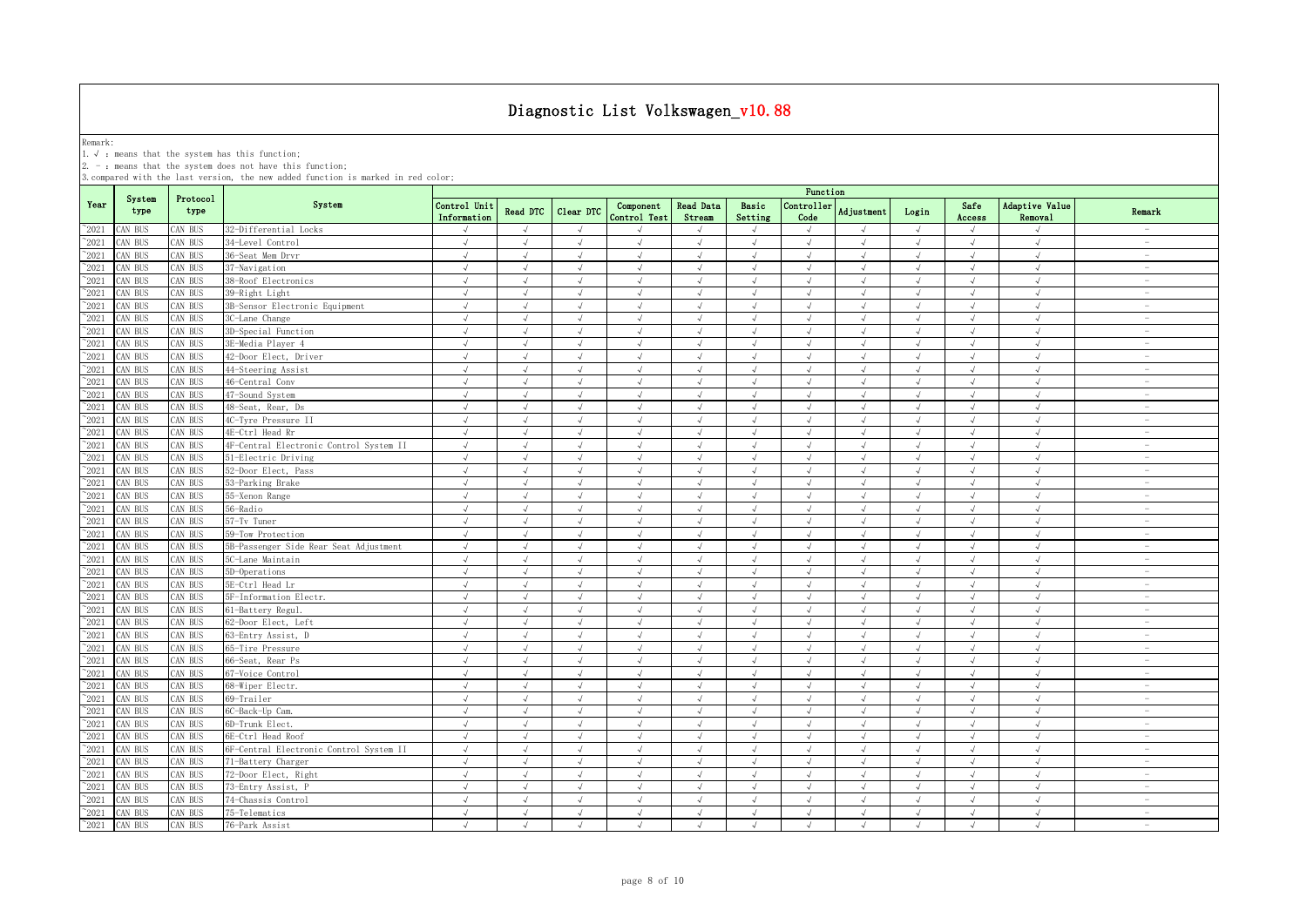Remark:<br>1.√ : means that the system has this function;<br>2. - : means that the system does not have this function;

|                |                |                  |                                         | Function                    |            |               |                           |                     |                  |                    |               |            |                |                                  |                                 |
|----------------|----------------|------------------|-----------------------------------------|-----------------------------|------------|---------------|---------------------------|---------------------|------------------|--------------------|---------------|------------|----------------|----------------------------------|---------------------------------|
| Year           | System<br>type | Protocol<br>type | System                                  | Control Unit<br>Information | Read DTC   | Clear DTC     | Component<br>Control Test | Read Data<br>Stream | Basic<br>Setting | Controller<br>Code | Adjustment    | Login      | Safe<br>Access | Adaptive Value<br><b>Removal</b> | Remark                          |
| $^{\sim}2021$  | CAN BUS        | AN BUS           | 32-Differential Locks                   | $\sqrt{ }$                  | $\sqrt{ }$ | $\sqrt{ }$    |                           |                     | $\sqrt{ }$       | $\sqrt{ }$         |               | $\sqrt{ }$ | $\sqrt{ }$     | $\sqrt{ }$                       | $\overline{\phantom{a}}$        |
| $^{\sim}2021$  | CAN BUS        | AN BUS           | 34-Level Control                        | $\sqrt{ }$                  | $\sqrt{ }$ | $\sqrt{ }$    | $\sqrt{ }$                | $\sqrt{ }$          | $\sqrt{ }$       | $\sqrt{ }$         | $\sqrt{ }$    | $\sqrt{ }$ | $\sqrt{ }$     | $\sqrt{ }$                       | $\hspace{0.1mm}-\hspace{0.1mm}$ |
| $^{\sim}2021$  | CAN BUS        | AN BUS           | 36-Seat Mem Drvr                        | $\sqrt{ }$                  |            |               |                           |                     | J                | $\sqrt{ }$         |               | $\sqrt{ }$ |                | $\sqrt{ }$                       | $\sim$                          |
| $\degree$ 2021 | CAN BUS        | AN BUS           | 37-Navigation                           | $\sqrt{ }$                  | √          | $\sqrt{}$     | $\sqrt{}$                 | $\sqrt{ }$          | $\sqrt{ }$       | $\sqrt{ }$         |               | $\sqrt{ }$ | √              | $\sqrt{ }$                       | $\hspace{0.1mm}-\hspace{0.1mm}$ |
| 2021           | CAN BUS        | AN BUS           | 38-Roof Electronics                     | $\overline{N}$              |            |               |                           |                     | $\cdot$          |                    |               | J          | J              | $\sqrt{ }$                       | $\sim$                          |
| 2021           | CAN BUS        | AN BUS           | 39-Right Light                          |                             | $\sqrt{ }$ | $\mathcal{A}$ | $\sqrt{ }$                |                     | $\sqrt{ }$       | J                  |               | $\sqrt{ }$ | $\sqrt{ }$     | $\mathcal{A}$                    | $\overline{\phantom{0}}$        |
| $\degree$ 2021 | CAN BUS        | AN BUS           | 3B-Sensor Electronic Equipment          | $\sqrt{ }$                  | $\sqrt{ }$ | J             | $\sqrt{ }$                |                     | $\sqrt{ }$       | J                  |               | $\sqrt{ }$ | $\sqrt{ }$     | J                                | $\overline{\phantom{0}}$        |
| $^{\sim}$ 2021 | CAN BUS        | AN BUS           | 3C-Lane Change                          | $\sqrt{ }$                  | J          | $\sqrt{ }$    | $\sqrt{ }$                |                     | $\sqrt{ }$       | $\sqrt{ }$         |               | $\sqrt{ }$ | $\sqrt{ }$     | $\sqrt{ }$                       |                                 |
| $^{\sim}$ 2021 | CAN BUS        | AN BUS           | 3D-Special Function                     | $\sqrt{ }$                  | $\sqrt{ }$ | $\sqrt{ }$    | $\sqrt{ }$                | $\sqrt{ }$          | $\sqrt{ }$       | $\sqrt{ }$         | $\sqrt{ }$    | $\sqrt{ }$ | $\sqrt{ }$     | $\sqrt{ }$                       | $\sim$                          |
| $^{\sim}$ 2021 | CAN BUS        | AN BUS           | 3E-Media Player 4                       | $\sqrt{ }$                  | $\sqrt{ }$ | $\sqrt{ }$    | $\sqrt{ }$                | $\sqrt{ }$          | $\sqrt{ }$       | $\sqrt{ }$         | $\sqrt{ }$    | $\sqrt{ }$ | $\sqrt{ }$     | $\sqrt{ }$                       | $\sim$                          |
| $^{\sim}$ 2021 | AN BUS         | AN BUS           | 42-Door Elect, Driver                   | $\sqrt{ }$                  | $\sqrt{ }$ | $\sqrt{ }$    | $\sqrt{ }$                | $\sqrt{ }$          | $\sqrt{ }$       | $\sqrt{ }$         | $\sqrt{ }$    | $\sqrt{ }$ | $\sqrt{ }$     | $\sqrt{ }$                       | $\sim$                          |
| $^{\sim}$ 2021 | CAN BUS        | AN BUS           | 44-Steering Assist                      | $\sqrt{ }$                  | $\sqrt{ }$ | $\sqrt{ }$    | $\sqrt{ }$                | $\sqrt{ }$          | $\sqrt{ }$       | $\sqrt{ }$         | $\mathcal{L}$ | $\sqrt{ }$ | $\sqrt{ }$     | $\sqrt{ }$                       | $\sim$                          |
| $\degree$ 2021 | CAN BUS        | AN BUS           | 46-Central Conv                         | $\sqrt{ }$                  | $\sqrt{ }$ | $\sqrt{ }$    | $\sqrt{ }$                | $\sqrt{ }$          | $\sqrt{ }$       | $\sqrt{ }$         | $\sqrt{ }$    | $\sqrt{ }$ | $\sqrt{ }$     | $\sqrt{ }$                       | $\sim$                          |
| $\degree$ 2021 | CAN BUS        | AN BUS           | 47-Sound System                         | $\sqrt{ }$                  | $\sqrt{ }$ | $\sqrt{ }$    | $\sqrt{ }$                | $\sqrt{ }$          | $\sqrt{ }$       | $\sqrt{ }$         | $\sqrt{ }$    | $\sqrt{ }$ | $\sqrt{ }$     | $\sqrt{ }$                       | $\sim$                          |
| $\degree$ 2021 | CAN BUS        | AN BUS           | 48-Seat, Rear, Ds                       | $\sqrt{ }$                  | $\sqrt{ }$ | $\sqrt{ }$    | $\sqrt{ }$                | $\sqrt{ }$          | $\sqrt{ }$       | $\sqrt{ }$         | $\sqrt{ }$    | $\sqrt{ }$ | $\sqrt{ }$     | $\sqrt{ }$                       | $\sim$                          |
| $^{\sim}2021$  | CAN BUS        | AN BUS           | 4C-Tyre Pressure II                     | $\sqrt{ }$                  | $\sqrt{ }$ | $\sqrt{ }$    | $\sqrt{ }$                | $\sqrt{ }$          | $\sqrt{ }$       | $\sqrt{ }$         | $\mathcal{L}$ | $\sqrt{ }$ | $\sqrt{ }$     | $\sqrt{ }$                       | $\overline{\phantom{a}}$        |
| $^{\sim}2021$  | CAN BUS        | AN BUS           | 4E-Ctrl Head Rr                         | $\sqrt{ }$                  | $\sqrt{ }$ | $\sqrt{ }$    | $\sqrt{ }$                | $\sqrt{ }$          | $\sqrt{ }$       | $\sqrt{ }$         | $\sqrt{ }$    | $\sqrt{ }$ | $\sqrt{ }$     | $\sqrt{ }$                       | $\sim$                          |
| $^{\sim}2021$  | CAN BUS        | AN BUS           | 4F-Central Electronic Control System II | $\sqrt{ }$                  | $\sqrt{ }$ | $\sqrt{ }$    | $\sqrt{ }$                | $\sqrt{ }$          | $\sqrt{ }$       | $\sqrt{ }$         | $\sqrt{ }$    | $\sqrt{ }$ | $\sqrt{ }$     | $\sqrt{ }$                       | $\sim$                          |
| $\degree$ 2021 | AN BUS         | AN BUS           | 51-Electric Driving                     | $\sqrt{ }$                  | $\sqrt{ }$ | $\sqrt{ }$    | $\sqrt{ }$                | $\sqrt{ }$          | $\sqrt{ }$       | $\sqrt{ }$         | $\sqrt{ }$    | $\sqrt{ }$ | $\sqrt{ }$     | $\sqrt{ }$                       | $\sim$                          |
| 2021           | AN BUS         | AN BUS           | 52-Door Elect, Pass                     | J                           | J          |               | $\mathcal{L}$             |                     | $\sqrt{ }$       |                    |               | $\sqrt{ }$ | J              | $\sqrt{ }$                       | $\sim$                          |
| 2021           | CAN BUS        | AN BUS           | 53-Parking Brake                        | $\sqrt{ }$                  | $\sqrt{ }$ | $\sqrt{2}$    | $\sqrt{ }$                | $\sqrt{ }$          | $\sqrt{ }$       | $\sqrt{ }$         | $\sqrt{ }$    | $\sqrt{ }$ | $\sqrt{ }$     | $\sqrt{ }$                       | $\sim$                          |
| 2021           | CAN BUS        | AN BUS           | 55-Xenon Range                          |                             | J          |               | J                         |                     | $\cdot$          |                    |               | $\sqrt{ }$ | J              | $\sqrt{ }$                       | $\overline{\phantom{a}}$        |
| $^{\sim}$ 2021 | CAN BUS        | AN BUS           | 56-Radio                                | J                           |            | J             | J                         |                     | J                | $\sqrt{ }$         |               | $\sqrt{ }$ | $\sqrt{ }$     | $\sqrt{ }$                       | $\overline{\phantom{0}}$        |
| $^{\sim}$ 2021 | CAN BUS        | AN BUS           | 57-Tv Tuner                             | $\sqrt{ }$                  | $\sqrt{ }$ | $\sqrt{ }$    | $\sqrt{ }$                | $\sqrt{ }$          | $\sqrt{ }$       | $\sqrt{ }$         | $\sqrt{ }$    | $\sqrt{ }$ | $\sqrt{ }$     | $\sqrt{ }$                       | $\overline{\phantom{a}}$        |
| $^{\sim}$ 2021 | CAN BUS        | AN BUS           | 59-Tow Protection                       | $\sqrt{ }$                  | $\sqrt{ }$ | $\sqrt{ }$    | $\sqrt{ }$                | $\sqrt{ }$          | $\sqrt{ }$       | $\sqrt{ }$         | $\sqrt{ }$    | $\sqrt{ }$ | $\sqrt{ }$     | $\sqrt{ }$                       | $\sim$                          |
| $^{\sim}$ 2021 | CAN BUS        | AN BUS           | 5B-Passenger Side Rear Seat Adjustment  | $\sqrt{ }$                  | $\sqrt{ }$ | $\sqrt{ }$    | $\sqrt{ }$                | $\sqrt{ }$          | $\sqrt{ }$       | $\sqrt{ }$         | $\sqrt{ }$    | $\sqrt{ }$ | $\sqrt{ }$     | $\sqrt{ }$                       | $\sim$                          |
| $^{\sim}$ 2021 | CAN BUS        | AN BUS           | 5C-Lane Maintain                        | $\sqrt{ }$                  | $\sqrt{ }$ | $\sqrt{ }$    | $\sqrt{ }$                | $\sqrt{ }$          | $\sqrt{ }$       | $\sqrt{ }$         | $\sqrt{ }$    | $\sqrt{ }$ | $\sqrt{ }$     | $\sqrt{ }$                       | $\sim$                          |
| $^{\sim}$ 2021 | CAN BUS        | <b>CAN BUS</b>   | 5D-Operations                           | $\sqrt{ }$                  | $\sqrt{ }$ | $\sqrt{ }$    | $\sqrt{ }$                | $\sqrt{ }$          | $\sqrt{ }$       | $\sqrt{ }$         | $\sqrt{ }$    | $\sqrt{ }$ | $\sqrt{ }$     | $\sqrt{ }$                       | $\sim$                          |
| $^{\sim}$ 2021 | CAN BUS        | AN BUS           | 5E-Ctrl Head Lr                         | $\sqrt{ }$                  | $\sqrt{ }$ | $\sqrt{ }$    | $\sqrt{ }$                | $\sqrt{ }$          | $\sqrt{ }$       | $\sqrt{ }$         | $\sqrt{ }$    | $\sqrt{ }$ | $\sqrt{ }$     | $\sqrt{ }$                       | $\sim$                          |
| $\degree$ 2021 | CAN BUS        | <b>CAN BUS</b>   | 5F-Information Electr.                  | $\sqrt{ }$                  | $\sqrt{ }$ | $\sqrt{ }$    | $\sqrt{ }$                | $\sqrt{ }$          | $\sqrt{ }$       | $\sqrt{ }$         | $\mathcal{L}$ | $\sqrt{ }$ | $\sqrt{ }$     | $\sqrt{ }$                       | $\sim$                          |
| $^{\sim}2021$  | CAN BUS        | CAN BUS          | 61-Battery Regul.                       | $\sqrt{ }$                  | $\sqrt{ }$ | $\sqrt{ }$    | $\sqrt{ }$                | $\sqrt{ }$          | $\sqrt{ }$       | $\sqrt{ }$         | $\sqrt{ }$    | $\sqrt{ }$ | $\sqrt{ }$     | $\sqrt{ }$                       | $\sim$                          |
| $\degree$ 2021 | CAN BUS        | AN BUS           | 62-Door Elect, Left                     | $\sqrt{ }$                  | $\sqrt{ }$ | $\sqrt{ }$    | $\sqrt{ }$                | $\sqrt{ }$          | $\sqrt{ }$       | $\sqrt{ }$         | $\sqrt{ }$    | $\sqrt{ }$ | $\sqrt{ }$     | $\sqrt{ }$                       | $\overline{\phantom{a}}$        |
| $^{\sim}$ 2021 | CAN BUS        | AN BUS           | 63-Entry Assist, D                      | $\sqrt{ }$                  | $\sqrt{ }$ | $\sqrt{ }$    | $\sqrt{ }$                | $\sqrt{ }$          | $\sqrt{ }$       | $\sqrt{ }$         | $\sqrt{ }$    | $\sqrt{}$  | $\sqrt{ }$     | $\sqrt{ }$                       | $\sim$                          |
| $^{\sim}2021$  | CAN BUS        | AN BUS           | 65-Tire Pressure                        | $\sqrt{ }$                  | $\sqrt{ }$ | $\sqrt{ }$    | $\sqrt{ }$                | $\sqrt{ }$          | $\sqrt{ }$       | $\sqrt{ }$         | $\sqrt{ }$    | $\sqrt{ }$ | $\sqrt{ }$     | $\sqrt{ }$                       | $\sim$                          |
| $^{\sim}2021$  | CAN BUS        | AN BUS           | 66-Seat, Rear Ps                        | $\sqrt{ }$                  | $\sqrt{ }$ | $\sqrt{ }$    | $\sqrt{ }$                | $\sqrt{ }$          | $\sqrt{ }$       | $\sqrt{ }$         | $\sqrt{ }$    | $\sqrt{ }$ | $\sqrt{ }$     | $\sqrt{ }$                       | $\sim$                          |
| 2021           | CAN BUS        | AN BUS           | 67-Voice Control                        | $\sqrt{ }$                  | $\sqrt{ }$ | $\sqrt{2}$    | $\sqrt{ }$                | $\sqrt{ }$          | $\sqrt{ }$       | $\sqrt{ }$         | $\sqrt{ }$    | $\sqrt{ }$ | $\sqrt{ }$     | $\sqrt{ }$                       | $\sim$                          |
| 2021           | CAN BUS        | AN BUS           | 68-Wiper Electr.                        | $\sqrt{ }$                  | J          | $\sqrt{}$     | J                         |                     | $\sqrt{ }$       | $\sqrt{ }$         | $\sqrt{ }$    | $\sqrt{}$  | $\sqrt{ }$     | $\sqrt{ }$                       | $\overline{\phantom{a}}$        |
| $^{\sim}2021$  | CAN BUS        | AN BUS           | 69-Trailer                              |                             |            |               |                           |                     |                  |                    |               |            |                |                                  | $\overline{\phantom{a}}$        |
| 2021           | CAN BUS        | AN BUS           | 6C-Back-Up Cam.                         |                             |            |               | $\sqrt{ }$                |                     | $\sqrt{ }$       |                    |               | $\sqrt{ }$ | J              |                                  |                                 |
| $^{\sim}$ 2021 | CAN BUS        | AN BUS           | 6D-Trunk Elect.                         | $\sqrt{ }$                  | J          | J             | J                         |                     | $\sqrt{ }$       | $\sqrt{ }$         |               | $\sqrt{ }$ | $\sqrt{ }$     | $\sqrt{ }$                       | $\overline{\phantom{0}}$        |
| $\degree$ 2021 | CAN BUS        | AN BUS           | 6E-Ctrl Head Roof                       | $\sqrt{ }$                  | $\sqrt{ }$ | $\sqrt{ }$    | $\sqrt{ }$                | $\sqrt{ }$          | $\sqrt{ }$       | $\sqrt{ }$         | $\sqrt{ }$    | $\sqrt{ }$ | $\sqrt{ }$     | $\sqrt{ }$                       |                                 |
| $^{\sim}$ 2021 | CAN BUS        | AN BUS           | 6F-Central Electronic Control System II | $\sqrt{ }$                  | $\sqrt{ }$ | $\sqrt{ }$    | $\sqrt{ }$                | $\sqrt{ }$          | $\sqrt{ }$       | $\sqrt{ }$         | $\sqrt{ }$    | $\sqrt{ }$ | $\sqrt{ }$     | $\sqrt{ }$                       | $\sim$                          |
| $^{\sim}$ 2021 | CAN BUS        | AN BUS           | 71-Battery Charger                      | $\sqrt{ }$                  | $\sqrt{ }$ | $\sqrt{ }$    | $\sqrt{ }$                | $\sqrt{ }$          | $\sqrt{ }$       | $\sqrt{ }$         | $\sqrt{ }$    | $\sqrt{ }$ | $\sqrt{ }$     | $\sqrt{ }$                       | $\sim$                          |
| $^{\sim}$ 2021 | CAN BUS        | AN BUS           | 72-Door Elect, Right                    | $\sqrt{ }$                  | $\sqrt{ }$ | $\sqrt{ }$    | $\sqrt{ }$                | $\sqrt{ }$          | $\sqrt{ }$       | $\sqrt{ }$         | $\sqrt{ }$    | $\sqrt{ }$ | $\sqrt{ }$     | $\sqrt{ }$                       | $\sim$                          |
| $\degree$ 2021 | CAN BUS        | CAN BUS          | 73-Entry Assist, P                      | $\sqrt{ }$                  | $\sqrt{ }$ | $\sqrt{ }$    | $\sqrt{ }$                | $\sqrt{ }$          | $\sqrt{ }$       | $\sqrt{ }$         | $\sqrt{ }$    | $\sqrt{ }$ | $\sqrt{ }$     | $\sqrt{ }$                       | $\overline{\phantom{a}}$        |
| $\degree$ 2021 | CAN BUS        | <b>CAN BUS</b>   | 74-Chassis Control                      | $\sqrt{ }$                  | $\sqrt{ }$ | $\sqrt{ }$    | $\sqrt{ }$                | $\sqrt{ }$          | $\sqrt{ }$       | $\sqrt{ }$         | $\sqrt{ }$    | $\sqrt{ }$ | $\sqrt{ }$     | $\sqrt{ }$                       | $\sim$                          |
| $^{\sim}$ 2021 | CAN BUS        | <b>CAN BUS</b>   | 75-Telematics                           | $\sqrt{ }$                  | $\sqrt{ }$ | $\sqrt{ }$    | $\sqrt{ }$                | $\sqrt{ }$          | $\sqrt{ }$       | $\sqrt{ }$         | $\sqrt{ }$    | $\sqrt{ }$ | $\sqrt{ }$     | $\sqrt{ }$                       | $\sim$                          |
| $^{\sim}$ 2021 | CAN BUS        | CAN BUS          | 76-Park Assist                          | $\sqrt{ }$                  | $\sqrt{ }$ | $\sqrt{ }$    | $\sqrt{ }$                | $\sqrt{ }$          | $\sqrt{ }$       | $\sqrt{ }$         | $\mathcal{L}$ | $\sqrt{ }$ | $\sqrt{ }$     | $\sqrt{ }$                       | $\sim$                          |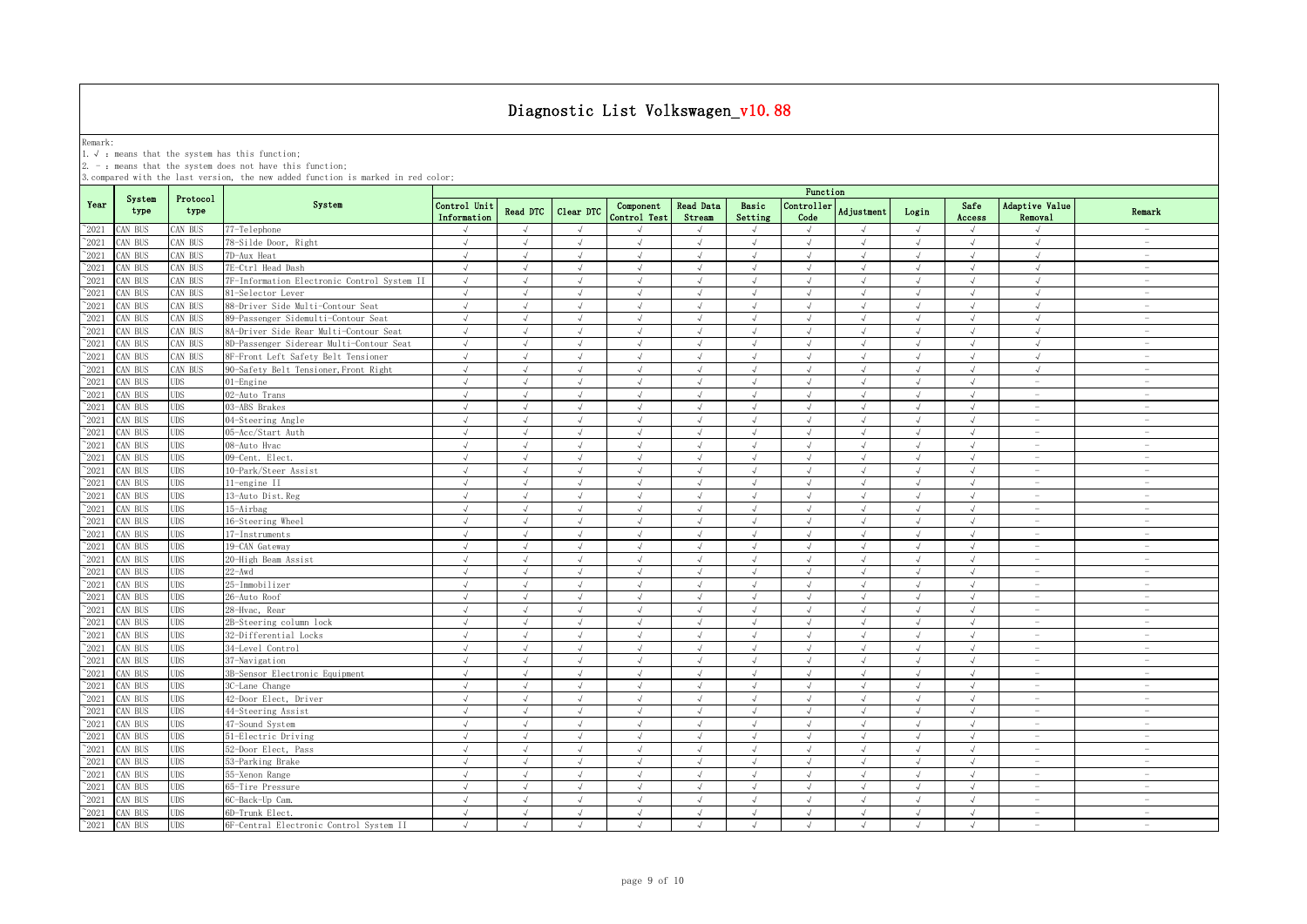Remark:<br>1.√ : means that the system has this function;<br>2. - : means that the system does not have this function;

|                |                |                  |                                             | Function                    |            |            |                           |                            |                  |                    |                   |              |                |                                         |                                 |
|----------------|----------------|------------------|---------------------------------------------|-----------------------------|------------|------------|---------------------------|----------------------------|------------------|--------------------|-------------------|--------------|----------------|-----------------------------------------|---------------------------------|
| Year           | System<br>type | Protocol<br>type | System                                      | Control Unit<br>Information | Read DTC   | Clear DTC  | Component<br>Control Test | <b>Read Data</b><br>Stream | Basic<br>Setting | Controller<br>Code | <b>Adjustment</b> | Login        | Safe<br>Access | <b>Adaptive Value</b><br><b>Removal</b> | Remark                          |
| $^{\sim}2021$  | CAN BUS        | CAN BUS          | 77-Telephone                                |                             |            | $\sqrt{ }$ |                           |                            | $\mathcal{A}$    | $\sqrt{ }$         |                   | $\sqrt{ }$   |                |                                         |                                 |
| $^{\sim}2021$  | CAN BUS        | CAN BUS          | 78-Silde Door, Right                        | $\sqrt{ }$                  | $\sqrt{ }$ | $\sqrt{ }$ | $\sqrt{ }$                | $\sqrt{ }$                 | $\sqrt{ }$       | $\sqrt{ }$         | $\sqrt{ }$        | $\sqrt{ }$   | $\sqrt{ }$     | $\sqrt{ }$                              | $\overline{\phantom{a}}$        |
| $\degree$ 2021 | CAN BUS        | CAN BUS          | 7D-Aux Heat                                 | $\sqrt{ }$                  | $\sqrt{ }$ | $\sqrt{ }$ | $\sqrt{ }$                | $\sqrt{ }$                 | $\sqrt{ }$       | $\sqrt{ }$         | $\sqrt{ }$        | $\sqrt{ }$   | $\sqrt{ }$     | $\sqrt{ }$                              | $\sim$                          |
| $^{\sim}2021$  | CAN BUS        | CAN BUS          | 7E-Ctrl Head Dash                           | $\sqrt{ }$                  | $\sqrt{ }$ | $\sqrt{ }$ | $\sqrt{ }$                | $\sqrt{ }$                 | $\sqrt{ }$       | $\sqrt{ }$         | $\sqrt{ }$        | $\sqrt{ }$   | $\sqrt{ }$     | $\sqrt{ }$                              | $\sim$                          |
| $^{\sim}2021$  | CAN BUS        | CAN BUS          | 7F-Information Electronic Control System II | $\sqrt{ }$                  | $\sqrt{ }$ | $\sqrt{ }$ | $\sqrt{ }$                | $\sqrt{ }$                 | $\sqrt{ }$       | $\sqrt{ }$         | $\sqrt{ }$        | $\sqrt{ }$   | $\sqrt{ }$     | $\sqrt{ }$                              | $\overline{\phantom{a}}$        |
| $^{\sim}2021$  | CAN BUS        | CAN BUS          | 81-Selector Lever                           | $\sqrt{ }$                  | $\sqrt{ }$ | $\sqrt{ }$ | $\sqrt{ }$                | $\sqrt{ }$                 | $\sqrt{ }$       | $\sqrt{ }$         | $\sqrt{ }$        | $\sqrt{ }$   | $\sqrt{ }$     | $\sqrt{ }$                              | $\sim$                          |
| $^{\sim}2021$  | CAN BUS        | CAN BUS          | 88-Driver Side Multi-Contour Seat           | $\sqrt{ }$                  | $\sqrt{ }$ | $\sqrt{ }$ | $\sqrt{ }$                | $\sqrt{ }$                 | $\sqrt{ }$       | $\sqrt{ }$         | $\lambda$         | $\sqrt{ }$   | $\sqrt{ }$     | $\sqrt{ }$                              | $\sim$                          |
| 2021           | CAN BUS        | CAN BUS          | 89-Passenger Sidemulti-Contour Seat         | $\sqrt{ }$                  | $\sqrt{ }$ | $\sqrt{ }$ | $\sqrt{ }$                | $\sqrt{ }$                 | $\sqrt{ }$       | $\sqrt{ }$         | $\sqrt{ }$        | $\sqrt{ }$   | $\sqrt{ }$     | $\sqrt{ }$                              | $\sim$                          |
| 2021           | CAN BUS        | CAN BUS          | 8A-Driver Side Rear Multi-Contour Seat      | $\sqrt{}$                   | $\sqrt{ }$ | $\sqrt{ }$ | $\sqrt{ }$                | $\sqrt{ }$                 | $\sqrt{ }$       | $\sqrt{ }$         | $\sqrt{ }$        | $\sqrt{ }$   | $\sqrt{ }$     | $\sqrt{ }$                              | $\hspace{0.1mm}-\hspace{0.1mm}$ |
| 2021           | CAN BUS        | CAN BUS          | 8D-Passenger Siderear Multi-Contour Seat    | $\sqrt{ }$                  | $\sqrt{2}$ | $\sqrt{ }$ | $\sqrt{ }$                | $\sqrt{ }$                 | $\sqrt{ }$       | $\sqrt{ }$         | $\sqrt{ }$        | $\sqrt{ }$   | $\sqrt{}$      | $\sqrt{ }$                              | $\overline{\phantom{a}}$        |
| 2021           | CAN BUS        | CAN BUS          | 8F-Front Left Safety Belt Tensioner         | $\sqrt{ }$                  |            |            |                           |                            |                  |                    |                   |              |                |                                         | $\overline{\phantom{a}}$        |
| 2021           | CAN BUS        | CAN BUS          | 90-Safety Belt Tensioner, Front Right       | $\sqrt{ }$                  |            |            |                           |                            | J                |                    |                   | $\sqrt{ }$   |                |                                         | $\overline{\phantom{a}}$        |
| $^{\sim}2021$  | CAN BUS        | <b>UDS</b>       | 01-Engine                                   | $\sqrt{ }$                  |            | $\sqrt{ }$ |                           |                            | J                | $\sqrt{ }$         |                   | $\sqrt{ }$   | $\sqrt{ }$     | $\overline{\phantom{0}}$                | $\overline{\phantom{0}}$        |
| $\degree$ 2021 | CAN BUS        | <b>UDS</b>       | 02-Auto Trans                               | $\sqrt{ }$                  | J          | $\sqrt{ }$ | $\sqrt{ }$                | $\sqrt{ }$                 | $\sqrt{ }$       | $\sqrt{ }$         |                   | $\sqrt{ }$   | $\sqrt{ }$     |                                         | $\overline{\phantom{0}}$        |
| $^{\sim}2021$  | CAN BUS        | <b>UDS</b>       | 03-ABS Brakes                               | $\sqrt{ }$                  | $\sqrt{ }$ | $\sqrt{ }$ | $\sqrt{ }$                | $\sqrt{ }$                 | $\sqrt{ }$       | $\sqrt{ }$         | $\sqrt{ }$        | $\sqrt{ }$   | $\sqrt{ }$     | $\sim$                                  | $\sim$                          |
| $\degree$ 2021 | CAN BUS        | <b>UDS</b>       | 04-Steering Angle                           | $\sqrt{ }$                  | J          | $\sqrt{ }$ |                           | $\cdot$                    | $\sqrt{ }$       | $\sqrt{ }$         |                   | $\sqrt{ }$   | J              | ÷.                                      | $\sim$                          |
| $\degree$ 2021 | CAN BUS        | <b>UDS</b>       | 05-Acc/Start Auth                           | $\sqrt{ }$                  | $\sqrt{ }$ | $\sqrt{ }$ | $\sqrt{ }$                | $\sqrt{ }$                 | $\sqrt{ }$       | $\sqrt{ }$         | $\sqrt{ }$        | $\sqrt{ }$   | $\sqrt{ }$     | $\sim$                                  | $\sim$                          |
| $^{\sim}2021$  | CAN BUS        | UDS              | 08-Auto Hvac                                | $\sqrt{ }$                  | $\sqrt{ }$ | $\sqrt{ }$ | $\sqrt{ }$                | $\sqrt{ }$                 | $\sqrt{ }$       | $\sqrt{ }$         | $\sqrt{ }$        | $\sqrt{ }$   | $\sqrt{ }$     | $\overline{\phantom{m}}$                | $\sim$                          |
| $^{\sim}2021$  | CAN BUS        | <b>UDS</b>       | 09-Cent. Elect.                             | $\sqrt{ }$                  | $\sqrt{ }$ | $\sqrt{ }$ | $\sqrt{ }$                | $\sqrt{ }$                 | $\sqrt{ }$       | $\sqrt{ }$         | $\sqrt{ }$        | $\sqrt{ }$   | $\sqrt{ }$     | $\overline{\phantom{a}}$                | $\sim$                          |
| $^{\sim}2021$  | CAN BUS        | UDS.             | 10-Park/Steer Assist                        | $\sqrt{ }$                  | $\sqrt{ }$ | $\sqrt{ }$ | $\sqrt{ }$                | $\sqrt{ }$                 | $\sqrt{ }$       | $\sqrt{ }$         | $\lambda$         | $\sqrt{ }$   | $\sqrt{ }$     | $\overline{\phantom{m}}$                | $\sim$                          |
| $^{\sim}2021$  | CAN BUS        | <b>UDS</b>       | 11-engine II                                | $\sqrt{ }$                  | $\sqrt{ }$ | $\sqrt{ }$ | $\sqrt{ }$                | $\sqrt{ }$                 | $\sqrt{ }$       | $\sqrt{ }$         | $\sqrt{ }$        | $\sqrt{ }$   | $\sqrt{ }$     | $\overline{\phantom{a}}$                | $\overline{\phantom{a}}$        |
| 2021           | CAN BUS        | <b>UDS</b>       | 13-Auto Dist. Reg                           | $\sqrt{ }$                  | $\sqrt{ }$ | $\sqrt{ }$ | $\sqrt{ }$                | $\sqrt{ }$                 | $\sqrt{ }$       | $\sqrt{ }$         | $\sqrt{ }$        | $\sqrt{ }$   | $\sqrt{ }$     | $\overline{\phantom{a}}$                | $\sim$                          |
| 2021           | CAN BUS        | <b>UDS</b>       | 15-Airbag                                   | $\sqrt{ }$                  | $\sqrt{2}$ | $\sqrt{ }$ | $\sqrt{2}$                | $\sqrt{ }$                 | $\sqrt{ }$       | $\sqrt{2}$         | $\sqrt{ }$        | $\sqrt{ }$   | $\sqrt{ }$     | $\overline{\phantom{a}}$                | $\sim$                          |
| 2021           | CAN BUS        | UDS              | 16-Steering Wheel                           | $\sqrt{ }$                  |            | $\sqrt{ }$ |                           |                            | $\sqrt{ }$       |                    |                   | $\sqrt{ }$   | √              | $\overline{\phantom{a}}$                | $\overline{\phantom{a}}$        |
| 2021           | CAN BUS        | <b>UDS</b>       | 17-Instruments                              | $\sqrt{ }$                  |            | $\sqrt{ }$ | $\sqrt{ }$                |                            | $\sqrt{ }$       | $\sqrt{ }$         |                   | $\sqrt{ }$   |                | $\overline{\phantom{0}}$                | $\overline{\phantom{a}}$        |
| 2021           | CAN BUS        | UDS              | 19-CAN Gateway                              | $\sqrt{ }$                  |            | $\sqrt{ }$ |                           |                            |                  |                    |                   | $\sqrt{ }$   | J              |                                         |                                 |
| $^{\circ}2021$ | CAN BUS        | <b>UDS</b>       | 20-High Beam Assist                         | $\sqrt{ }$                  | $\sqrt{ }$ | $\sqrt{ }$ | J                         |                            | J                | $\sqrt{ }$         |                   | $\sqrt{ }$   | J              |                                         | $\overline{\phantom{a}}$        |
| $^{\sim}2021$  | CAN BUS        | <b>UDS</b>       | $22 - Awd$                                  | $\sqrt{ }$                  | $\sqrt{ }$ | $\sqrt{ }$ | $\sqrt{ }$                | $\sqrt{ }$                 | $\sqrt{ }$       | $\sqrt{ }$         | $\sqrt{ }$        | $\sqrt{ }$   | $\sqrt{ }$     | $\overline{\phantom{a}}$                | $\overline{\phantom{a}}$        |
| $\degree$ 2021 | CAN BUS        | <b>UDS</b>       | 25-Immobilizer                              | $\sqrt{ }$                  | $\sqrt{ }$ | $\sqrt{ }$ | $\sqrt{ }$                | $\sqrt{ }$                 | $\sqrt{ }$       | $\sqrt{ }$         | $\sqrt{ }$        | $\sqrt{ }$   | $\sqrt{ }$     | $\overline{\phantom{a}}$                | $\sim$                          |
| $^{\sim}2021$  | CAN BUS        | <b>UDS</b>       | 26-Auto Roof                                | $\sqrt{ }$                  | $\sqrt{ }$ | $\sqrt{ }$ | $\sqrt{ }$                | $\sqrt{ }$                 | $\sqrt{ }$       | $\sqrt{ }$         | $\sqrt{ }$        | $\sqrt{ }$   | $\sqrt{ }$     | $\sim$                                  | $\sim$                          |
| $^{\sim}2021$  | CAN BUS        | UDS              | 28-Hvac, Rear                               | $\sqrt{ }$                  | $\sqrt{ }$ | $\sqrt{ }$ | $\sqrt{ }$                | $\sqrt{ }$                 | $\sqrt{ }$       | $\sqrt{ }$         | $\sqrt{ }$        | $\sqrt{ }$   | $\sqrt{ }$     | $\overline{\phantom{m}}$                | $\overline{\phantom{a}}$        |
| $\degree$ 2021 | CAN BUS        | UDS              | 2B-Steering column lock                     | $\sqrt{ }$                  | $\sqrt{ }$ | $\sqrt{ }$ | $\sqrt{ }$                | $\sqrt{ }$                 | $\sqrt{ }$       | $\sqrt{ }$         | $\sqrt{ }$        | $\sqrt{ }$   | $\sqrt{ }$     | $\overline{\phantom{a}}$                | $\overline{\phantom{a}}$        |
| $^{\sim}2021$  | CAN BUS        | <b>UDS</b>       | 32-Differential Locks                       | $\sqrt{ }$                  | $\sqrt{ }$ | $\sqrt{ }$ | $\sqrt{ }$                | $\sqrt{ }$                 | $\sqrt{ }$       | $\sqrt{ }$         | $\sqrt{ }$        | $\sqrt{ }$   | $\sqrt{ }$     | $\overline{\phantom{m}}$                | $\overline{\phantom{a}}$        |
| 2021           | CAN BUS        | <b>UDS</b>       | 34-Level Control                            | $\sqrt{ }$                  | $\sqrt{ }$ | $\sqrt{ }$ | $\sqrt{ }$                | $\sqrt{ }$                 | $\sqrt{ }$       | $\sqrt{ }$         | $\sqrt{ }$        | $\sqrt{ }$   | $\sqrt{ }$     | $\overline{\phantom{a}}$                | $\sim$                          |
| $^{\sim}2021$  | CAN BUS        | <b>UDS</b>       | 37-Navigation                               | $\sqrt{ }$                  | $\sqrt{ }$ | $\sqrt{ }$ | $\sqrt{ }$                | $\sqrt{ }$                 | $\sqrt{ }$       | $\sqrt{ }$         | $\sqrt{ }$        | $\sqrt{ }$   | $\sqrt{ }$     | $\overline{\phantom{a}}$                | $\sim$                          |
| 2021           | CAN BUS        | <b>UDS</b>       | 3B-Sensor Electronic Equipment              | $\sqrt{ }$                  | $\sqrt{ }$ | $\sqrt{ }$ | $\sqrt{ }$                | $\sqrt{ }$                 | $\sqrt{ }$       | $\sqrt{ }$         | $\sqrt{ }$        | $\sqrt{ }$   | $\sqrt{ }$     | $\overline{\phantom{a}}$                | $\sim$                          |
| 2021           | CAN BUS        | UDS              | 3C-Lane Change                              | $\sqrt{ }$                  |            | $\sqrt{ }$ |                           |                            | $\sqrt{ }$       | $\sqrt{ }$         |                   | J            | √              | $\overline{\phantom{a}}$                | $\overline{\phantom{a}}$        |
| 2021           | CAN BUS        | <b>UDS</b>       | 42-Door Elect, Driver                       | $\sqrt{ }$                  | J          |            |                           |                            | $\sqrt{ }$       |                    |                   | $\sqrt{ }$   |                | $\overline{\phantom{a}}$                | $\overline{\phantom{a}}$        |
| $^{\sim}2021$  | CAN BUS        | <b>UDS</b>       | 44-Steering Assist                          | $\sqrt{ }$                  | J          | $\sqrt{ }$ | $\sqrt{ }$                |                            | J                | $\sqrt{ }$         |                   | $\sqrt{ }$   | $\sqrt{ }$     | $\overline{\phantom{0}}$                | $\overline{\phantom{0}}$        |
| $\degree$ 2021 | CAN BUS        | <b>UDS</b>       | 47-Sound System                             | $\sqrt{ }$                  | J          | $\sqrt{ }$ | $\sqrt{ }$                | $\sqrt{ }$                 | $\sqrt{ }$       | $\sqrt{ }$         |                   | $\sqrt{ }$   | $\sqrt{ }$     |                                         | $\overline{\phantom{0}}$        |
| $^{\sim}2021$  | CAN BUS        | <b>UDS</b>       | 51-Electric Driving                         | $\sqrt{ }$                  | $\sqrt{ }$ | $\sqrt{ }$ | $\sqrt{ }$                | $\sqrt{ }$                 | $\sqrt{ }$       | $\sqrt{ }$         | $\sqrt{ }$        | $\sqrt{ }$   | $\sqrt{ }$     | ÷.                                      | $\sim$                          |
| $^{\sim}2021$  | CAN BUS        | <b>UDS</b>       | 52-Door Elect, Pass                         | $\sqrt{ }$                  | $\sqrt{ }$ | $\sqrt{ }$ | $\sqrt{ }$                | $\sqrt{ }$                 | $\sqrt{ }$       | $\sqrt{ }$         | $\sqrt{ }$        | $\sqrt{ }$   | $\sqrt{ }$     |                                         | $\sim$                          |
| $^{\sim}2021$  | CAN BUS        | <b>UDS</b>       | 53-Parking Brake                            | $\sqrt{ }$                  | $\sqrt{ }$ | $\sqrt{ }$ | $\sqrt{ }$                | $\sqrt{ }$                 | $\sqrt{ }$       | $\sqrt{ }$         | $\sqrt{ }$        | $\sqrt{ }$   | $\sqrt{ }$     | $\sim$                                  | $\sim$                          |
| $\degree$ 2021 | CAN BUS        | <b>UDS</b>       | 55-Xenon Range                              | $\sqrt{ }$                  | $\sqrt{ }$ | $\sqrt{ }$ | $\sqrt{ }$                | $\sqrt{ }$                 | $\sqrt{ }$       | $\sqrt{ }$         | $\sqrt{ }$        | $\sqrt{ }$   | $\sqrt{ }$     | $\overline{\phantom{a}}$                | $\sim$                          |
| $^{\sim}2021$  | CAN BUS        | UDS              | 65-Tire Pressure                            | $\sqrt{ }$                  | $\sqrt{ }$ | $\sqrt{ }$ | $\sqrt{ }$                | $\sqrt{ }$                 | $\sqrt{ }$       | $\sqrt{ }$         | $\sqrt{ }$        | $\sqrt{ }$   | $\sqrt{ }$     | $\overline{\phantom{a}}$                | $\sim$                          |
| $^{\sim}2021$  | CAN BUS        | UDS.             | 6C-Back-Up Cam                              | $\sqrt{ }$                  | $\sqrt{ }$ | $\sqrt{ }$ | $\sqrt{ }$                | $\sqrt{ }$                 | $\sqrt{ }$       | $\sqrt{ }$         | $\lambda$         | $\sqrt{ }$   | $\sqrt{ }$     | $\overline{\phantom{a}}$                | $\sim$                          |
| $^{\sim}2021$  | CAN BUS        | <b>UDS</b>       | 6D-Trunk Elect.                             | $\sqrt{ }$                  | $\sqrt{ }$ | $\sqrt{ }$ | $\sqrt{ }$                | $\sqrt{ }$                 | $\sqrt{ }$       | $\sqrt{ }$         | $\sqrt{ }$        | $\checkmark$ | $\sqrt{ }$     | $\overline{\phantom{a}}$                | $\overline{\phantom{a}}$        |
| $^{\circ}2021$ | CAN BUS        | <b>UDS</b>       | 6F-Central Electronic Control System II     | $\sqrt{ }$                  | $\sqrt{ }$ | $\sqrt{ }$ | $\sqrt{ }$                | $\sqrt{ }$                 | $\sqrt{ }$       | $\sqrt{ }$         | $\sqrt{ }$        | $\sqrt{ }$   | $\sqrt{ }$     | $\sim$                                  | $\overline{\phantom{a}}$        |